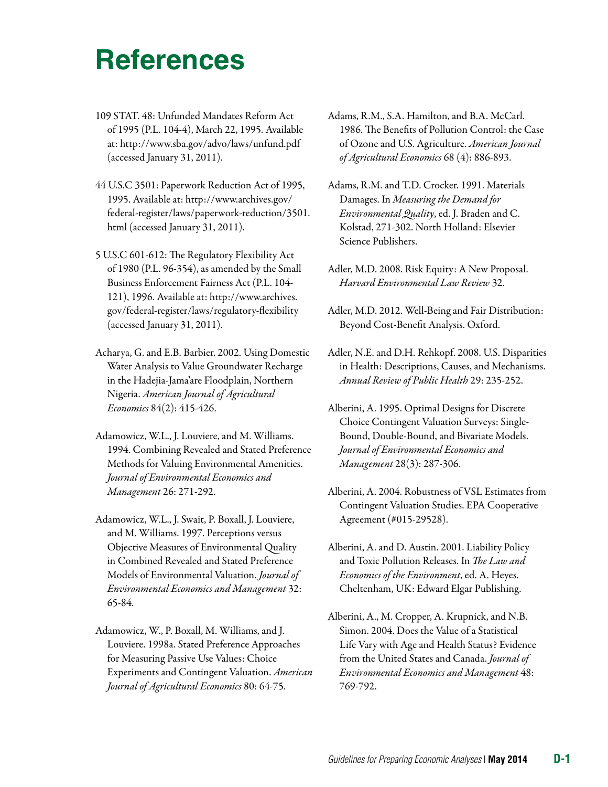- 109 STAT. 48: Unfunded Mandates Reform Act of 1995 (P.L. 104-4), March 22, 1995. Available at: <http://www.sba.gov/advo/laws/unfund.pdf> (accessed January 31, 2011).
- 44 U.S.C 3501: Paperwork Reduction Act of 1995, 1995. Available at: [http://www.archives.gov/](http://www.archives.gov/federal-register/laws/paperwork-reduction/3501.html)  [federal-register/laws/paperwork-reduction/3501.](http://www.archives.gov/federal-register/laws/paperwork-reduction/3501.html) [html](http://www.archives.gov/federal-register/laws/paperwork-reduction/3501.html) (accessed January 31, 2011).
- 5 U.S.C 601-612: The Regulatory Flexibility Act of 1980 (P.L. 96-354), as amended by the Small Business Enforcement Fairness Act (P.L. 104 121), 1996. Available at: [http://www.archives.](http://www.archives.gov/federal-register/laws/regulatory-flexibility)  [gov/federal-register/laws/regulatory-flexibility](http://www.archives.gov/federal-register/laws/regulatory-flexibility)  (accessed January 31, 2011).
- Acharya, G. and E.B. Barbier. 2002. Using Domestic Water Analysis to Value Groundwater Recharge in the Hadejia-Jama'are Floodplain, Northern Nigeria. *American Journal of Agricultural Economics* 84(2): 415-426.
- Adamowicz, W.L., J. Louviere, and M. Williams. 1994. Combining Revealed and Stated Preference Methods for Valuing Environmental Amenities. *Journal of Environmental Economics and Management* 26: 271-292.
- Adamowicz, W.L., J. Swait, P. Boxall, J. Louviere, and M. Williams. 1997. Perceptions versus Objective Measures of Environmental Quality in Combined Revealed and Stated Preference Models of Environmental Valuation. *Journal of Environmental Economics and Management* 32: 65-84.
- Adamowicz, W., P. Boxall, M. Williams, and J. Louviere. 1998a. Stated Preference Approaches for Measuring Passive Use Values: Choice Experiments and Contingent Valuation. *American Journal of Agricultural Economics* 80: 64-75.
- Adams, R.M., S.A. Hamilton, and B.A. McCarl. 1986. The Benefits of Pollution Control: the Case of Ozone and U.S. Agriculture. *American Journal of Agricultural Economics* 68 (4): 886-893.
- Adams, R.M. and T.D. Crocker. 1991. Materials Damages. In *Measuring the Demand for Environmental Quality*, ed. J. Braden and C. Kolstad, 271-302. North Holland: Elsevier Science Publishers.
- Adler, M.D. 2008. Risk Equity: A New Proposal. *Harvard Environmental Law Review* 32.
- Adler, M.D. 2012. Well-Being and Fair Distribution: Beyond Cost-Benefit Analysis. Oxford.
- Adler, N.E. and D.H. Rehkopf. 2008. U.S. Disparities in Health: Descriptions, Causes, and Mechanisms. *Annual Review of Public Health* 29: 235-252.
- Alberini, A. 1995. [Optimal Designs for Discrete](http://ideas.repec.org/a/eee/jeeman/v28y1995i3p287-306.html)  [Choice Contingent Valuation Surveys: Single-](http://ideas.repec.org/a/eee/jeeman/v28y1995i3p287-306.html)[Bound, Double-Bound, and Bivariate Models.](http://ideas.repec.org/a/eee/jeeman/v28y1995i3p287-306.html) *[Journal of Environmental Economics and](http://ideas.repec.org/s/eee/jeeman.html)  [Management](http://ideas.repec.org/s/eee/jeeman.html)* 28(3): 287-306.
- Alberini, A. 2004. Robustness of VSL Estimates from Contingent Valuation Studies. EPA Cooperative Agreement (#015-29528).
- Alberini, A. and D. Austin. 2001. Liability Policy and Toxic Pollution Releases. In *The Law and Economics of the Environment*, ed. A. Heyes. Cheltenham, UK: Edward Elgar Publishing.
- Alberini, A., M. Cropper, A. Krupnick, and N.B. Simon. 2004. Does the Value of a Statistical Life Vary with Age and Health Status? Evidence from the United States and Canada. *Journal of Environmental Economics and Management* 48: 769-792.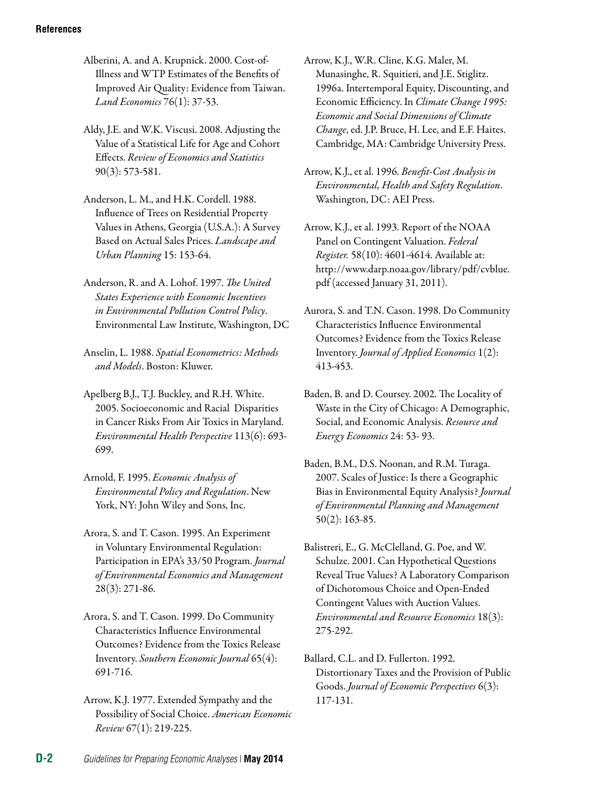- Alberini, A. and A. Krupnick. 2000. Cost-of-Illness and WTP Estimates of the Benefits of Improved Air Quality: Evidence from Taiwan. *Land Economics* 76(1): 37-53.
- Aldy, J.E. and W.K. Viscusi. 2008. Adjusting the Value of a Statistical Life for Age and Cohort Effects. *Review of Economics and Statistics*  90(3): 573-581.
- Anderson, L. M., and H.K. Cordell. 1988. Influence of Trees on Residential Property Values in Athens, Georgia (U.S.A.): A Survey Based on Actual Sales Prices. *Landscape and Urban Planning* 15: 153-64.
- Anderson, R. and A. Lohof. 1997. *The United States Experience with Economic Incentives in Environmental Pollution Control Policy*. Environmental Law Institute, Washington, DC
- Anselin, L. 1988. *Spatial Econometrics: Methods and Models*. Boston: Kluwer.
- Apelberg B.J., T.J. Buckley, and R.H. White. 2005. Socioeconomic and Racial Disparities in Cancer Risks From Air Toxics in Maryland. *Environmental Health Perspective* 113(6): 693 699.
- Arnold, F. 1995. *Economic Analysis of Environmental Policy and Regulation*. New York, NY: John Wiley and Sons, Inc.
- Arora, S. and T. Cason. 1995. An Experiment in Voluntary Environmental Regulation: Participation in EPA's 33/50 Program. *Journal of Environmental Economics and Management*  28(3): 271-86.
- Arora, S. and T. Cason. 1999. Do Community Characteristics Influence Environmental Outcomes? Evidence from the Toxics Release Inventory. *Southern Economic Journal* 65(4): 691-716.
- Arrow, K.J. 1977. Extended Sympathy and the Possibility of Social Choice. *American Economic Review* 67(1): 219-225.
- Arrow, K.J., W.R. Cline, K.G. Maler, M. Munasinghe, R. Squitieri, and J.E. Stiglitz. 1996a. Intertemporal Equity, Discounting, and Economic Efficiency. In *Climate Change 1995: Economic and Social Dimensions of Climate Change*, ed. J.P. Bruce, H. Lee, and E.F. Haites. Cambridge, MA: Cambridge University Press.
- Arrow, K.J., et al. 1996. *Benefit-Cost Analysis in Environmental, Health and Safety Regulation*. Washington, DC: AEI Press.
- Arrow, K.J., et al. 1993. Report of the NOAA Panel on Contingent Valuation. *Federal Register.* 58(10): 4601-4614. Available at: [http://www.darp.noaa.gov/library/pdf/cvblue.](http://www.darp.noaa.gov/library/pdf/cvblue.pdf)  [pdf](http://www.darp.noaa.gov/library/pdf/cvblue.pdf) (accessed January 31, 2011).
- Aurora, S. and T.N. Cason. 1998. Do Community Characteristics Influence Environmental Outcomes? Evidence from the Toxics Release Inventory. *Journal of Applied Economics* 1(2): 413-453.
- Baden, B. and D. Coursey. 2002. The Locality of Waste in the City of Chicago: A Demographic, Social, and Economic Analysis. *Resource and Energy Economics* 24: 53- 93.
- Baden, B.M., D.S. Noonan, and R.M. Turaga. 2007. Scales of Justice: Is there a Geographic Bias in Environmental Equity Analysis? *Journal of Environmental Planning and Management*  50(2): 163-85.
- Balistreri, E., G. McClelland, G. Poe, and W. Schulze. 2001. Can Hypothetical Questions Reveal True Values? A Laboratory Comparison of Dichotomous Choice and Open-Ended Contingent Values with Auction Values. *Environmental and Resource Economics* 18(3): 275-292.
- Ballard, C.L. and D. Fullerton. 1992. Distortionary Taxes and the Provision of Public Goods. *Journal of Economic Perspectives* 6(3): 117-131.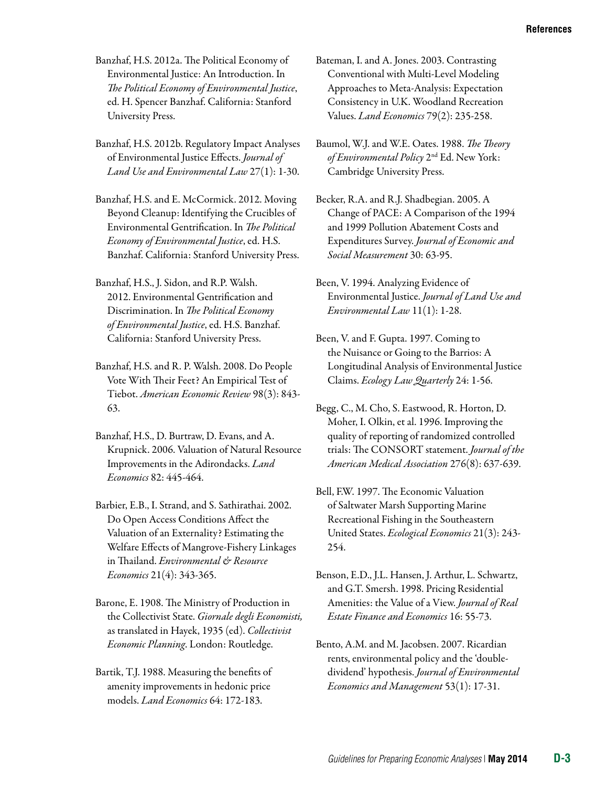Banzhaf, H.S. 2012a. The Political Economy of Environmental Justice: An Introduction. In *The Political Economy of Environmental Justice*, ed. H. Spencer Banzhaf. California: Stanford University Press.

Banzhaf, H.S. 2012b. Regulatory Impact Analyses of Environmental Justice Effects. *Journal of Land Use and Environmental Law* 27(1): 1-30.

Banzhaf, H.S. and E. McCormick. 2012. Moving Beyond Cleanup: Identifying the Crucibles of Environmental Gentrification. In *The Political Economy of Environmental Justice*, ed. H.S. Banzhaf. California: Stanford University Press.

Banzhaf, H.S., J. Sidon, and R.P. Walsh. 2012. Environmental Gentrification and Discrimination. In *The Political Economy of Environmental Justice*, ed. H.S. Banzhaf. California: Stanford University Press.

Banzhaf, H.S. and R. P. Walsh. 2008. Do People Vote With Their Feet? An Empirical Test of Tiebot. *American Economic Review* 98(3): 843 63.

Banzhaf, H.S., D. Burtraw, D. Evans, and A. Krupnick. 2006. Valuation of Natural Resource Improvements in the Adirondacks. *Land Economics* 82: 445-464.

Barbier, E.B., I. Strand, and S. Sathirathai. 2002. [Do Open Access Conditions Affect the](http://ideas.repec.org/a/kap/enreec/v21y2002i4p343-365.html)  [Valuation of an Externality? Estimating the](http://ideas.repec.org/a/kap/enreec/v21y2002i4p343-365.html)  [Welfare Effects of Mangrove-Fishery Linkages](http://ideas.repec.org/a/kap/enreec/v21y2002i4p343-365.html)  [in Thailand.](http://ideas.repec.org/a/kap/enreec/v21y2002i4p343-365.html) *[Environmental & Resource](http://ideas.repec.org/s/kap/enreec.html)  [Economics](http://ideas.repec.org/s/kap/enreec.html)* 21(4): 343-365.

Barone, E. 1908. The Ministry of Production in the Collectivist State. *Giornale degli Economisti,*  as translated in Hayek, 1935 (ed). *Collectivist Economic Planning*. London: Routledge.

Bartik, T.J. 1988. Measuring the benefits of amenity improvements in hedonic price models. *Land Economics* 64: 172-183.

Bateman, I. and A. Jones. 2003. Contrasting Conventional with Multi-Level Modeling Approaches to Meta-Analysis: Expectation Consistency in U.K. Woodland Recreation Values. *Land Economics* 79(2): 235-258.

Baumol, W.J. and W.E. Oates. 1988. *The Theory of Environmental Policy* 2nd Ed. New York: Cambridge University Press.

Becker, R.A. and R.J. Shadbegian. 2005. A Change of PACE: A Comparison of the 1994 and 1999 Pollution Abatement Costs and Expenditures Survey. *Journal of Economic and Social Measurement* 30: 63-95.

Been, V. 1994. Analyzing Evidence of Environmental Justice. *Journal of Land Use and Environmental Law* 11(1): 1-28.

Been, V. and F. Gupta. 1997. Coming to the Nuisance or Going to the Barrios: A Longitudinal Analysis of Environmental Justice Claims. *Ecology Law Quarterly* 24: 1-56.

Begg, C., M. Cho, S. Eastwood, R. Horton, D. Moher, I. Olkin, et al. 1996. Improving the quality of reporting of randomized controlled trials: The CONSORT statement. *Journal of the American Medical Association* 276(8): 637-639.

Bell, F.W. 1997. The Economic Valuation of Saltwater Marsh Supporting Marine Recreational Fishing in the Southeastern United States. *Ecological Economics* 21(3): 243 254.

Benson, E.D., J.L. Hansen, J. Arthur, L. Schwartz, and G.T. Smersh. 1998. Pricing Residential Amenities: the Value of a View. *Journal of Real Estate Finance and Economics* 16: 55-73.

Bento, A.M. and M. Jacobsen. 2007. Ricardian rents, environmental policy and the 'doubledividend' hypothesis. *Journal of Environmental Economics and Management* 53(1): 17-31.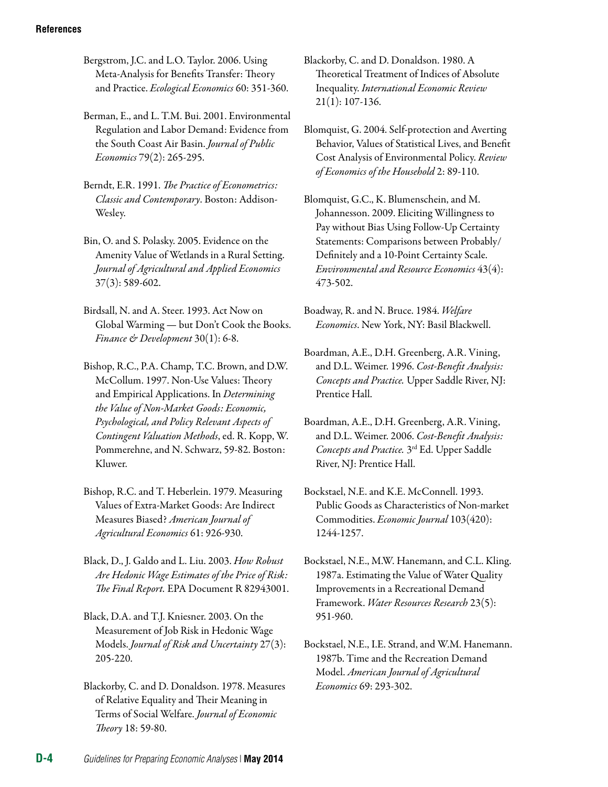Bergstrom, J.C. and L.O. Taylor. 2006. Using Meta-Analysis for Benefits Transfer: Theory and Practice. *Ecological Economics* 60: 351-360.

Berman, E., and L. T.M. Bui. 2001. Environmental Regulation and Labor Demand: Evidence from the South Coast Air Basin. *[Journal of Public](http://www.sciencedirect.com/science/journal/00472727)  [Economics](http://www.sciencedirect.com/science/journal/00472727)* [79\(2\)](http://www.sciencedirect.com/science?_ob=PublicationURL&_tockey=%23TOC%235834%232001%23999209997%23219979%23FLA%23&_cdi=5834&_pubType=J&view=c&_auth=y&_acct=C000001678&_version=1&_urlVersion=0&_userid=14684&md5=abcbe01c745084622b01ba00dd7580d7): 265-295.

Berndt, E.R. 1991. *The Practice of Econometrics: Classic and Contemporary*. Boston: Addison-Wesley.

Bin, O. and S. Polasky. 2005. Evidence on the Amenity Value of Wetlands in a Rural Setting. *Journal of Agricultural and Applied Economics*  37(3): 589-602.

Birdsall, N. and A. Steer. 1993. Act Now on Global Warming — but Don't Cook the Books. *Finance & Development* 30(1): 6-8.

Bishop, R.C., P.A. Champ, T.C. Brown, and D.W. McCollum. 1997. Non-Use Values: Theory and Empirical Applications. In *Determining the Value of Non-Market Goods: Economic, Psychological, and Policy Relevant Aspects of Contingent Valuation Methods*, ed. R. Kopp, W. Pommerehne, and N. Schwarz, 59-82. Boston: Kluwer.

Bishop, R.C. and T. Heberlein. 1979. Measuring Values of Extra-Market Goods: Are Indirect Measures Biased? *American Journal of Agricultural Economics* 61: 926-930.

Black, D., J. Galdo and L. Liu. 2003. *How Robust Are Hedonic Wage Estimates of the Price of Risk: The Final Report.* EPA Document R 82943001.

Black, D.A. and T.J. Kniesner. 2003. On the Measurement of Job Risk in Hedonic Wage Models. *Journal of Risk and Uncertainty* 27(3): 205-220.

Blackorby, C. and D. Donaldson. 1978. Measures of Relative Equality and Their Meaning in Terms of Social Welfare. *Journal of Economic Theory* 18: 59-80.

Blackorby, C. and D. Donaldson. 1980. A Theoretical Treatment of Indices of Absolute Inequality. *International Economic Review*  21(1): 107-136.

Blomquist, G. 2004. Self-protection and Averting Behavior, Values of Statistical Lives, and Benefit Cost Analysis of Environmental Policy. *Review of Economics of the Household* 2: 89-110.

Blomquist, G.C., K. Blumenschein, and M. Johannesson. 2009. Eliciting Willingness to Pay without Bias Using Follow-Up Certainty Statements: Comparisons between Probably/ Definitely and a 10-Point Certainty Scale. *Environmental and Resource Economics* 43(4): 473-502.

Boadway, R. and N. Bruce. 1984. *Welfare Economics*. New York, NY: Basil Blackwell.

Boardman, A.E., D.H. Greenberg, A.R. Vining, and D.L. Weimer. 1996. *Cost-Benefit Analysis: Concepts and Practice.* Upper Saddle River, NJ: Prentice Hall.

Boardman, A.E., D.H. Greenberg, A.R. Vining, and D.L. Weimer. 2006. *Cost-Benefit Analysis: Concepts and Practice.* 3rd Ed. Upper Saddle River, NJ: Prentice Hall.

Bockstael, N.E. and K.E. McConnell. 1993. Public Goods as Characteristics of Non-market Commodities. *Economic Journal* 103(420): 1244-1257.

Bockstael, N.E., M.W. Hanemann, and C.L. Kling. 1987a. Estimating the Value of Water Quality Improvements in a Recreational Demand Framework. *Water Resources Research* 23(5): 951-960.

Bockstael, N.E., I.E. Strand, and W.M. Hanemann. 1987b. Time and the Recreation Demand Model. *American Journal of Agricultural Economics* 69: 293-302.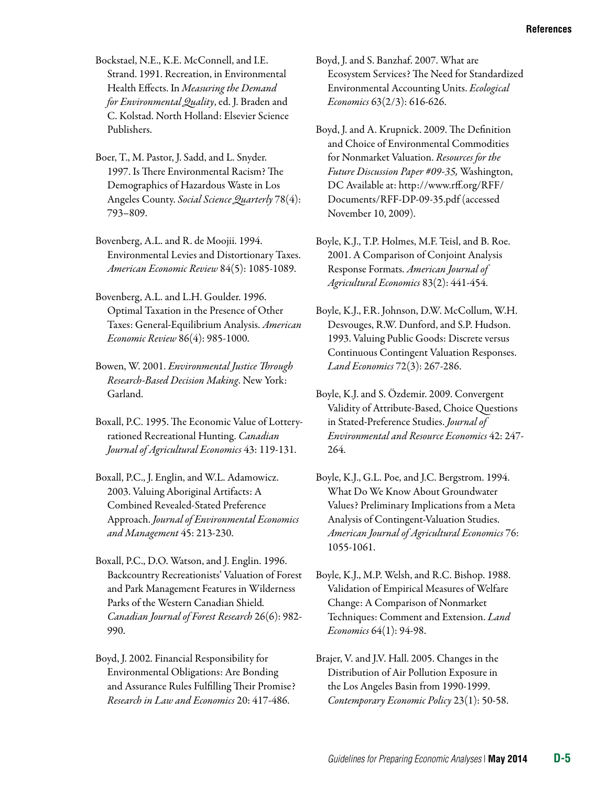Bockstael, N.E., K.E. McConnell, and I.E. Strand. 1991. Recreation, in Environmental Health Effects. In *Measuring the Demand for Environmental Quality*, ed. J. Braden and C. Kolstad. North Holland: Elsevier Science Publishers.

- Boer, T., M. Pastor, J. Sadd, and L. Snyder. 1997. Is There Environmental Racism? The Demographics of Hazardous Waste in Los Angeles County. *Social Science Quarterly* 78(4): 793–809.
- Bovenberg, A.L. and R. de Moojii. 1994. Environmental Levies and Distortionary Taxes. *American Economic Review* 84(5): 1085-1089.
- Bovenberg, A.L. and L.H. Goulder. 1996. Optimal Taxation in the Presence of Other Taxes: General-Equilibrium Analysis. *American Economic Review* 86(4): 985-1000.
- Bowen, W. 2001. *Environmental Justice Through Research-Based Decision Making*. New York: Garland.
- Boxall, P.C. 1995. The Economic Value of Lotteryrationed Recreational Hunting. *Canadian Journal of Agricultural Economics* 43: 119-131.
- Boxall, P.C., J. Englin, and W.L. Adamowicz. 2003. Valuing Aboriginal Artifacts: A Combined Revealed-Stated Preference Approach. *Journal of Environmental Economics and Management* 45: 213-230.
- Boxall, P.C., D.O. Watson, and J. Englin. 1996. Backcountry Recreationists' Valuation of Forest and Park Management Features in Wilderness Parks of the Western Canadian Shield*. Canadian Journal of Forest Research* 26(6): 982 990.
- Boyd, J. 2002. Financial Responsibility for Environmental Obligations: Are Bonding and Assurance Rules Fulfilling Their Promise? *Research in Law and Economics* 20: 417-486.
- Boyd, J. and S. Banzhaf. 2007. What are Ecosystem Services? The Need for Standardized Environmental Accounting Units. *Ecological Economics* 63(2/3): 616-626.
- Boyd, J. and A. Krupnick. 2009. The Definition and Choice of Environmental Commodities for Nonmarket Valuation. *Resources for the Future Discussion Paper #09-35,* Washington, DC Available at: [http://www.rff.org/RFF/](http://www.rff.org/RFF/Documents/RFF-DP-09-35.pdf)  [Documents/RFF-DP-09-35.pdf](http://www.rff.org/RFF/Documents/RFF-DP-09-35.pdf) (accessed November 10, 2009).
- Boyle, K.J., T.P. Holmes, M.F. Teisl, and B. Roe. 2001. [A Comparison of Conjoint Analysis](http://www.jstor.org/stable/1244685)  [Response Formats](http://www.jstor.org/stable/1244685). *[American Journal of](http://www.jstor.org/action/showPublication?journalCode=amerjagriecon)  [Agricultural Economics](http://www.jstor.org/action/showPublication?journalCode=amerjagriecon)* 83(2): 441-454.
- Boyle, K.J., F.R. Johnson, D.W. McCollum, W.H. Desvouges, R.W. Dunford, and S.P. Hudson. 1993. Valuing Public Goods: Discrete versus Continuous Contingent Valuation Responses. *Land Economics* 72(3): 267-286.
- Boyle, K.J. and S. Özdemir. 2009. Convergent Validity of Attribute-Based, Choice Questions in Stated-Preference Studies. *Journal of Environmental and Resource Economics* 42: 247 264.
- Boyle, K.J., G.L. Poe, and J.C. Bergstrom. 1994. What Do We Know About Groundwater Values? Preliminary Implications from a Meta Analysis of Contingent-Valuation Studies. *American Journal of Agricultural Economics* 76: 1055-1061.
- Boyle, K.J., M.P. Welsh, and R.C. Bishop. 1988. Validation of Empirical Measures of Welfare Change: A Comparison of Nonmarket Techniques: Comment and Extension. *Land Economics* 64(1): 94-98.
- Brajer, V. and J.V. Hall. 2005. Changes in the Distribution of Air Pollution Exposure in the Los Angeles Basin from 1990-1999. *Contemporary Economic Policy* 23(1): 50-58.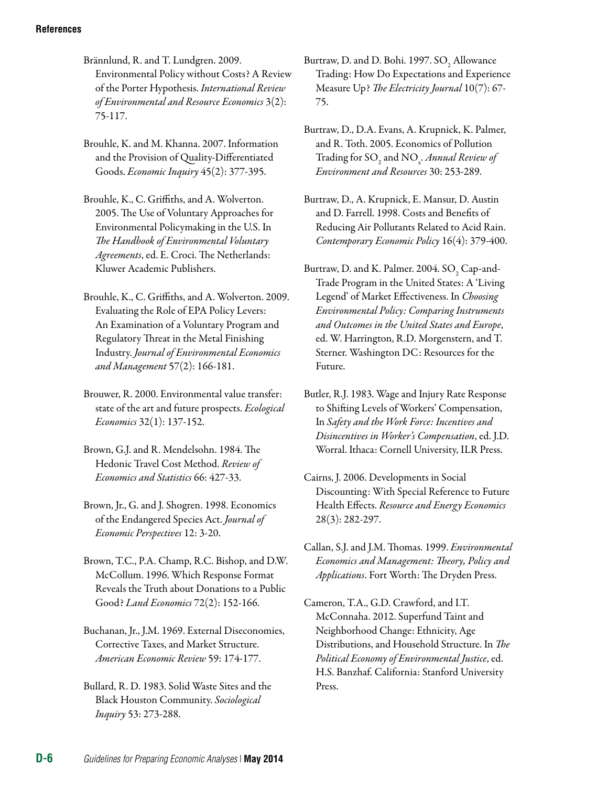Brännlund, R. and T. Lundgren. 2009. Environmental Policy without Costs? A Review of the Porter Hypothesis. *International Review of Environmental and Resource Economics* 3(2): 75-117.

Brouhle, K. and M. Khanna. 2007. Information and the Provision of Quality-Differentiated Goods. *Economic Inquiry* 45(2): 377-395.

Brouhle, K., C. Griffiths, and A. Wolverton. 2005. The Use of Voluntary Approaches for Environmental Policymaking in the U.S. In *The Handbook of Environmental Voluntary Agreements*, ed. E. Croci. The Netherlands: Kluwer Academic Publishers.

Brouhle, K., C. Griffiths, and A. Wolverton. 2009. Evaluating the Role of EPA Policy Levers: An Examination of a Voluntary Program and Regulatory Threat in the Metal Finishing Industry. *Journal of Environmental Economics and Management* 57(2): 166-181.

Brouwer, R. 2000. Environmental value transfer: state of the art and future prospects. *Ecological Economics* 32(1): 137-152.

Brown, G.J. and R. Mendelsohn. 1984. The Hedonic Travel Cost Method. *Review of Economics and Statistics* 66: 427-33.

Brown, Jr., G. and J. Shogren. 1998. Economics of the Endangered Species Act. *Journal of Economic Perspectives* 12: 3-20.

Brown, T.C., P.A. Champ, R.C. Bishop, and D.W. McCollum. 1996. Which Response Format Reveals the Truth about Donations to a Public Good? *Land Economics* 72(2): 152-166.

Buchanan, Jr., J.M. 1969. External Diseconomies, Corrective Taxes, and Market Structure. *American Economic Review* 59: 174-177.

Bullard, R. D. 1983. Solid Waste Sites and the Black Houston Community. *Sociological Inquiry* 53: 273-288.

Burtraw, D. and D. Bohi. 1997.  $\mathrm{SO}_2$  Allowance Trading: How Do Expectations and Experience Measure Up? *The Electricity Journal* 10(7): 67 75.

Burtraw, D., D.A. Evans, A. Krupnick, K. Palmer, and R. Toth. 2005. Economics of Pollution Trading for SO<sub>2</sub> and NO<sub>x</sub>. *Annual Review of Environment and Resources* 30: 253-289.

Burtraw, D., A. Krupnick, E. Mansur, D. Austin and D. Farrell. 1998. Costs and Benefits of Reducing Air Pollutants Related to Acid Rain. *Contemporary Economic Policy* 16(4): 379-400.

Burtraw, D. and K. Palmer. 2004.  $\text{SO}_2$  Cap-and-Trade Program in the United States: A 'Living Legend' of Market Effectiveness. In *Choosing Environmental Policy: Comparing Instruments and Outcomes in the United States and Europe*, ed. W. Harrington, R.D. Morgenstern, and T. Sterner. Washington DC: Resources for the Future.

Butler, R.J. 1983. Wage and Injury Rate Response to Shifting Levels of Workers' Compensation, In *Safety and the Work Force: Incentives and Disincentives in Worker's Compensation*, ed. J.D. Worral. Ithaca: Cornell University, ILR Press.

Cairns, J. 2006. Developments in Social Discounting: With Special Reference to Future Health Effects. *Resource and Energy Economics*  28(3): 282-297.

Callan, S.J. and J.M. Thomas. 1999. *Environmental Economics and Management: Theory, Policy and Applications*. Fort Worth: The Dryden Press.

Cameron, T.A., G.D. Crawford, and I.T. McConnaha. 2012. Superfund Taint and Neighborhood Change: Ethnicity, Age Distributions, and Household Structure. In *The Political Economy of Environmental Justice*, ed. H.S. Banzhaf. California: Stanford University Press.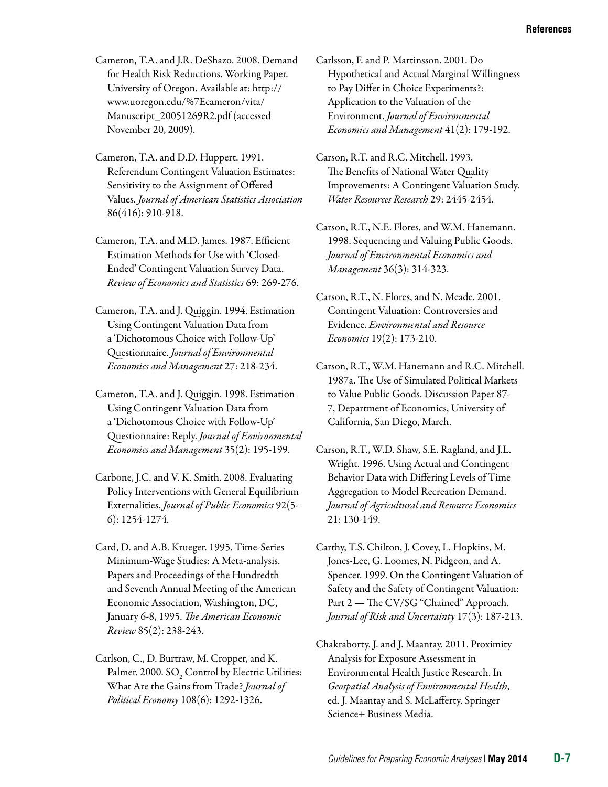- Cameron, T.A. and J.R. DeShazo. 2008. Demand for Health Risk Reductions. Working Paper. University of Oregon. Available at: [http://](http://www.uoregon.edu/%7Ecameron/vita/Manuscript_20051269R2.pdf) [www.uoregon.edu/%7Ecameron/vita/](http://www.uoregon.edu/%7Ecameron/vita/Manuscript_20051269R2.pdf)  [Manuscript\\_20051269R2.pdf](http://www.uoregon.edu/%7Ecameron/vita/Manuscript_20051269R2.pdf) (accessed November 20, 2009).
- Cameron, T.A. and D.D. Huppert. 1991. Referendum Contingent Valuation Estimates: Sensitivity to the Assignment of Offered Values. *Journal of American Statistics Association*  86(416): 910-918.
- Cameron, T.A. and M.D. James. 1987. Efficient Estimation Methods for Use with 'Closed-Ended' Contingent Valuation Survey Data. *Review of Economics and Statistics* 69: 269-276.
- Cameron, T.A. and J. Quiggin. 1994. Estimation Using Contingent Valuation Data from a 'Dichotomous Choice with Follow-Up' Questionnaire. *Journal of Environmental Economics and Management* 27: 218-234.
- Cameron, T.A. and J. Quiggin. 1998. Estimation Using Contingent Valuation Data from a 'Dichotomous Choice with Follow-Up' Questionnaire: Reply. *Journal of Environmental Economics and Management* 35(2): 195-199.
- Carbone, J.C. and V. K. Smith. 2008. Evaluating Policy Interventions with General Equilibrium Externalities. *Journal of Public Economics* 92(5 6): 1254-1274.
- Card, D. and A.B. Krueger. 1995. Time-Series Minimum-Wage Studies: A Meta-analysis. Papers and Proceedings of the Hundredth and Seventh Annual Meeting of the American Economic Association, Washington, DC, January 6-8, 1995. *The American Economic Review* 85(2): 238-243.
- Carlson, C., D. Burtraw, M. Cropper, and K. Palmer. 2000.  $\mathrm{SO}_2$  Control by Electric Utilities: What Are the Gains from Trade? *Journal of Political Economy* 108(6): 1292-1326.
- Carlsson, F. and P. Martinsson. 2001. Do Hypothetical and Actual Marginal Willingness to Pay Differ in Choice Experiments?: Application to the Valuation of the Environment. *Journal of Environmental Economics and Management* 41(2): 179-192.
- Carson, R.T. and R.C. Mitchell. 1993. The Benefits of National Water Quality Improvements: A Contingent Valuation Study. *Water Resources Research* 29: 2445-2454.
- Carson, R.T., N.E. Flores, and W.M. Hanemann. 1998. Sequencing and Valuing Public Goods. *Journal of Environmental Economics and Management* 36(3): 314-323.
- Carson, R.T., N. Flores, and N. Meade. 2001. [Contingent Valuation: Controversies and](http://ideas.repec.org/a/kap/enreec/v19y2001i2p173-210.html)  [Evidence](http://ideas.repec.org/a/kap/enreec/v19y2001i2p173-210.html). *[Environmental and Resource](http://ideas.repec.org/s/kap/enreec.html)  [Economics](http://ideas.repec.org/s/kap/enreec.html)* 19(2): 173-210.
- Carson, R.T., W.M. Hanemann and R.C. Mitchell. 1987a. The Use of Simulated Political Markets to Value Public Goods. Discussion Paper 87 7, Department of Economics, University of California, San Diego, March.
- Carson, R.T., W.D. Shaw, S.E. Ragland, and J.L. Wright. 1996. Using Actual and Contingent Behavior Data with Differing Levels of Time Aggregation to Model Recreation Demand. *Journal of Agricultural and Resource Economics*  21: 130-149.
- Carthy, T.S. Chilton, J. Covey, L. Hopkins, M. Jones-Lee, G. Loomes, N. Pidgeon, and A. Spencer. 1999. On the Contingent Valuation of Safety and the Safety of Contingent Valuation: Part 2 — The CV/SG "Chained" Approach. *Journal of Risk and Uncertainty* 17(3): 187-213.
- Chakraborty, J. and J. Maantay. 2011. Proximity Analysis for Exposure Assessment in Environmental Health Justice Research. In *Geospatial Analysis of Environmental Health*, ed. J. Maantay and S. McLafferty. Springer Science+ Business Media.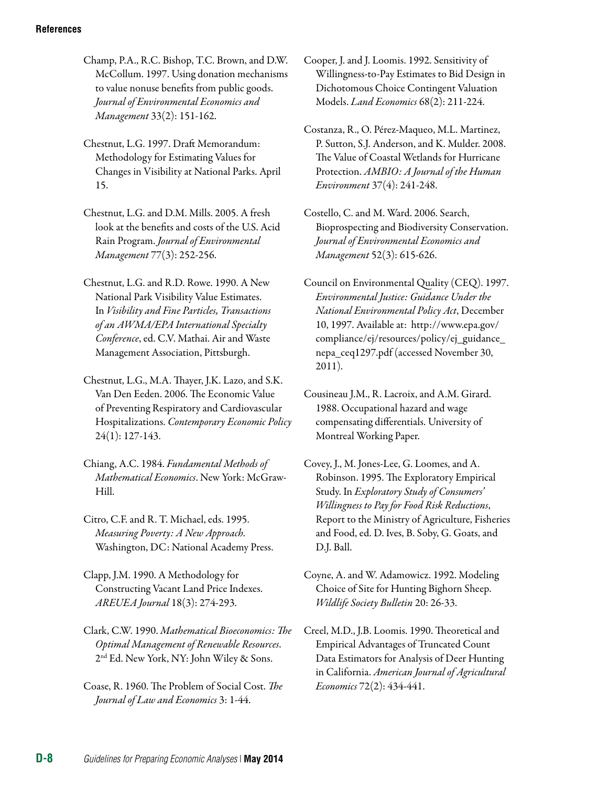Champ, P.A., R.C. Bishop, T.C. Brown, and D.W. McCollum. 1997. Using donation mechanisms to value nonuse benefits from public goods. *Journal of Environmental Economics and Management* 33(2): 151-162.

Chestnut, L.G. 1997. Draft Memorandum: Methodology for Estimating Values for Changes in Visibility at National Parks. April 15.

Chestnut, L.G. and D.M. Mills. 2005. A fresh look at the benefits and costs of the U.S. Acid Rain Program. *Journal of Environmental Management* 77(3): 252-256.

Chestnut, L.G. and R.D. Rowe. 1990. A New National Park Visibility Value Estimates. In *Visibility and Fine Particles, Transactions of an AWMA/EPA International Specialty Conference*, ed. C.V. Mathai. Air and Waste Management Association, Pittsburgh.

Chestnut, L.G., M.A. Thayer, J.K. Lazo, and S.K. Van Den Eeden. 2006. The Economic Value of Preventing Respiratory and Cardiovascular Hospitalizations. *Contemporary Economic Policy*  24(1): 127-143.

Chiang, A.C. 1984. *Fundamental Methods of Mathematical Economics*. New York: McGraw-Hill.

Citro, C.F. and R. T. Michael, eds. 1995. *Measuring Poverty: A New Approach.*  Washington, DC: National Academy Press.

Clapp, J.M. 1990. A Methodology for Constructing Vacant Land Price Indexes. *AREUEA Journal* 18(3): 274-293.

Clark, C.W. 1990. *Mathematical Bioeconomics: The Optimal Management of Renewable Resources*. 2nd Ed. New York, NY: John Wiley & Sons.

Coase, R. 1960. The Problem of Social Cost. *The Journal of Law and Economics* 3: 1-44.

Cooper, J. and J. Loomis. 1992. Sensitivity of Willingness-to-Pay Estimates to Bid Design in Dichotomous Choice Contingent Valuation Models. *Land Economics* 68(2): 211-224.

Costanza, R., O. Pérez-Maqueo, M.L. Martinez, P. Sutton, S.J. Anderson, and K. Mulder. 2008. The Value of Coastal Wetlands for Hurricane Protection. *AMBIO: A Journal of the Human Environment* 37(4): 241-248.

Costello, C. and M. Ward. 2006. Search, Bioprospecting and Biodiversity Conservation. *Journal of Environmental Economics and Management* 52(3): 615-626.

Council on Environmental Quality (CEQ). 1997. *Environmental Justice: Guidance Under the National Environmental Policy Act*, December 10, 1997. Available at: http://www.epa.gov/ compliance/ej/resources/policy/ej\_guidance\_ nepa\_ceq1297.pdf (accessed November 30, 2011).

Cousineau J.M., R. Lacroix, and A.M. Girard. 1988. Occupational hazard and wage compensating differentials. University of Montreal Working Paper.

Covey, J., M. Jones-Lee, G. Loomes, and A. Robinson. 1995. The Exploratory Empirical Study. In *Exploratory Study of Consumers' Willingness to Pay for Food Risk Reductions*, Report to the Ministry of Agriculture, Fisheries and Food, ed. D. Ives, B. Soby, G. Goats, and D.J. Ball.

Coyne, A. and W. Adamowicz. 1992. Modeling Choice of Site for Hunting Bighorn Sheep. *Wildlife Society Bulletin* 20: 26-33.

Creel, M.D., J.B. Loomis. 1990. Theoretical and Empirical Advantages of Truncated Count Data Estimators for Analysis of Deer Hunting in California. *American Journal of Agricultural Economics* 72(2): 434-441.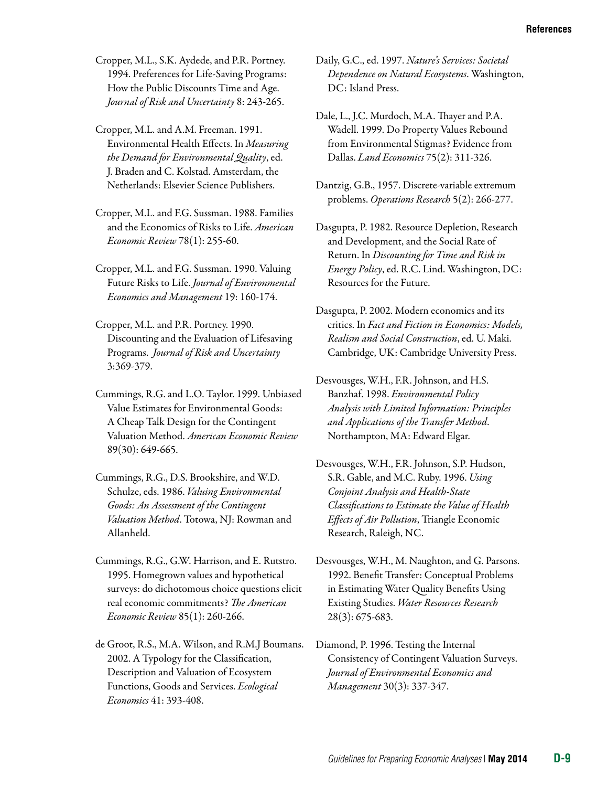Cropper, M.L., S.K. Aydede, and P.R. Portney. 1994. Preferences for Life-Saving Programs: How the Public Discounts Time and Age. *Journal of Risk and Uncertainty* 8: 243-265.

Cropper, M.L. and A.M. Freeman. 1991. Environmental Health Effects. In *Measuring the Demand for Environmental Quality*, ed. J. Braden and C. Kolstad. Amsterdam, the Netherlands: Elsevier Science Publishers.

Cropper, M.L. and F.G. Sussman. 1988. Families and the Economics of Risks to Life. *American Economic Review* 78(1): 255-60.

Cropper, M.L. and F.G. Sussman. 1990. Valuing Future Risks to Life. *Journal of Environmental Economics and Management* 19: 160-174.

Cropper, M.L. and P.R. Portney. 1990. Discounting and the Evaluation of Lifesaving Programs. *Journal of Risk and Uncertainty*  3:369-379.

Cummings, R.G. and L.O. Taylor. 1999. Unbiased Value Estimates for Environmental Goods: A Cheap Talk Design for the Contingent Valuation Method. *American Economic Review*  89(30): 649-665.

Cummings, R.G., D.S. Brookshire, and W.D. Schulze, eds. 1986. *Valuing Environmental Goods: An Assessment of the Contingent Valuation Method*. Totowa, NJ: Rowman and Allanheld.

Cummings, R.G., G.W. Harrison, and E. Rutstro. 1995. Homegrown values and hypothetical surveys: do dichotomous choice questions elicit real economic commitments? *The American Economic Review* 85(1): 260-266.

de Groot, R.S., M.A. Wilson, and R.M.J Boumans. 2002. A Typology for the Classification, Description and Valuation of Ecosystem Functions, Goods and Services. *Ecological Economics* 41: 393-408.

Daily, G.C., ed. 1997. *Nature's Services: Societal Dependence on Natural Ecosystems*. Washington, DC: Island Press.

Dale, L., J.C. Murdoch, M.A. Thayer and P.A. Wadell. 1999. Do Property Values Rebound from Environmental Stigmas? Evidence from Dallas. *Land Economics* 75(2): 311-326.

Dantzig, G.B., 1957. Discrete-variable extremum problems. *Operations Research* 5(2): 266-277.

Dasgupta, P. 1982. Resource Depletion, Research and Development, and the Social Rate of Return. In *Discounting for Time and Risk in Energy Policy*, ed. R.C. Lind. Washington, DC: Resources for the Future.

Dasgupta, P. 2002. Modern economics and its critics. In *Fact and Fiction in Economics: Models, Realism and Social Construction*, ed. U. Maki. Cambridge, UK: Cambridge University Press.

Desvousges, W.H., F.R. Johnson, and H.S. Banzhaf. 1998. *Environmental Policy Analysis with Limited Information: Principles and Applications of the Transfer Method*. Northampton, MA: Edward Elgar.

Desvousges, W.H., F.R. Johnson, S.P. Hudson, S.R. Gable, and M.C. Ruby. 1996. *Using Conjoint Analysis and Health-State Classifications to Estimate the Value of Health Effects of Air Pollution*, Triangle Economic Research, Raleigh, NC.

Desvousges, W.H., M. Naughton, and G. Parsons. 1992. Benefit Transfer: Conceptual Problems in Estimating Water Quality Benefits Using Existing Studies. *Water Resources Research*  28(3): 675-683.

Diamond, P. 1996. [Testing the Internal](http://ideas.repec.org/a/eee/jeeman/v30y1996i3p337-347.html)  [Consistency of Contingent Valuation Surveys.](http://ideas.repec.org/a/eee/jeeman/v30y1996i3p337-347.html) *[Journal of Environmental Economics and](http://ideas.repec.org/s/eee/jeeman.html)  [Management](http://ideas.repec.org/s/eee/jeeman.html)* 30(3): 337-347.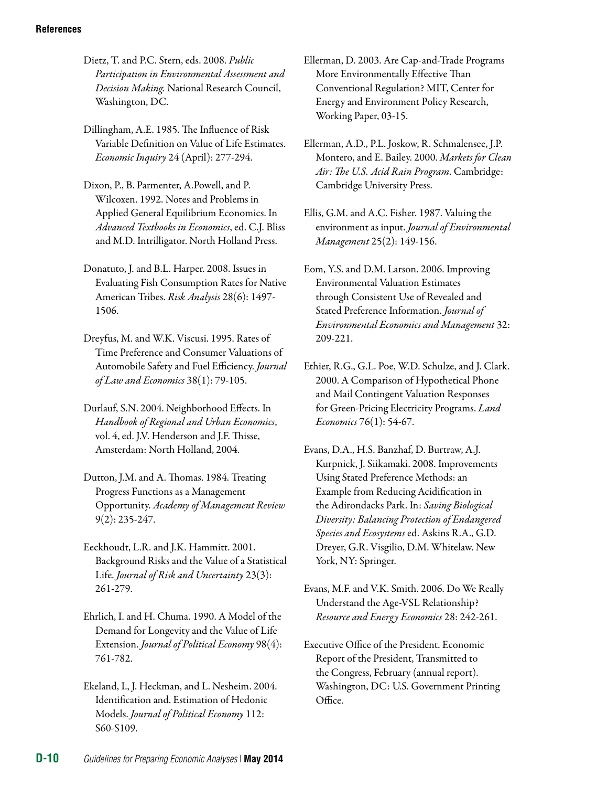Dietz, T. and P.C. Stern, eds. 2008. *Public Participation in Environmental Assessment and Decision Making.* National Research Council, Washington, DC.

Dillingham, A.E. 1985. The Influence of Risk Variable Definition on Value of Life Estimates. *Economic Inquiry* 24 (April): 277-294.

Dixon, P., B. Parmenter, A.Powell, and P. Wilcoxen. 1992. Notes and Problems in Applied General Equilibrium Economics. In *Advanced Textbooks in Economics*, ed. C.J. Bliss and M.D. Intrilligator. North Holland Press.

Donatuto, J. and B.L. Harper. 2008. Issues in Evaluating Fish Consumption Rates for Native American Tribes. *Risk Analysis* 28(6): 1497 1506.

Dreyfus, M. and W.K. Viscusi. 1995. Rates of Time Preference and Consumer Valuations of Automobile Safety and Fuel Efficiency. *Journal of Law and Economics* 38(1): 79-105.

Durlauf, S.N. 2004. Neighborhood Effects. In *Handbook of Regional and Urban Economics*, vol. 4, ed. J.V. Henderson and J.F. Thisse, Amsterdam: North Holland, 2004.

Dutton, J.M. and A. Thomas. 1984. Treating Progress Functions as a Management Opportunity. *Academy of Management Review*  9(2): 235-247.

Eeckhoudt, L.R. and J.K. Hammitt. 2001. Background Risks and the Value of a Statistical Life. *[Journal of Risk and Uncertainty](http://ideas.repec.org/s/kap/jrisku.html)* 23(3): 261-279.

Ehrlich, I. and H. Chuma. 1990. A Model of the Demand for Longevity and the Value of Life Extension. *Journal of Political Economy* 98(4): 761-782.

Ekeland, I., J. Heckman, and L. Nesheim. 2004. Identification and. Estimation of Hedonic Models. *Journal of Political Economy* 112: S60-S109.

Ellerman, D. 2003. Are Cap-and-Trade Programs More Environmentally Effective Than Conventional Regulation? MIT, Center for Energy and Environment Policy Research, Working Paper, 03-15.

Ellerman, A.D., P.L. Joskow, R. Schmalensee, J.P. Montero, and E. Bailey. 2000. *Markets for Clean Air: The U.S. Acid Rain Program*. Cambridge: Cambridge University Press.

Ellis, G.M. and A.C. Fisher. 1987. Valuing the environment as input. *Journal of Environmental Management* 25(2): 149-156.

Eom, Y.S. and D.M. Larson. 2006. Improving Environmental Valuation Estimates through Consistent Use of Revealed and Stated Preference Information. *Journal of Environmental Economics and Management* 32: 209-221.

Ethier, R.G., G.L. Poe, W.D. Schulze, and J. Clark. 2000. A Comparison of Hypothetical Phone and Mail Contingent Valuation Responses for Green-Pricing Electricity Programs. *Land Economics* 76(1): 54-67.

Evans, D.A., H.S. Banzhaf, D. Burtraw, A.J. Kurpnick, J. Siikamaki. 2008. Improvements Using Stated Preference Methods: an Example from Reducing Acidification in the Adirondacks Park. In: *Saving Biological Diversity: Balancing Protection of Endangered Species and Ecosystems* ed. Askins R.A., G.D. Dreyer, G.R. Visgilio, D.M. Whitelaw. New York, NY: Springer.

Evans, M.F. and V.K. Smith. 2006. Do We Really Understand the Age-VSL Relationship? *Resource and Energy Economics* 28: 242-261.

Executive Office of the President. Economic Report of the President, Transmitted to the Congress, February (annual report). Washington, DC: U.S. Government Printing Office.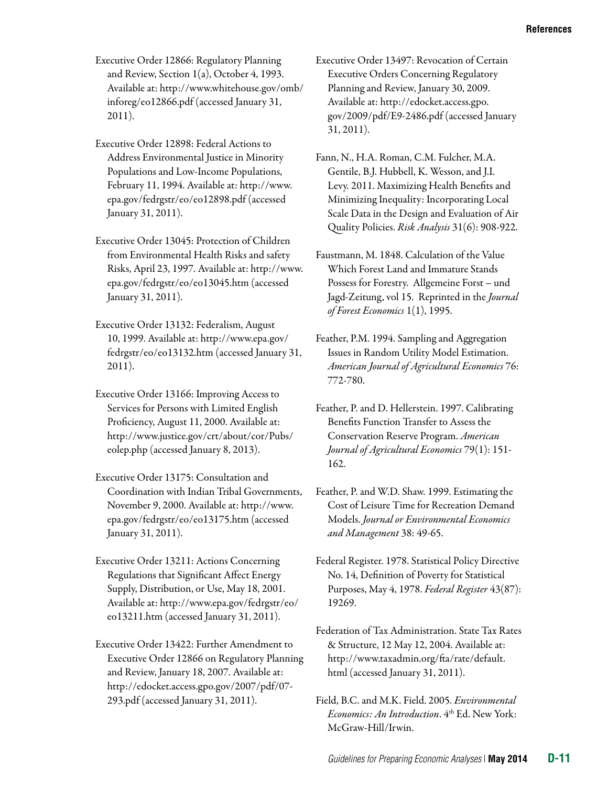Executive Order 12866: Regulatory Planning and Review, Section 1(a), October 4, 1993. Available at: [http://www.whitehouse.gov/omb/](http://www.whitehouse.gov/omb/inforeg/eo12866.pdf)  [inforeg/eo12866.pdf](http://www.whitehouse.gov/omb/inforeg/eo12866.pdf) (accessed January 31, 2011).

Executive Order 12898: Federal Actions to Address Environmental Justice in Minority Populations and Low-Income Populations, February 11, 1994. Available at: [http://www.](http://www.epa.gov/fedrgstr/eo/eo12898.pdf) [epa.gov/fedrgstr/eo/eo12898.pdf](http://www.epa.gov/fedrgstr/eo/eo12898.pdf) (accessed January 31, 2011).

Executive Order 13045: Protection of Children from Environmental Health Risks and safety Risks, April 23, 1997. Available at: [http://www.](http://www.epa.gov/fedrgstr/eo/eo13045.htm) [epa.gov/fedrgstr/eo/eo13045.htm](http://www.epa.gov/fedrgstr/eo/eo13045.htm) (accessed January 31, 2011).

Executive Order 13132: Federalism, August 10, 1999. Available at: [http://www.epa.gov/](http://www.epa.gov/fedrgstr/eo/eo13132.htm)  [fedrgstr/eo/eo13132.htm](http://www.epa.gov/fedrgstr/eo/eo13132.htm) (accessed January 31, 2011).

Executive Order 13166: Improving Access to Services for Persons with Limited English Proficiency, August 11, 2000. Available at: http://www.justice.gov/crt/about/cor/Pubs/ eolep.php (accessed January 8, 2013).

Executive Order 13175: Consultation and Coordination with Indian Tribal Governments, November 9, 2000. Available at: [http://www.](http://www.epa.gov/fedrgstr/eo/eo13175.htm)  [epa.gov/fedrgstr/eo/eo13175.htm](http://www.epa.gov/fedrgstr/eo/eo13175.htm) (accessed January 31, 2011).

Executive Order 13211: Actions Concerning Regulations that Significant Affect Energy Supply, Distribution, or Use, May 18, 2001. Available at: [http://www.epa.gov/fedrgstr/eo/](http://www.epa.gov/fedrgstr/eo/eo13211.htm)  [eo13211.htm](http://www.epa.gov/fedrgstr/eo/eo13211.htm) (accessed January 31, 2011).

Executive Order 13422: Further Amendment to Executive Order 12866 on Regulatory Planning and Review, January 18, 2007. Available at: [http://edocket.access.gpo.gov/2007/pdf/07](http://edocket.access.gpo.gov/2007/pdf/07-293.pdf) [293.pdf](http://edocket.access.gpo.gov/2007/pdf/07-293.pdf) (accessed January 31, 2011).

Executive Order 13497: Revocation of Certain Executive Orders Concerning Regulatory Planning and Review, January 30, 2009. Available at: [http://edocket.access.gpo.](http://edocket.access.gpo.gov/2009/pdf/E9-2486.pdf) [gov/2009/pdf/E9-2486.pdf](http://edocket.access.gpo.gov/2009/pdf/E9-2486.pdf) (accessed January 31, 2011).

Fann, N., H.A. Roman, C.M. Fulcher, M.A. Gentile, B.J. Hubbell, K. Wesson, and J.I. Levy. 2011. Maximizing Health Benefits and Minimizing Inequality: Incorporating Local Scale Data in the Design and Evaluation of Air Quality Policies. *Risk Analysis* 31(6): 908-922.

Faustmann, M. 1848. Calculation of the Value Which Forest Land and Immature Stands Possess for Forestry. Allgemeine Forst – und Jagd-Zeitung, vol 15. Reprinted in the *Journal of Forest Economics* 1(1), 1995.

Feather, P.M. 1994. Sampling and Aggregation Issues in Random Utility Model Estimation. *American Journal of Agricultural Economics* 76: 772-780.

Feather, P. and D. Hellerstein. 1997. Calibrating Benefits Function Transfer to Assess the Conservation Reserve Program. *American Journal of Agricultural Economics* 79(1): 151 162.

Feather, P. and W.D. Shaw. 1999. Estimating the Cost of Leisure Time for Recreation Demand Models. *Journal or Environmental Economics and Management* 38: 49-65.

Federal Register. 1978. Statistical Policy Directive No. 14, Definition of Poverty for Statistical Purposes, May 4, 1978. *Federal Register* 43(87): 19269.

Federation of Tax Administration. State Tax Rates & Structure, 12 May 12, 2004. Available at: [http://www.taxadmin.org/fta/rate/default.](http://www.taxadmin.org/fta/rate/default.html) [html](http://www.taxadmin.org/fta/rate/default.html) (accessed January 31, 2011).

Field, B.C. and M.K. Field. 2005. *Environmental Economics: An Introduction*. 4th Ed. New York: McGraw-Hill/Irwin.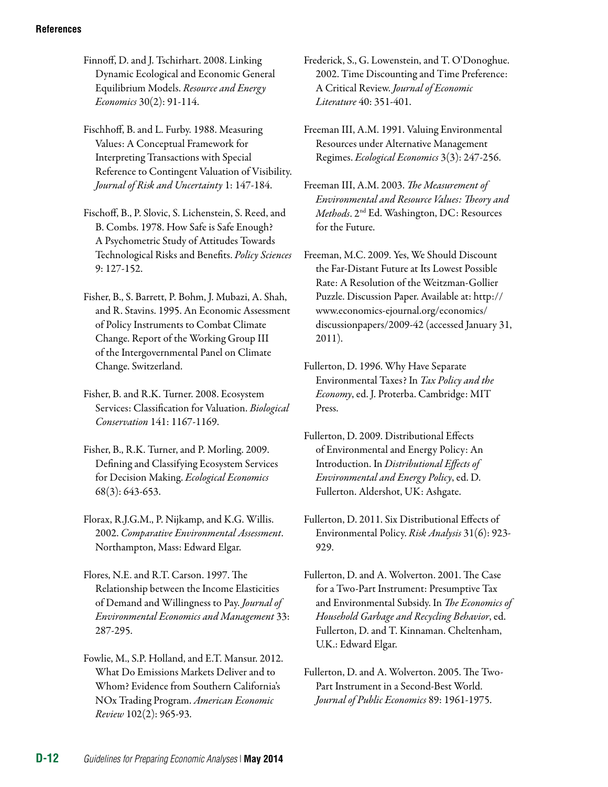Finnoff, D. and J. Tschirhart. 2008. Linking Dynamic Ecological and Economic General Equilibrium Models. *Resource and Energy Economics* 30(2): 91-114.

Fischhoff, B. and L. Furby. 1988. Measuring Values: A Conceptual Framework for Interpreting Transactions with Special Reference to Contingent Valuation of Visibility. *Journal of Risk and Uncertainty* 1: 147-184.

Fischoff, B., P. Slovic, S. Lichenstein, S. Reed, and B. Combs. 1978. How Safe is Safe Enough? A Psychometric Study of Attitudes Towards Technological Risks and Benefits. *Policy Sciences*  9: 127-152.

Fisher, B., S. Barrett, P. Bohm, J. Mubazi, A. Shah, and R. Stavins. 1995. An Economic Assessment of Policy Instruments to Combat Climate Change. Report of the Working Group III of the Intergovernmental Panel on Climate Change. Switzerland.

Fisher, B. and R.K. Turner. 2008. Ecosystem Services: Classification for Valuation. *Biological Conservation* 141: 1167-1169.

Fisher, B., R.K. Turner, and P. Morling. 2009. Defining and Classifying Ecosystem Services for Decision Making. *Ecological Economics*  68(3): 643-653.

Florax, R.J.G.M., P. Nijkamp, and K.G. Willis. 2002. *Comparative Environmental Assessment*. Northampton, Mass: Edward Elgar.

Flores, N.E. and R.T. Carson. 1997. The Relationship between the Income Elasticities of Demand and Willingness to Pay. *Journal of Environmental Economics and Management* 33: 287-295.

Fowlie, M., S.P. Holland, and E.T. Mansur. 2012. What Do Emissions Markets Deliver and to Whom? Evidence from Southern California's NOx Trading Program. *American Economic Review* 102(2): 965-93.

Frederick, S., G. Lowenstein, and T. O'Donoghue. 2002. Time Discounting and Time Preference: A Critical Review. *Journal of Economic Literature* 40: 351-401.

Freeman III, A.M. 1991. Valuing Environmental Resources under Alternative Management Regimes. *Ecological Economics* 3(3): 247-256.

Freeman III, A.M. 2003. *The Measurement of Environmental and Resource Values: Theory and Methods*. 2nd Ed. Washington, DC: Resources for the Future.

Freeman, M.C. 2009. Yes, We Should Discount the Far-Distant Future at Its Lowest Possible Rate: A Resolution of the Weitzman-Gollier Puzzle. Discussion Paper. Available at: [http://](http://www.economics-ejournal.org/economics/discussionpapers/2009-42)  [www.economics-ejournal.org/economics/](http://www.economics-ejournal.org/economics/discussionpapers/2009-42) [discussionpapers/2009-42](http://www.economics-ejournal.org/economics/discussionpapers/2009-42) (accessed January 31, 2011).

Fullerton, D. 1996. Why Have Separate Environmental Taxes? In *Tax Policy and the Economy*, ed. J. Proterba. Cambridge: MIT Press.

Fullerton, D. 2009. Distributional Effects of Environmental and Energy Policy: An Introduction. In *Distributional Effects of Environmental and Energy Policy*, ed. D. Fullerton. Aldershot, UK: Ashgate.

Fullerton, D. 2011. Six Distributional Effects of Environmental Policy. *Risk Analysis* 31(6): 923 929.

Fullerton, D. and A. Wolverton. 2001. The Case for a Two-Part Instrument: Presumptive Tax and Environmental Subsidy. In *The Economics of Household Garbage and Recycling Behavior*, ed. Fullerton, D. and T. Kinnaman. Cheltenham, U.K.: Edward Elgar.

Fullerton, D. and A. Wolverton. 2005. The Two-Part Instrument in a Second-Best World. *Journal of Public Economics* 89: 1961-1975.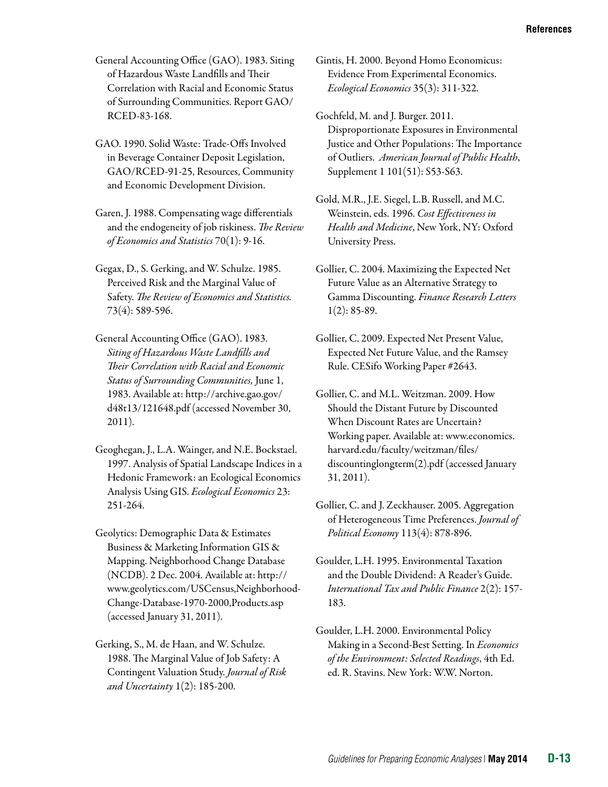General Accounting Office (GAO). 1983. Siting of Hazardous Waste Landfills and Their Correlation with Racial and Economic Status of Surrounding Communities. Report GAO/ RCED-83-168.

GAO. 1990. Solid Waste: Trade-Offs Involved in Beverage Container Deposit Legislation, GAO/RCED-91-25, Resources, Community and Economic Development Division.

Garen, J. 1988. Compensating wage differentials and the endogeneity of job riskiness. *The Review of Economics and Statistics* 70(1): 9-16.

Gegax, D., S. Gerking, and W. Schulze. 1985. Perceived Risk and the Marginal Value of Safety. *The Review of Economics and Statistics.*  73(4): 589-596.

General Accounting Office (GAO). 1983. *Siting of Hazardous Waste Landfills and Their Correlation with Racial and Economic Status of Surrounding Communities,* June 1, 1983. Available at: http://archive.gao.gov/ d48t13/121648.pdf (accessed November 30, 2011).

Geoghegan, J., L.A. Wainger, and N.E. Bockstael. 1997. Analysis of Spatial Landscape Indices in a Hedonic Framework: an Ecological Economics Analysis Using GIS. *Ecological Economics* 23: 251-264.

Geolytics: Demographic Data & Estimates Business & Marketing Information GIS & Mapping. Neighborhood Change Database (NCDB). 2 Dec. 2004. Available at: [http://](http://www.geolytics.com/USCensus,Neighborhood-Change-Database-1970-2000,Products.asp) [www.geolytics.com/USCensus,Neighborhood-](http://www.geolytics.com/USCensus,Neighborhood-Change-Database-1970-2000,Products.asp)[Change-Database-1970-2000,Products.asp](http://www.geolytics.com/USCensus,Neighborhood-Change-Database-1970-2000,Products.asp)  (accessed January 31, 2011).

Gerking, S., M. de Haan, and W. Schulze. 1988. The Marginal Value of Job Safety: A Contingent Valuation Study. *Journal of Risk and Uncertainty* 1(2): 185-200.

Gintis, H. 2000. Beyond Homo Economicus: Evidence From Experimental Economics. *Ecological Economics* 35(3): 311-322.

Gochfeld, M. and J. Burger. 2011. Disproportionate Exposures in Environmental Justice and Other Populations: The Importance of Outliers. *American Journal of Public Health*, Supplement 1 101(51): S53-S63.

Gold, M.R., J.E. Siegel, L.B. Russell, and M.C. Weinstein, eds. 1996. *Cost Effectiveness in Health and Medicine*, New York, NY: Oxford University Press.

Gollier, C. 2004. Maximizing the Expected Net Future Value as an Alternative Strategy to Gamma Discounting. *Finance Research Letters*   $1(2): 85-89.$ 

Gollier, C. 2009. Expected Net Present Value, Expected Net Future Value, and the Ramsey Rule. CESifo Working Paper #2643.

Gollier, C. and M.L. Weitzman. 2009. How Should the Distant Future by Discounted When Discount Rates are Uncertain? Working paper. Available at: [www.economics.](http://www.economics.harvard.edu/faculty/weitzman/files/discountinglongterm(2).pdf) [harvard.edu/faculty/weitzman/files/](http://www.economics.harvard.edu/faculty/weitzman/files/discountinglongterm(2).pdf) [discountinglongterm\(2\).pdf](http://www.economics.harvard.edu/faculty/weitzman/files/discountinglongterm(2).pdf) (accessed January 31, 2011).

Gollier, C. and J. Zeckhauser. 2005. Aggregation of Heterogeneous Time Preferences. *Journal of Political Economy* 113(4): 878-896.

Goulder, L.H. 1995. Environmental Taxation and the Double Dividend: A Reader's Guide. *International Tax and Public Finance* 2(2): 157 183.

Goulder, L.H. 2000. Environmental Policy Making in a Second-Best Setting. In *Economics of the Environment: Selected Readings*, 4th Ed. ed. R. Stavins. New York: W.W. Norton.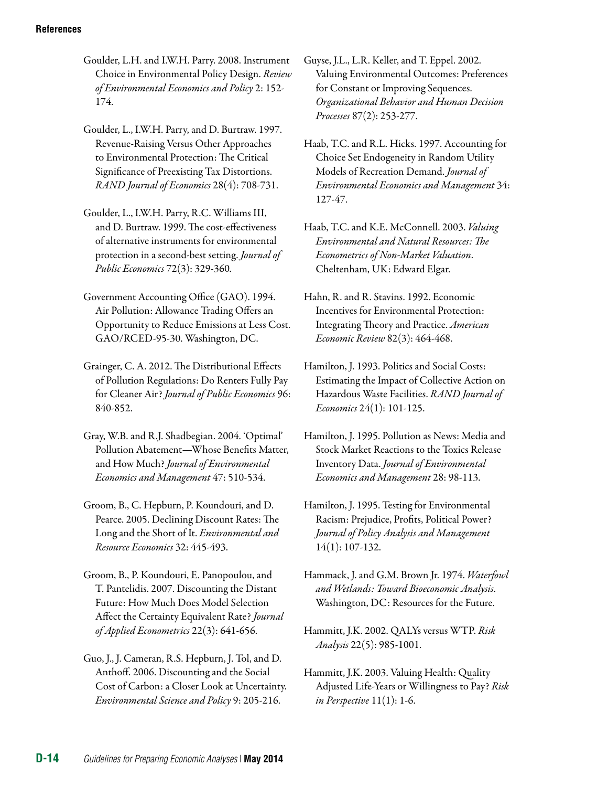- Goulder, L.H. and I.W.H. Parry. 2008. Instrument Choice in Environmental Policy Design. *Review of Environmental Economics and Policy* 2: 152 174.
- Goulder, L., I.W.H. Parry, and D. Burtraw. 1997. Revenue-Raising Versus Other Approaches to Environmental Protection: The Critical Significance of Preexisting Tax Distortions. *RAND Journal of Economics* 28(4): 708-731.
- Goulder, L., I.W.H. Parry, R.C. Williams III, and D. Burtraw. 1999. The cost-effectiveness of alternative instruments for environmental protection in a second-best setting. *Journal of Public Economics* 72(3): 329-360*.*
- Government Accounting Office (GAO). 1994. Air Pollution: Allowance Trading Offers an Opportunity to Reduce Emissions at Less Cost. GAO/RCED-95-30. Washington, DC.
- Grainger, C. A. 2012. The Distributional Effects of Pollution Regulations: Do Renters Fully Pay for Cleaner Air? *Journal of Public Economics* 96: 840-852.
- Gray, W.B. and R.J. Shadbegian. 2004. 'Optimal' Pollution Abatement—Whose Benefits Matter, and How Much? *Journal of Environmental Economics and Management* 47: 510-534.
- Groom, B., C. Hepburn, P. Koundouri, and D. Pearce. 2005. Declining Discount Rates: The Long and the Short of It. *Environmental and Resource Economics* 32: 445-493.
- Groom, B., P. Koundouri, E. Panopoulou, and T. Pantelidis. 2007. Discounting the Distant Future: How Much Does Model Selection Affect the Certainty Equivalent Rate? *Journal of Applied Econometrics* 22(3): 641-656.
- Guo, J., J. Cameran, R.S. Hepburn, J. Tol, and D. Anthoff. 2006. Discounting and the Social Cost of Carbon: a Closer Look at Uncertainty. *Environmental Science and Policy* 9: 205-216.
- Guyse, J.L., L.R. Keller, and T. Eppel. 2002. Valuing Environmental Outcomes: Preferences for Constant or Improving Sequences. *Organizational Behavior and Human Decision Processes* 87(2): 253-277.
- Haab, T.C. and R.L. Hicks. 1997. Accounting for Choice Set Endogeneity in Random Utility Models of Recreation Demand. *Journal of Environmental Economics and Management* 34: 127-47.
- Haab, T.C. and K.E. McConnell. 2003. *Valuing Environmental and Natural Resources: The Econometrics of Non-Market Valuation*. Cheltenham, UK: Edward Elgar.
- Hahn, R. and R. Stavins. 1992. Economic Incentives for Environmental Protection: Integrating Theory and Practice. *American Economic Review* 82(3): 464-468.
- Hamilton, J. 1993. Politics and Social Costs: Estimating the Impact of Collective Action on Hazardous Waste Facilities. *RAND Journal of Economics* 24(1): 101-125.
- Hamilton, J. 1995. Pollution as News: Media and Stock Market Reactions to the Toxics Release Inventory Data. *Journal of Environmental Economics and Management* 28: 98-113.
- Hamilton, J. 1995. Testing for Environmental Racism: Prejudice, Profits, Political Power? *Journal of Policy Analysis and Management*  14(1): 107-132.
- Hammack, J. and G.M. Brown Jr. 1974. *Waterfowl and Wetlands: Toward Bioeconomic Analysis*. Washington, DC: Resources for the Future.
- Hammitt, J.K. 2002. QALYs versus WTP. *Risk Analysis* 22(5): 985-1001.
- Hammitt, J.K. 2003. Valuing Health: Quality Adjusted Life-Years or Willingness to Pay? *Risk in Perspective* 11(1): 1-6.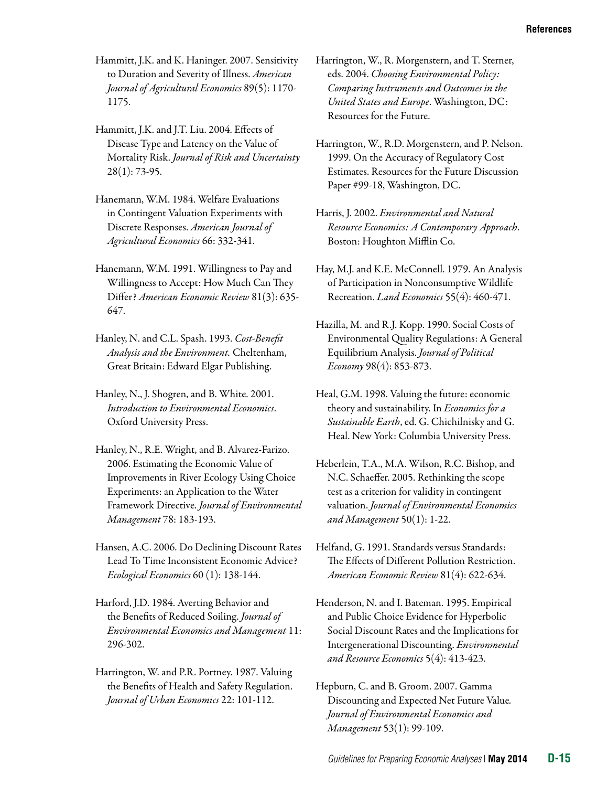- Hammitt, J.K. and K. Haninger. 2007. Sensitivity to Duration and Severity of Illness. *American Journal of Agricultural Economics* 89(5): 1170 1175.
- Hammitt, J.K. and J.T. Liu. 2004. Effects of Disease Type and Latency on the Value of Mortality Risk. *Journal of Risk and Uncertainty*  28(1): 73-95.
- Hanemann, W.M. 1984. Welfare Evaluations in Contingent Valuation Experiments with Discrete Responses. *American Journal of Agricultural Economics* 66: 332-341.
- Hanemann, W.M. 1991. Willingness to Pay and Willingness to Accept: How Much Can They Differ? *American Economic Review* 81(3): 635 647.
- Hanley, N. and C.L. Spash. 1993. *Cost-Benefit Analysis and the Environment.* Cheltenham, Great Britain: Edward Elgar Publishing.
- Hanley, N., J. Shogren, and B. White. 2001. *Introduction to Environmental Economics*. Oxford University Press.
- Hanley, N., R.E. Wright, and B. Alvarez-Farizo. 2006. Estimating the Economic Value of Improvements in River Ecology Using Choice Experiments: an Application to the Water Framework Directive. *Journal of Environmental Management* 78: 183-193.
- Hansen, A.C. 2006. Do Declining Discount Rates Lead To Time Inconsistent Economic Advice? *Ecological Economics* 60 (1): 138-144.
- Harford, J.D. 1984. Averting Behavior and the Benefits of Reduced Soiling. *Journal of Environmental Economics and Management* 11: 296-302.
- Harrington, W. and P.R. Portney. 1987. Valuing the Benefits of Health and Safety Regulation. *Journal of Urban Economics* 22: 101-112.
- Harrington, W., R. Morgenstern, and T. Sterner, eds. 2004. *Choosing Environmental Policy: Comparing Instruments and Outcomes in the United States and Europe*. Washington, DC: Resources for the Future.
- Harrington, W., R.D. Morgenstern, and P. Nelson. 1999. On the Accuracy of Regulatory Cost Estimates. Resources for the Future Discussion Paper #99-18, Washington, DC.
- Harris, J. 2002. *Environmental and Natural Resource Economics: A Contemporary Approach*. Boston: Houghton Mifflin Co.
- Hay, M.J. and K.E. McConnell. 1979. An Analysis of Participation in Nonconsumptive Wildlife Recreation. *Land Economics* 55(4): 460-471.
- Hazilla, M. and R.J. Kopp. 1990. Social Costs of Environmental Quality Regulations: A General Equilibrium Analysis. *Journal of Political Economy* 98(4): 853-873.
- Heal, G.M. 1998. Valuing the future: economic theory and sustainability. In *Economics for a Sustainable Earth*, ed. G. Chichilnisky and G. Heal. New York: Columbia University Press.
- Heberlein, T.A., M.A. Wilson, R.C. Bishop, and N.C. Schaeffer. 2005. Rethinking the scope test as a criterion for validity in contingent valuation. *Journal of Environmental Economics and Management* 50(1): 1-22.
- Helfand, G. 1991. Standards versus Standards: The Effects of Different Pollution Restriction. *American Economic Review* 81(4): 622-634.
- Henderson, N. and I. Bateman. 1995. Empirical and Public Choice Evidence for Hyperbolic Social Discount Rates and the Implications for Intergenerational Discounting. *Environmental and Resource Economics* 5(4): 413-423.
- Hepburn, C. and B. Groom. 2007. [Gamma](http://ideas.repec.org/a/eee/jeeman/v53y2007i1p99-109.html)  [Discounting and Expected Net Future Value](http://ideas.repec.org/a/eee/jeeman/v53y2007i1p99-109.html)*. [Journal of Environmental Economics and](http://ideas.repec.org/s/eee/jeeman.html)  [Management](http://ideas.repec.org/s/eee/jeeman.html)* 53(1): 99-109.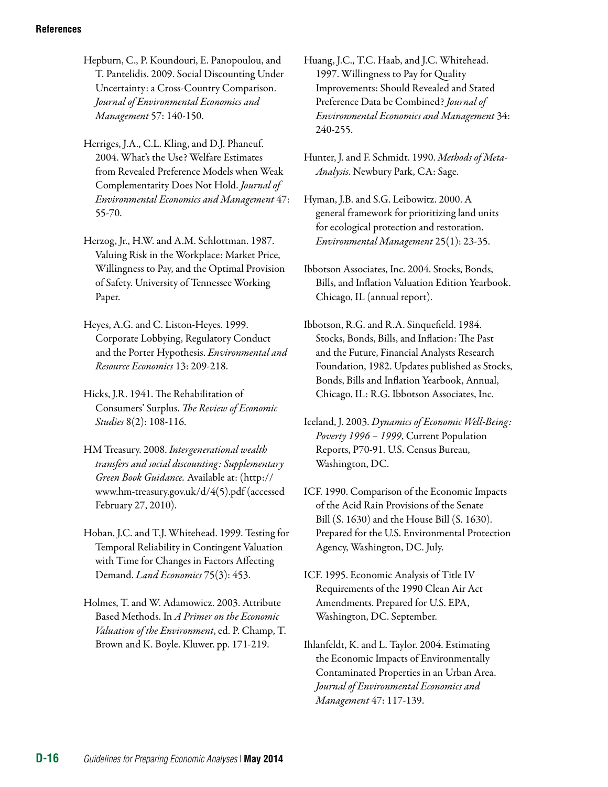Hepburn, C., P. Koundouri, E. Panopoulou, and T. Pantelidis. 2009. Social Discounting Under Uncertainty: a Cross-Country Comparison. *Journal of Environmental Economics and Management* 57: 140-150.

Herriges, J.A., C.L. Kling, and D.J. Phaneuf. 2004. What's the Use? Welfare Estimates from Revealed Preference Models when Weak Complementarity Does Not Hold. *Journal of Environmental Economics and Management* 47: 55-70.

Herzog, Jr., H.W. and A.M. Schlottman. 1987. Valuing Risk in the Workplace: Market Price, Willingness to Pay, and the Optimal Provision of Safety. University of Tennessee Working Paper.

Heyes, A.G. and C. Liston-Heyes. 1999. Corporate Lobbying, Regulatory Conduct and the Porter Hypothesis. *Environmental and Resource Economics* 13: 209-218.

Hicks, J.R. 1941. The Rehabilitation of Consumers' Surplus. *The Review of Economic Studies* 8(2): 108-116.

HM Treasury. 2008. *Intergenerational wealth transfers and social discounting: Supplementary Green Book Guidance.* Available at: ([http://](http://www.hm-treasury.gov.uk/d/4(5).pdf)  [www.hm-treasury.gov.uk/d/4\(5\).pdf](http://www.hm-treasury.gov.uk/d/4(5).pdf) (accessed February 27, 2010).

Hoban, J.C. and T.J. Whitehead. 1999. Testing for Temporal Reliability in Contingent Valuation with Time for Changes in Factors Affecting Demand. *Land Economics* 75(3): 453.

Holmes, T. and W. Adamowicz. 2003. Attribute Based Methods. In *A Primer on the Economic Valuation of the Environment*, ed. P. Champ, T. Brown and K. Boyle. Kluwer. pp. 171-219.

Huang, J.C., T.C. Haab, and J.C. Whitehead. 1997. Willingness to Pay for Quality Improvements: Should Revealed and Stated Preference Data be Combined? *Journal of Environmental Economics and Management* 34: 240-255.

Hunter, J. and F. Schmidt. 1990. *Methods of Meta-Analysis*. Newbury Park, CA: Sage.

Hyman, J.B. and S.G. Leibowitz. 2000. A general framework for prioritizing land units for ecological protection and restoration. *Environmental Management* 25(1): 23-35.

Ibbotson Associates, Inc. 2004. Stocks, Bonds, Bills, and Inflation Valuation Edition Yearbook. Chicago, IL (annual report).

Ibbotson, R.G. and R.A. Sinquefield. 1984. Stocks, Bonds, Bills, and Inflation: The Past and the Future, Financial Analysts Research Foundation, 1982. Updates published as Stocks, Bonds, Bills and Inflation Yearbook, Annual, Chicago, IL: R.G. Ibbotson Associates, Inc.

Iceland, J. 2003. *Dynamics of Economic Well-Being: Poverty 1996 – 1999*, Current Population Reports, P70-91. U.S. Census Bureau, Washington, DC.

ICF. 1990. Comparison of the Economic Impacts of the Acid Rain Provisions of the Senate Bill (S. 1630) and the House Bill (S. 1630). Prepared for the U.S. Environmental Protection Agency, Washington, DC. July.

ICF. 1995. Economic Analysis of Title IV Requirements of the 1990 Clean Air Act Amendments. Prepared for U.S. EPA, Washington, DC. September.

Ihlanfeldt, K. and L. Taylor. 2004. Estimating the Economic Impacts of Environmentally Contaminated Properties in an Urban Area. *Journal of Environmental Economics and Management* 47: 117-139.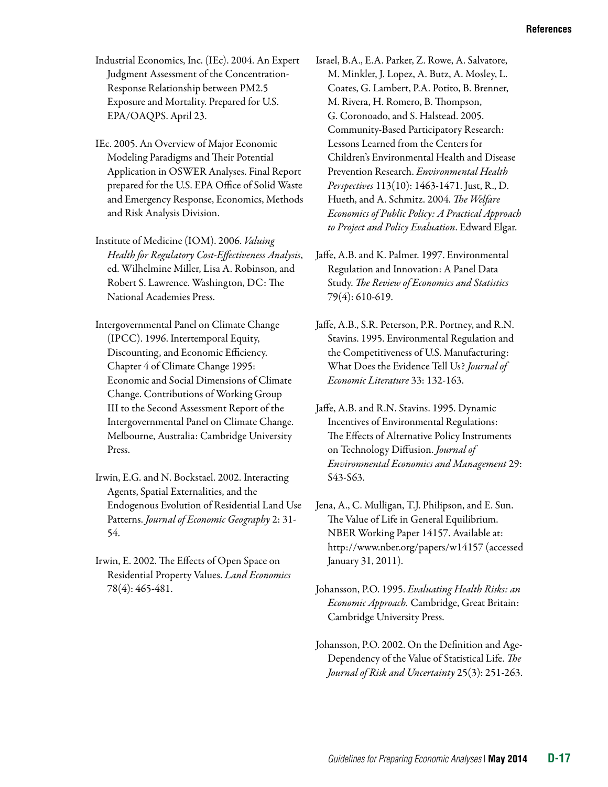- Industrial Economics, Inc. (IEc). 2004. An Expert Judgment Assessment of the Concentration-Response Relationship between PM2.5 Exposure and Mortality. Prepared for U.S. EPA/OAQPS. April 23.
- IEc. 2005. An Overview of Major Economic Modeling Paradigms and Their Potential Application in OSWER Analyses. Final Report prepared for the U.S. EPA Office of Solid Waste and Emergency Response, Economics, Methods and Risk Analysis Division.
- Institute of Medicine (IOM). 2006. *Valuing Health for Regulatory Cost-Effectiveness Analysis*, ed. Wilhelmine Miller, Lisa A. Robinson, and Robert S. Lawrence. Washington, DC: The National Academies Press.
- Intergovernmental Panel on Climate Change (IPCC). 1996. Intertemporal Equity, Discounting, and Economic Efficiency. Chapter 4 of Climate Change 1995: Economic and Social Dimensions of Climate Change. Contributions of Working Group III to the Second Assessment Report of the Intergovernmental Panel on Climate Change. Melbourne, Australia: Cambridge University Press.
- Irwin, E.G. and N. Bockstael. 2002. Interacting Agents, Spatial Externalities, and the Endogenous Evolution of Residential Land Use Patterns. *Journal of Economic Geography* 2: 31 54.
- Irwin, E. 2002. The Effects of Open Space on Residential Property Values. *Land Economics*  78(4): 465-481.
- Israel, B.A., E.A. Parker, Z. Rowe, A. Salvatore, M. Minkler, J. Lopez, A. Butz, A. Mosley, L. Coates, G. Lambert, P.A. Potito, B. Brenner, M. Rivera, H. Romero, B. Thompson, G. Coronoado, and S. Halstead. 2005. Community-Based Participatory Research: Lessons Learned from the Centers for Children's Environmental Health and Disease Prevention Research. *Environmental Health Perspectives* 113(10): 1463-1471. Just, R., D. Hueth, and A. Schmitz. 2004. *The Welfare Economics of Public Policy: A Practical Approach to Project and Policy Evaluation*. Edward Elgar.
- Jaffe, A.B. and K. Palmer. 1997. Environmental Regulation and Innovation: A Panel Data Study. *The Review of Economics and Statistics*  79(4): 610-619.
- Jaffe, A.B., S.R. Peterson, P.R. Portney, and R.N. Stavins. 1995. Environmental Regulation and the Competitiveness of U.S. Manufacturing: What Does the Evidence Tell Us? *Journal of Economic Literature* 33: 132-163.
- Jaffe, A.B. and R.N. Stavins. 1995. Dynamic Incentives of Environmental Regulations: The Effects of Alternative Policy Instruments on Technology Diffusion. *Journal of Environmental Economics and Management* 29: S43-S63.
- Jena, A., C. Mulligan, T.J. Philipson, and E. Sun. The Value of Life in General Equilibrium. NBER Working Paper 14157. Available at: <http://www.nber.org/papers/w14157>(accessed January 31, 2011).
- Johansson, P.O. 1995. *Evaluating Health Risks: an Economic Approach.* Cambridge, Great Britain: Cambridge University Press.
- Johansson, P.O. 2002. On the Definition and Age-Dependency of the Value of Statistical Life. *The Journal of Risk and Uncertainty* 25(3): 251-263.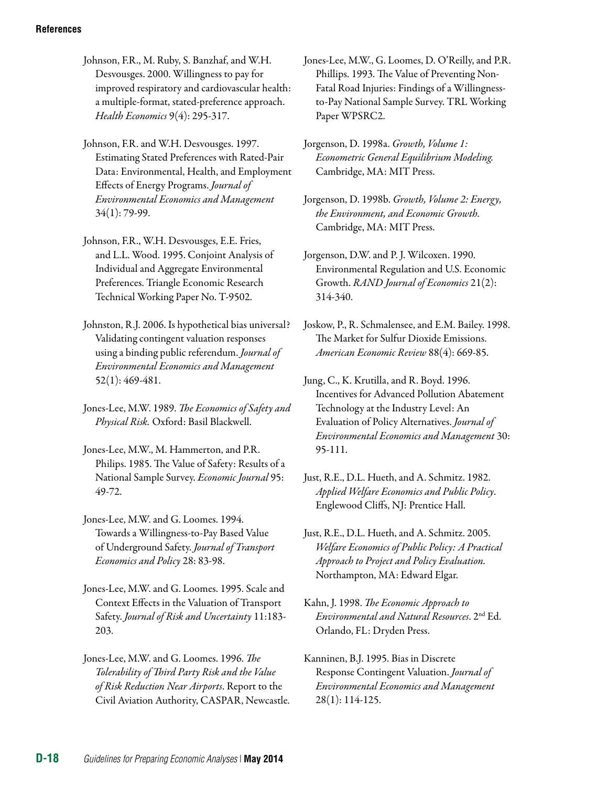Johnson, F.R., M. Ruby, S. Banzhaf, and W.H. Desvousges. 2000. Willingness to pay for improved respiratory and cardiovascular health: a multiple-format, stated-preference approach. *Health Economics* 9(4): 295-317.

Johnson, F.R. and W.H. Desvousges. 1997. Estimating Stated Preferences with Rated-Pair Data: Environmental, Health, and Employment Effects of Energy Programs. *Journal of Environmental Economics and Management*  34(1): 79-99.

Johnson, F.R., W.H. Desvousges, E.E. Fries, and L.L. Wood. 1995. Conjoint Analysis of Individual and Aggregate Environmental Preferences. Triangle Economic Research Technical Working Paper No. T-9502.

Johnston, R.J. 2006. Is hypothetical bias universal? Validating contingent valuation responses using a binding public referendum. *Journal of Environmental Economics and Management*  52(1): 469-481.

Jones-Lee, M.W. 1989. *The Economics of Safety and Physical Risk.* Oxford: Basil Blackwell.

Jones-Lee, M.W., M. Hammerton, and P.R. Philips. 1985. The Value of Safety: Results of a National Sample Survey. *Economic Journal* 95: 49-72.

Jones-Lee, M.W. and G. Loomes. 1994. Towards a Willingness-to-Pay Based Value of Underground Safety. *Journal of Transport Economics and Policy* 28: 83-98.

Jones-Lee, M.W. and G. Loomes. 1995. Scale and Context Effects in the Valuation of Transport Safety. *Journal of Risk and Uncertainty* 11:183 203.

Jones-Lee, M.W. and G. Loomes. 1996. *The Tolerability of Third Party Risk and the Value of Risk Reduction Near Airports*. Report to the Civil Aviation Authority, CASPAR, Newcastle. Jones-Lee, M.W., G. Loomes, D. O'Reilly, and P.R. Phillips. 1993. The Value of Preventing Non-Fatal Road Injuries: Findings of a Willingnessto-Pay National Sample Survey. TRL Working Paper WPSRC2.

Jorgenson, D. 1998a. *Growth, Volume 1: Econometric General Equilibrium Modeling.*  Cambridge, MA: MIT Press.

Jorgenson, D. 1998b. *Growth, Volume 2: Energy, the Environment, and Economic Growth.*  Cambridge, MA: MIT Press.

Jorgenson, D.W. and P. J. Wilcoxen. 1990. Environmental Regulation and U.S. Economic Growth. *RAND Journal of Economics* 21(2): 314-340.

Joskow, P., R. Schmalensee, and E.M. Bailey. 1998. The Market for Sulfur Dioxide Emissions. *American Economic Review* 88(4): 669-85.

Jung, C., K. Krutilla, and R. Boyd. 1996. Incentives for Advanced Pollution Abatement Technology at the Industry Level: An Evaluation of Policy Alternatives. *Journal of Environmental Economics and Management* 30: 95-111.

Just, R.E., D.L. Hueth, and A. Schmitz. 2005. *Welfare Economics of Public Policy: A Practical Approach to Project and Policy Evaluation.*  Northampton, MA: Edward Elgar.

Kahn, J. 1998. *The Economic Approach to Environmental and Natural Resources*. 2nd Ed. Orlando, FL: Dryden Press.

Kanninen, B.J. 1995. Bias in Discrete Response Contingent Valuation. *Journal of Environmental Economics and Management*  28(1): 114-125.

Just, R.E., D.L. Hueth, and A. Schmitz. 1982. *Applied Welfare Economics and Public Policy*. Englewood Cliffs, NJ: Prentice Hall.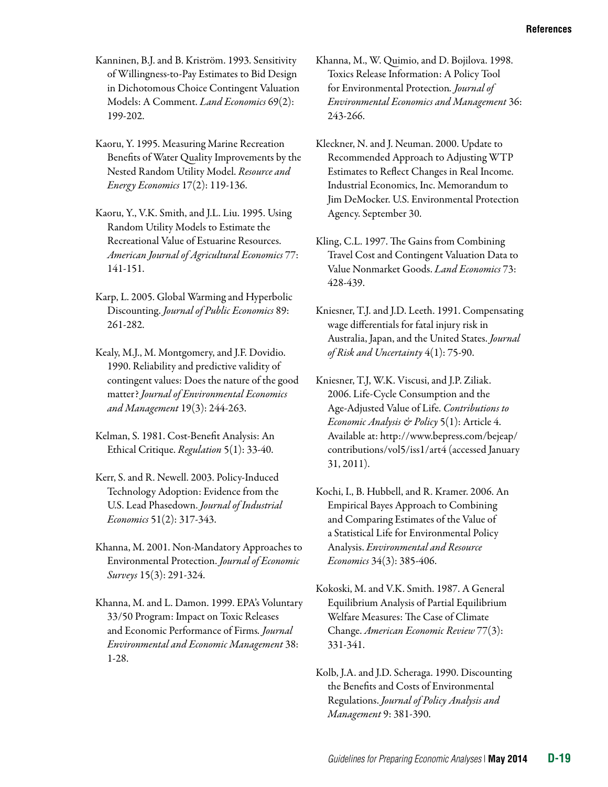- Kanninen, B.J. and B. Kriström. 1993. Sensitivity of Willingness-to-Pay Estimates to Bid Design in Dichotomous Choice Contingent Valuation Models: A Comment. *Land Economics* 69(2): 199-202.
- Kaoru, Y. 1995. Measuring Marine Recreation Benefits of Water Quality Improvements by the Nested Random Utility Model. *Resource and Energy Economics* 17(2): 119-136.
- Kaoru, Y., V.K. Smith, and J.L. Liu. 1995. Using Random Utility Models to Estimate the Recreational Value of Estuarine Resources. *American Journal of Agricultural Economics* 77: 141-151.
- Karp, L. 2005. Global Warming and Hyperbolic Discounting. *Journal of Public Economics* 89: 261-282.
- Kealy, M.J., M. Montgomery, and J.F. Dovidio. 1990. Reliability and predictive validity of contingent values: Does the nature of the good matter? *Journal of Environmental Economics and Management* 19(3): 244-263.
- Kelman, S. 1981. Cost-Benefit Analysis: An Ethical Critique. *Regulation* 5(1): 33-40.
- Kerr, S. and R. Newell. 2003. Policy-Induced Technology Adoption: Evidence from the U.S. Lead Phasedown. *Journal of Industrial Economics* 51(2): 317-343.
- Khanna, M. 2001. Non-Mandatory Approaches to Environmental Protection. *Journal of Economic Surveys* 15(3): 291-324.
- Khanna, M. and L. Damon. 1999. EPA's Voluntary 33/50 Program: Impact on Toxic Releases and Economic Performance of Firms*. Journal Environmental and Economic Management* 38: 1-28.
- Khanna, M., W. Quimio, and D. Bojilova. 1998. Toxics Release Information: A Policy Tool for Environmental Protection*. Journal of Environmental Economics and Management* 36: 243-266.
- Kleckner, N. and J. Neuman. 2000. Update to Recommended Approach to Adjusting WTP Estimates to Reflect Changes in Real Income. Industrial Economics, Inc. Memorandum to Jim DeMocker. U.S. Environmental Protection Agency. September 30.
- Kling, C.L. 1997. The Gains from Combining Travel Cost and Contingent Valuation Data to Value Nonmarket Goods. *Land Economics* 73: 428-439.
- Kniesner, T.J. and J.D. Leeth. 1991. Compensating wage differentials for fatal injury risk in Australia, Japan, and the United States. *Journal of Risk and Uncertainty* 4(1): 75-90.
- Kniesner, T.J, W.K. Viscusi, and J.P. Ziliak. 2006. Life-Cycle Consumption and the Age-Adjusted Value of Life. *Contributions to Economic Analysis & Policy* 5(1): Article 4. Available at: [http://www.bepress.com/bejeap/](http://www.bepress.com/bejeap/contributions/vol5/iss1/art4)  [contributions/vol5/iss1/art4](http://www.bepress.com/bejeap/contributions/vol5/iss1/art4) (accessed January 31, 2011).
- Kochi, I., B. Hubbell, and R. Kramer. 2006. An Empirical Bayes Approach to Combining and Comparing Estimates of the Value of a Statistical Life for Environmental Policy Analysis. *Environmental and Resource Economics* 34(3): 385-406.
- Kokoski, M. and V.K. Smith. 1987. A General Equilibrium Analysis of Partial Equilibrium Welfare Measures: The Case of Climate Change. *American Economic Review* 77(3): 331-341.
- Kolb, J.A. and J.D. Scheraga. 1990. Discounting the Benefits and Costs of Environmental Regulations. *Journal of Policy Analysis and Management* 9: 381-390.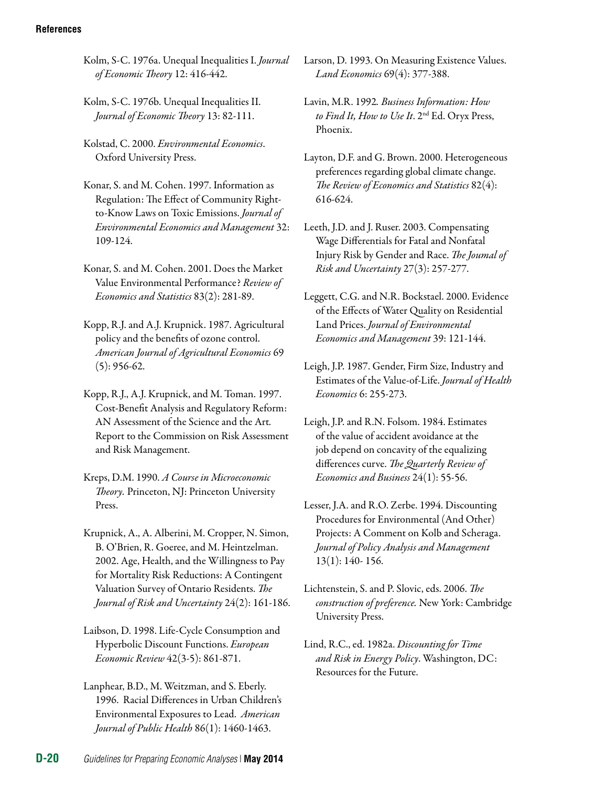- Kolm, S-C. 1976a. Unequal Inequalities I. *Journal of Economic Theory* 12: 416-442.
- Kolm, S-C. 1976b. Unequal Inequalities II. *Journal of Economic Theory* 13: 82-111.
- Kolstad, C. 2000. *Environmental Economics*. Oxford University Press.
- Konar, S. and M. Cohen. 1997. Information as Regulation: The Effect of Community Rightto-Know Laws on Toxic Emissions. *Journal of Environmental Economics and Management* 32: 109-124.
- Konar, S. and M. Cohen. 2001. Does the Market Value Environmental Performance? *Review of Economics and Statistics* 83(2): 281-89.
- Kopp, R.J. and A.J. Krupnick. 1987. Agricultural policy and the benefits of ozone control. *American Journal of Agricultural Economics* 69 (5): 956-62.
- Kopp, R.J., A.J. Krupnick, and M. Toman. 1997. Cost-Benefit Analysis and Regulatory Reform: AN Assessment of the Science and the Art*.*  Report to the Commission on Risk Assessment and Risk Management.
- Kreps, D.M. 1990. *A Course in Microeconomic Theory.* Princeton, NJ: Princeton University Press.
- Krupnick, A., A. Alberini, M. Cropper, N. Simon, B. O'Brien, R. Goeree, and M. Heintzelman. 2002. Age, Health, and the Willingness to Pay for Mortality Risk Reductions: A Contingent Valuation Survey of Ontario Residents. *The Journal of Risk and Uncertainty* 24(2): 161-186.
- Laibson, D. 1998. Life-Cycle Consumption and Hyperbolic Discount Functions. *European Economic Review* 42(3-5): 861-871.
- Lanphear, B.D., M. Weitzman, and S. Eberly. 1996. Racial Differences in Urban Children's Environmental Exposures to Lead. *American Journal of Public Health* 86(1): 1460-1463.
- Larson, D. 1993. On Measuring Existence Values. *Land Economics* 69(4): 377-388.
- Lavin, M.R. 1992*. Business Information: How to Find It, How to Use It*. 2nd Ed. Oryx Press, Phoenix.
- Layton, D.F. and G. Brown. 2000. Heterogeneous preferences regarding global climate change. *The Review of Economics and Statistics* 82(4): 616-624.
- Leeth, J.D. and J. Ruser. 2003. Compensating Wage Differentials for Fatal and Nonfatal Injury Risk by Gender and Race. *The Joumal of Risk and Uncertainty* 27(3): 257-277.
- Leggett, C.G. and N.R. Bockstael. 2000. Evidence of the Effects of Water Quality on Residential Land Prices. *Journal of Environmental Economics and Management* 39: 121-144.
- Leigh, J.P. 1987. Gender, Firm Size, Industry and Estimates of the Value-of-Life. *Journal of Health Economics* 6: 255-273.
- Leigh, J.P. and R.N. Folsom. 1984. Estimates of the value of accident avoidance at the job depend on concavity of the equalizing differences curve. *The Quarterly Review of Economics and Business* 24(1): 55-56.
- Lesser, J.A. and R.O. Zerbe. 1994. Discounting Procedures for Environmental (And Other) Projects: A Comment on Kolb and Scheraga. *Journal of Policy Analysis and Management*  13(1): 140- 156.
- Lichtenstein, S. and P. Slovic, eds. 2006. *The construction of preference.* New York: Cambridge University Press.
- Lind, R.C., ed. 1982a. *Discounting for Time and Risk in Energy Policy*. Washington, DC: Resources for the Future.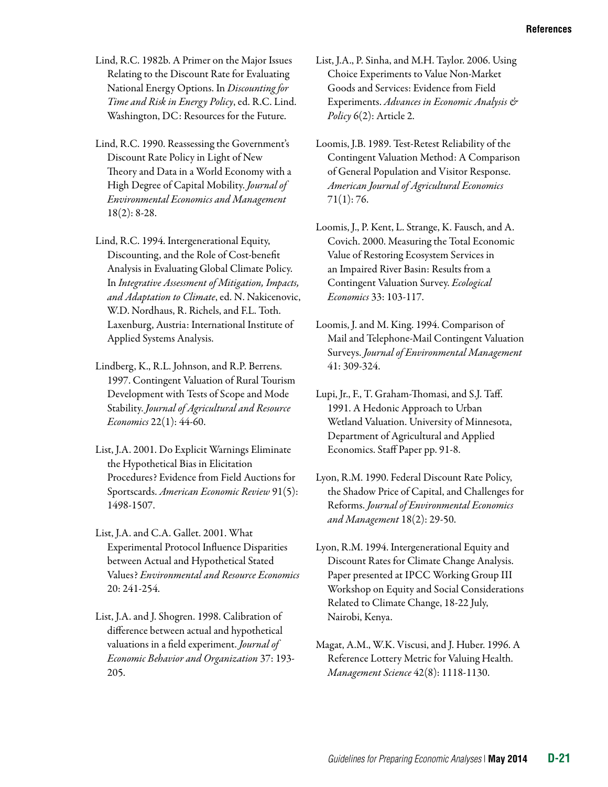- Lind, R.C. 1982b. A Primer on the Major Issues Relating to the Discount Rate for Evaluating National Energy Options. In *Discounting for Time and Risk in Energy Policy*, ed. R.C. Lind. Washington, DC: Resources for the Future.
- Lind, R.C. 1990. Reassessing the Government's Discount Rate Policy in Light of New Theory and Data in a World Economy with a High Degree of Capital Mobility. *Journal of Environmental Economics and Management*  18(2): 8-28.
- Lind, R.C. 1994. Intergenerational Equity, Discounting, and the Role of Cost-benefit Analysis in Evaluating Global Climate Policy. In *Integrative Assessment of Mitigation, Impacts, and Adaptation to Climate*, ed. N. Nakicenovic, W.D. Nordhaus, R. Richels, and F.L. Toth. Laxenburg, Austria: International Institute of Applied Systems Analysis.
- Lindberg, K., R.L. Johnson, and R.P. Berrens. 1997. Contingent Valuation of Rural Tourism Development with Tests of Scope and Mode Stability. *Journal of Agricultural and Resource Economics* 22(1): 44-60.
- List, J.A. 2001. Do Explicit Warnings Eliminate the Hypothetical Bias in Elicitation Procedures? Evidence from Field Auctions for Sportscards. *American Economic Review* 91(5): 1498-1507.
- List, J.A. and C.A. Gallet. 2001. What Experimental Protocol Influence Disparities between Actual and Hypothetical Stated Values? *Environmental and Resource Economics*  20: 241-254.
- List, J.A. and J. Shogren. 1998. Calibration of difference between actual and hypothetical valuations in a field experiment. *Journal of Economic Behavior and Organization* 37: 193 205.
- List, J.A., P. Sinha, and M.H. Taylor. 2006. Using Choice Experiments to Value Non-Market Goods and Services: Evidence from Field Experiments. *Advances in Economic Analysis & Policy* 6(2): Article 2.
- Loomis, J.B. 1989. Test-Retest Reliability of the Contingent Valuation Method: A Comparison of General Population and Visitor Response. *American Journal of Agricultural Economics*  71(1): 76.
- Loomis, J., P. Kent, L. Strange, K. Fausch, and A. Covich. 2000. Measuring the Total Economic Value of Restoring Ecosystem Services in an Impaired River Basin: Results from a Contingent Valuation Survey. *Ecological Economics* 33: 103-117.
- Loomis, J. and M. King. 1994. Comparison of Mail and Telephone-Mail Contingent Valuation Surveys. *Journal of Environmental Management*  41: 309-324.
- Lupi, Jr., F., T. Graham-Thomasi, and S.J. Taff. 1991. A Hedonic Approach to Urban Wetland Valuation. University of Minnesota, Department of Agricultural and Applied Economics. Staff Paper pp. 91-8.
- Lyon, R.M. 1990. Federal Discount Rate Policy, the Shadow Price of Capital, and Challenges for Reforms. *Journal of Environmental Economics and Management* 18(2): 29-50.
- Lyon, R.M. 1994. Intergenerational Equity and Discount Rates for Climate Change Analysis. Paper presented at IPCC Working Group III Workshop on Equity and Social Considerations Related to Climate Change, 18-22 July, Nairobi, Kenya.
- Magat, A.M., W.K. Viscusi, and J. Huber. 1996. A Reference Lottery Metric for Valuing Health. *Management Science* 42(8): 1118-1130.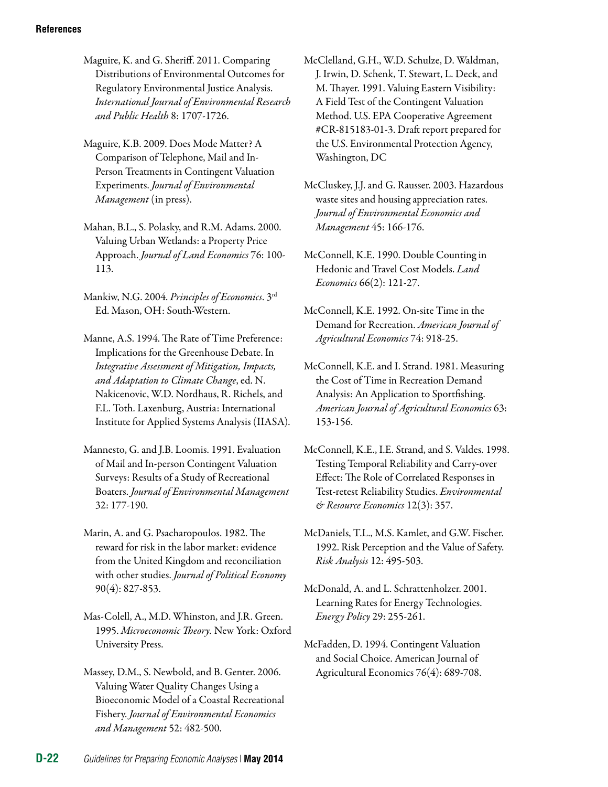- Maguire, K. and G. Sheriff. 2011. Comparing Distributions of Environmental Outcomes for Regulatory Environmental Justice Analysis. *International Journal of Environmental Research and Public Health* 8: 1707-1726.
- Maguire, K.B. 2009. Does Mode Matter? A Comparison of Telephone, Mail and In-Person Treatments in Contingent Valuation Experiments. *Journal of Environmental Management* (in press).
- Mahan, B.L., S. Polasky, and R.M. Adams. 2000. Valuing Urban Wetlands: a Property Price Approach. *Journal of Land Economics* 76: 100 113.
- Mankiw, N.G. 2004. *Principles of Economics*. 3rd Ed. Mason, OH: South-Western.
- Manne, A.S. 1994. The Rate of Time Preference: Implications for the Greenhouse Debate. In *Integrative Assessment of Mitigation, Impacts, and Adaptation to Climate Change*, ed. N. Nakicenovic, W.D. Nordhaus, R. Richels, and F.L. Toth. Laxenburg, Austria: International Institute for Applied Systems Analysis (IIASA).
- Mannesto, G. and J.B. Loomis. 1991. Evaluation of Mail and In-person Contingent Valuation Surveys: Results of a Study of Recreational Boaters. *Journal of Environmental Management*  32: 177-190.
- Marin, A. and G. Psacharopoulos. 1982. The reward for risk in the labor market: evidence from the United Kingdom and reconciliation with other studies. *Journal of Political Economy*  90(4): 827-853.
- Mas-Colell, A., M.D. Whinston, and J.R. Green. 1995. *Microeconomic Theory.* New York: Oxford University Press.
- Massey, D.M., S. Newbold, and B. Genter. 2006. Valuing Water Quality Changes Using a Bioeconomic Model of a Coastal Recreational Fishery. *Journal of Environmental Economics and Management* 52: 482-500.
- McClelland, G.H., W.D. Schulze, D. Waldman, J. Irwin, D. Schenk, T. Stewart, L. Deck, and M. Thayer. 1991. Valuing Eastern Visibility: A Field Test of the Contingent Valuation Method. U.S. EPA Cooperative Agreement #CR-815183-01-3. Draft report prepared for the U.S. Environmental Protection Agency, Washington, DC
- McCluskey, J.J. and G. Rausser. 2003. Hazardous waste sites and housing appreciation rates. *Journal of Environmental Economics and Management* 45: 166-176.
- McConnell, K.E. 1990. Double Counting in Hedonic and Travel Cost Models. *Land Economics* 66(2): 121-27.
- McConnell, K.E. 1992. On-site Time in the Demand for Recreation. *American Journal of Agricultural Economics* 74: 918-25.
- McConnell, K.E. and I. Strand. 1981. Measuring the Cost of Time in Recreation Demand Analysis: An Application to Sportfishing. *American Journal of Agricultural Economics* 63: 153-156.
- McConnell, K.E., I.E. Strand, and S. Valdes. 1998. Testing Temporal Reliability and Carry-over Effect: The Role of Correlated Responses in Test-retest Reliability Studies. *Environmental & Resource Economics* 12(3): 357.
- McDaniels, T.L., M.S. Kamlet, and G.W. Fischer. 1992. Risk Perception and the Value of Safety. *Risk Analysis* 12: 495-503.
- McDonald, A. and L. Schrattenholzer. 2001. Learning Rates for Energy Technologies. *Energy Policy* 29: 255-261.
- McFadden, D. 1994. [Contingent Valuation](http://www.jstor.org/stable/1243732)  [and Social Choice](http://www.jstor.org/stable/1243732). [American Journal of](http://www.jstor.org/action/showPublication?journalCode=amerjagriecon)  [Agricultural Economics](http://www.jstor.org/action/showPublication?journalCode=amerjagriecon) 76(4): 689-708.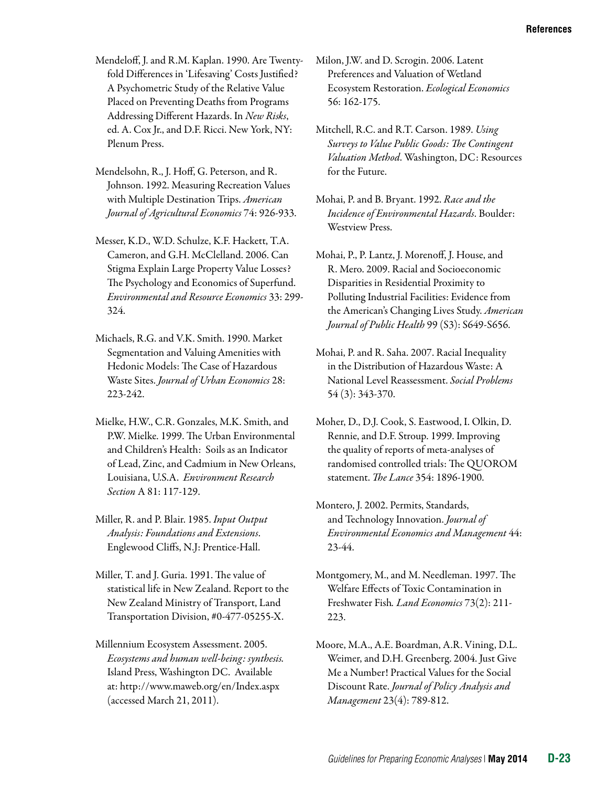- Mendeloff, J. and R.M. Kaplan. 1990. Are Twentyfold Differences in 'Lifesaving' Costs Justified? A Psychometric Study of the Relative Value Placed on Preventing Deaths from Programs Addressing Different Hazards. In *New Risks*, ed. A. Cox Jr., and D.F. Ricci. New York, NY: Plenum Press.
- Mendelsohn, R., J. Hoff, G. Peterson, and R. Johnson. 1992. Measuring Recreation Values with Multiple Destination Trips. *American Journal of Agricultural Economics* 74: 926-933.
- Messer, K.D., W.D. Schulze, K.F. Hackett, T.A. Cameron, and G.H. McClelland. 2006. Can Stigma Explain Large Property Value Losses? The Psychology and Economics of Superfund. *Environmental and Resource Economics* 33: 299 324.
- Michaels, R.G. and V.K. Smith. 1990. Market Segmentation and Valuing Amenities with Hedonic Models: The Case of Hazardous Waste Sites. *Journal of Urban Economics* 28: 223-242.
- Mielke, H.W., C.R. Gonzales, M.K. Smith, and P.W. Mielke. 1999. The Urban Environmental and Children's Health: Soils as an Indicator of Lead, Zinc, and Cadmium in New Orleans, Louisiana, U.S.A. *Environment Research Section* A 81: 117-129.
- Miller, R. and P. Blair. 1985. *Input Output Analysis: Foundations and Extensions*. Englewood Cliffs, N.J: Prentice-Hall.
- Miller, T. and J. Guria. 1991. The value of statistical life in New Zealand. Report to the New Zealand Ministry of Transport, Land Transportation Division, #0-477-05255-X.
- Millennium Ecosystem Assessment. 2005. *Ecosystems and human well-being: synthesis.*  Island Press, Washington DC. Available at: http://www.maweb.org/en/Index.aspx (accessed March 21, 2011).
- Milon, J.W. and D. Scrogin. 2006. Latent Preferences and Valuation of Wetland Ecosystem Restoration. *Ecological Economics*  56: 162-175.
- Mitchell, R.C. and R.T. Carson. 1989. *Using Surveys to Value Public Goods: The Contingent Valuation Method*. Washington, DC: Resources for the Future.
- Mohai, P. and B. Bryant. 1992. *Race and the Incidence of Environmental Hazards*. Boulder: Westview Press.
- Mohai, P., P. Lantz, J. Morenoff, J. House, and R. Mero. 2009. Racial and Socioeconomic Disparities in Residential Proximity to Polluting Industrial Facilities: Evidence from the American's Changing Lives Study. *American Journal of Public Health* 99 (S3): S649-S656.
- Mohai, P. and R. Saha. 2007. Racial Inequality in the Distribution of Hazardous Waste: A National Level Reassessment. *Social Problems*  54 (3): 343-370.
- Moher, D., D.J. Cook, S. Eastwood, I. Olkin, D. Rennie, and D.F. Stroup. 1999. Improving the quality of reports of meta-analyses of randomised controlled trials: The QUOROM statement. *The Lance* 354: 1896-1900.
- Montero, J. 2002. Permits, Standards, and Technology Innovation. *Journal of Environmental Economics and Management* 44: 23-44.
- Montgomery, M., and M. Needleman. 1997. The Welfare Effects of Toxic Contamination in Freshwater Fish*. Land Economics* 73(2): 211 223.
- Moore, M.A., A.E. Boardman, A.R. Vining, D.L. Weimer, and D.H. Greenberg. 2004. Just Give Me a Number! Practical Values for the Social Discount Rate. *Journal of Policy Analysis and Management* 23(4): 789-812.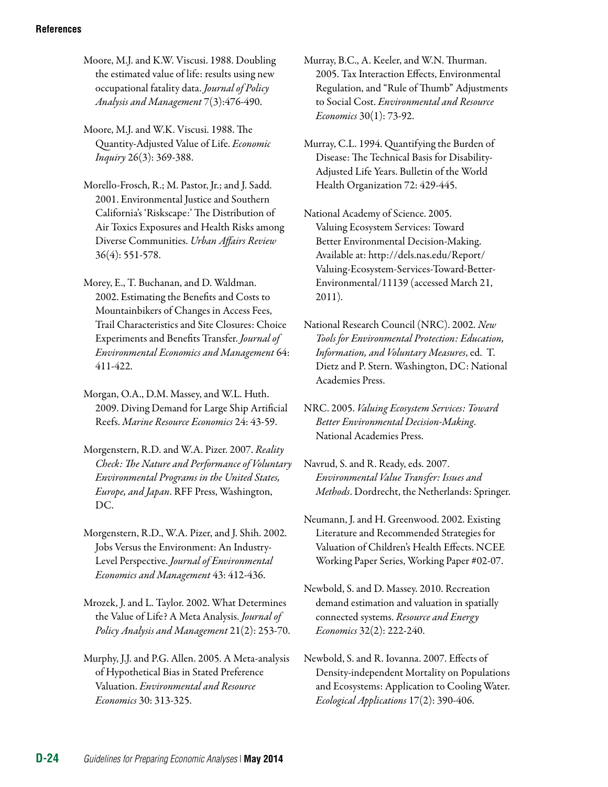- Moore, M.J. and K.W. Viscusi. 1988. Doubling the estimated value of life: results using new occupational fatality data. *Journal of Policy Analysis and Management* 7(3):476-490.
- Moore, M.J. and W.K. Viscusi. 1988. The Quantity-Adjusted Value of Life. *Economic Inquiry* 26(3): 369-388.
- Morello-Frosch, R.; M. Pastor, Jr.; and J. Sadd. 2001. Environmental Justice and Southern California's 'Riskscape:' The Distribution of Air Toxics Exposures and Health Risks among Diverse Communities. *Urban Affairs Review*  36(4): 551-578.
- Morey, E., T. Buchanan, and D. Waldman. 2002. Estimating the Benefits and Costs to Mountainbikers of Changes in Access Fees, Trail Characteristics and Site Closures: Choice Experiments and Benefits Transfer. *Journal of Environmental Economics and Management* 64: 411-422.
- Morgan, O.A., D.M. Massey, and W.L. Huth. 2009. Diving Demand for Large Ship Artificial Reefs. *Marine Resource Economics* 24: 43-59.
- Morgenstern, R.D. and W.A. Pizer. 2007. *Reality Check: The Nature and Performance of Voluntary Environmental Programs in the United States, Europe, and Japan*. RFF Press, Washington, DC.
- Morgenstern, R.D., W.A. Pizer, and J. Shih. 2002. Jobs Versus the Environment: An Industry-Level Perspective. *Journal of Environmental Economics and Management* 43: 412-436.
- Mrozek, J. and L. Taylor. 2002. What Determines the Value of Life? A Meta Analysis. *Journal of Policy Analysis and Management* 21(2): 253-70.
- Murphy, J.J. and P.G. Allen. 2005. A Meta-analysis of Hypothetical Bias in Stated Preference Valuation. *Environmental and Resource Economics* 30: 313-325.

Murray, B.C., A. Keeler, and W.N. Thurman. 2005. Tax Interaction Effects, Environmental Regulation, and "Rule of Thumb" Adjustments to Social Cost. *Environmental and Resource Economics* 30(1): 73-92.

- Murray, C.L. 1994. Quantifying the Burden of Disease: The Technical Basis for Disability-Adjusted Life Years. Bulletin of the World Health Organization 72: 429-445.
- National Academy of Science. 2005. Valuing Ecosystem Services: Toward Better Environmental Decision-Making. Available at: http://dels.nas.edu/Report/ Valuing-Ecosystem-Services-Toward-Better-Environmental/11139 (accessed March 21, 2011).
- National Research Council (NRC). 2002. *New Tools for Environmental Protection: Education, Information, and Voluntary Measures*, ed. T. Dietz and P. Stern. Washington, DC: National Academies Press.
- NRC. 2005. *Valuing Ecosystem Services: Toward Better Environmental Decision-Making*. National Academies Press.
- Navrud, S. and R. Ready, eds. 2007. *Environmental Value Transfer: Issues and Methods*. Dordrecht, the Netherlands: Springer.
- Neumann, J. and H. Greenwood. 2002. Existing Literature and Recommended Strategies for Valuation of Children's Health Effects. NCEE Working Paper Series, Working Paper #02-07.
- Newbold, S. and D. Massey. 2010. Recreation demand estimation and valuation in spatially connected systems. *Resource and Energy Economics* 32(2): 222-240.
- Newbold, S. and R. Iovanna. 2007. Effects of Density-independent Mortality on Populations and Ecosystems: Application to Cooling Water. *Ecological Applications* 17(2): 390-406.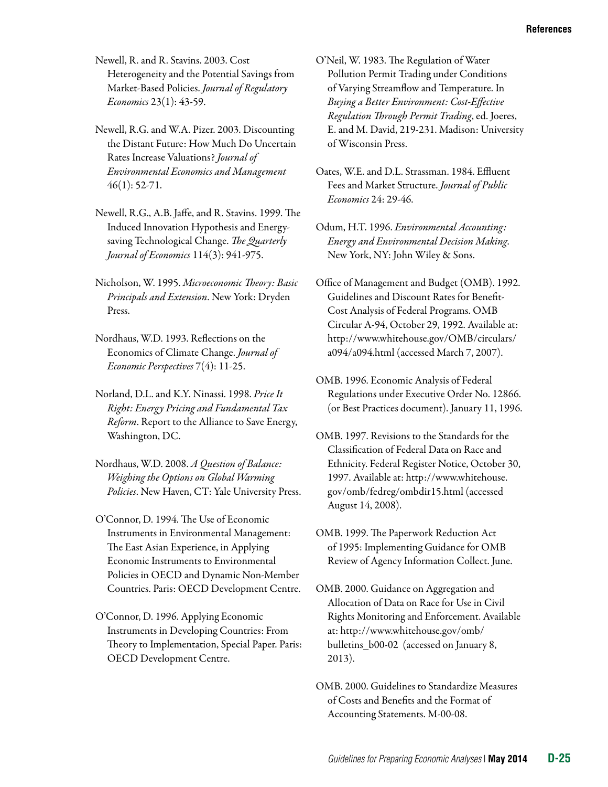Newell, R. and R. Stavins. 2003. Cost Heterogeneity and the Potential Savings from Market-Based Policies. *Journal of Regulatory Economics* 23(1): 43-59.

Newell, R.G. and W.A. Pizer. 2003. Discounting the Distant Future: How Much Do Uncertain Rates Increase Valuations? *Journal of Environmental Economics and Management*  46(1): 52-71.

- Newell, R.G., A.B. Jaffe, and R. Stavins. 1999. The Induced Innovation Hypothesis and Energysaving Technological Change. *The Quarterly Journal of Economics* 114(3): 941-975.
- Nicholson, W. 1995. *Microeconomic Theory: Basic Principals and Extension*. New York: Dryden Press.
- Nordhaus, W.D. 1993. Reflections on the Economics of Climate Change. *Journal of Economic Perspectives* 7(4): 11-25.
- Norland, D.L. and K.Y. Ninassi. 1998. *Price It Right: Energy Pricing and Fundamental Tax Reform*. Report to the Alliance to Save Energy, Washington, DC.
- Nordhaus, W.D. 2008. *A Question of Balance: Weighing the Options on Global Warming Policies*. New Haven, CT: Yale University Press.
- O'Connor, D. 1994. The Use of Economic Instruments in Environmental Management: The East Asian Experience, in Applying Economic Instruments to Environmental Policies in OECD and Dynamic Non-Member Countries. Paris: OECD Development Centre.
- O'Connor, D. 1996. Applying Economic Instruments in Developing Countries: From Theory to Implementation, Special Paper. Paris: OECD Development Centre.
- O'Neil, W. 1983. The Regulation of Water Pollution Permit Trading under Conditions of Varying Streamflow and Temperature. In *Buying a Better Environment: Cost-Effective Regulation Through Permit Trading*, ed. Joeres, E. and M. David, 219-231. Madison: University of Wisconsin Press.
- Oates, W.E. and D.L. Strassman. 1984. Effluent Fees and Market Structure. *Journal of Public Economics* 24: 29-46.
- Odum, H.T. 1996. *Environmental Accounting: Energy and Environmental Decision Making*. New York, NY: John Wiley & Sons.
- Office of Management and Budget (OMB). 1992. Guidelines and Discount Rates for Benefit-Cost Analysis of Federal Programs. OMB Circular A-94, October 29, 1992. Available at: http://www.whitehouse.gov/OMB/circulars/ a094/a094.html (accessed March 7, 2007).
- OMB. 1996. Economic Analysis of Federal Regulations under Executive Order No. 12866. (or Best Practices document). January 11, 1996.
- OMB. 1997. Revisions to the Standards for the Classification of Federal Data on Race and Ethnicity. Federal Register Notice, October 30, 1997. Available at: [http://www.whitehouse.](http://www.whitehouse.gov/omb/fedreg/ombdir15.html) [gov/omb/fedreg/ombdir15.html](http://www.whitehouse.gov/omb/fedreg/ombdir15.html) (accessed August 14, 2008).
- OMB. 1999. The Paperwork Reduction Act of 1995: Implementing Guidance for OMB Review of Agency Information Collect. June.
- OMB. 2000. Guidance on Aggregation and Allocation of Data on Race for Use in Civil Rights Monitoring and Enforcement. Available at: http://www.whitehouse.gov/omb/ bulletins\_b00-02 (accessed on January 8, 2013).
- OMB. 2000. Guidelines to Standardize Measures of Costs and Benefits and the Format of Accounting Statements. M-00-08.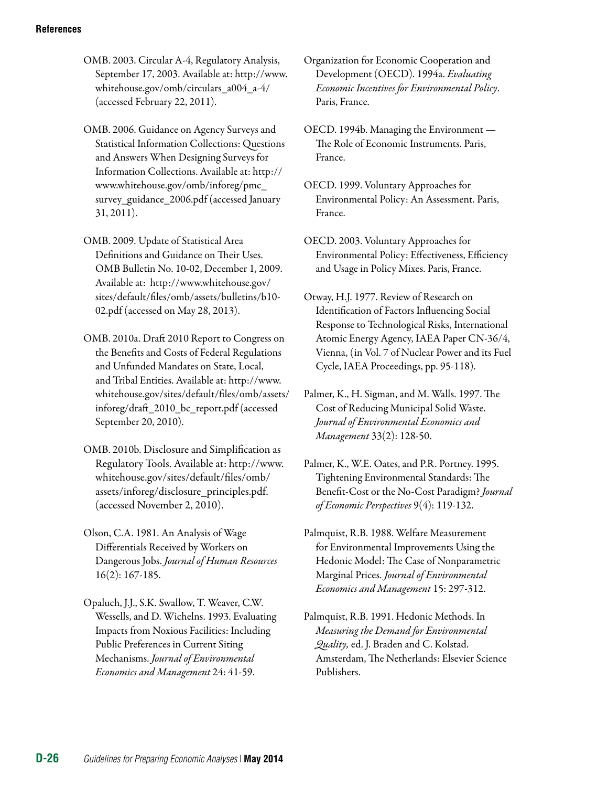OMB. 2003. Circular A-4, Regulatory Analysis, September 17, 2003. Available at: http://www. whitehouse.gov/omb/circulars\_a004\_a-4/ (accessed February 22, 2011).

OMB. 2006. Guidance on Agency Surveys and Statistical Information Collections: Questions and Answers When Designing Surveys for Information Collections. Available at: [http://](http://www.whitehouse.gov/omb/inforeg/pmc_survey_guidance_2006.pdf) [www.whitehouse.gov/omb/inforeg/pmc\\_](http://www.whitehouse.gov/omb/inforeg/pmc_survey_guidance_2006.pdf)  [survey\\_guidance\\_2006.pdf](http://www.whitehouse.gov/omb/inforeg/pmc_survey_guidance_2006.pdf) (accessed January 31, 2011).

OMB. 2009. Update of Statistical Area Definitions and Guidance on Their Uses. OMB Bulletin No. 10-02, December 1, 2009. Available at: http://www.whitehouse.gov/ sites/default/files/omb/assets/bulletins/b10 02.pdf (accessed on May 28, 2013).

OMB. 2010a. Draft 2010 Report to Congress on the Benefits and Costs of Federal Regulations and Unfunded Mandates on State, Local, and Tribal Entities. Available at: [http://www.](http://www.whitehouse.gov/sites/default/files/omb/assets/inforeg/draft_2010_bc_report.pdf) [whitehouse.gov/sites/default/files/omb/assets/](http://www.whitehouse.gov/sites/default/files/omb/assets/inforeg/draft_2010_bc_report.pdf)  [inforeg/draft\\_2010\\_bc\\_report.pdf](http://www.whitehouse.gov/sites/default/files/omb/assets/inforeg/draft_2010_bc_report.pdf) (accessed September 20, 2010).

OMB. 2010b. Disclosure and Simplification as Regulatory Tools. Available at: [http://www.](http://www.whitehouse.gov/sites/default/files/omb/assets/inforeg/disclosure_principles.pdf)  [whitehouse.gov/sites/default/files/omb/](http://www.whitehouse.gov/sites/default/files/omb/assets/inforeg/disclosure_principles.pdf) [assets/inforeg/disclosure\\_principles.pdf.](http://www.whitehouse.gov/sites/default/files/omb/assets/inforeg/disclosure_principles.pdf) (accessed November 2, 2010).

Olson, C.A. 1981. An Analysis of Wage Differentials Received by Workers on Dangerous Jobs. *Journal of Human Resources*  16(2): 167-185.

Opaluch, J.J., S.K. Swallow, T. Weaver, C.W. Wessells, and D. Wichelns. 1993. Evaluating Impacts from Noxious Facilities: Including Public Preferences in Current Siting Mechanisms. *Journal of Environmental Economics and Management* 24: 41-59.

Organization for Economic Cooperation and Development (OECD). 1994a. *Evaluating Economic Incentives for Environmental Policy*. Paris, France.

OECD. 1994b. Managing the Environment — The Role of Economic Instruments. Paris, France.

OECD. 1999. Voluntary Approaches for Environmental Policy: An Assessment. Paris, France.

OECD. 2003. Voluntary Approaches for Environmental Policy: Effectiveness, Efficiency and Usage in Policy Mixes. Paris, France.

Otway, H.J. 1977. Review of Research on Identification of Factors Influencing Social Response to Technological Risks, International Atomic Energy Agency, IAEA Paper CN-36/4, Vienna, (in Vol. 7 of Nuclear Power and its Fuel Cycle, IAEA Proceedings, pp. 95-118).

Palmer, K., H. Sigman, and M. Walls. 1997. The Cost of Reducing Municipal Solid Waste. *Journal of Environmental Economics and Management* 33(2): 128-50.

Palmer, K., W.E. Oates, and P.R. Portney. 1995. Tightening Environmental Standards: The Benefit-Cost or the No-Cost Paradigm? *Journal of Economic Perspectives* 9(4): 119-132.

Palmquist, R.B. 1988. Welfare Measurement for Environmental Improvements Using the Hedonic Model: The Case of Nonparametric Marginal Prices. *Journal of Environmental Economics and Management* 15: 297-312.

Palmquist, R.B. 1991. Hedonic Methods. In *Measuring the Demand for Environmental Quality,* ed. J. Braden and C. Kolstad. Amsterdam, The Netherlands: Elsevier Science Publishers.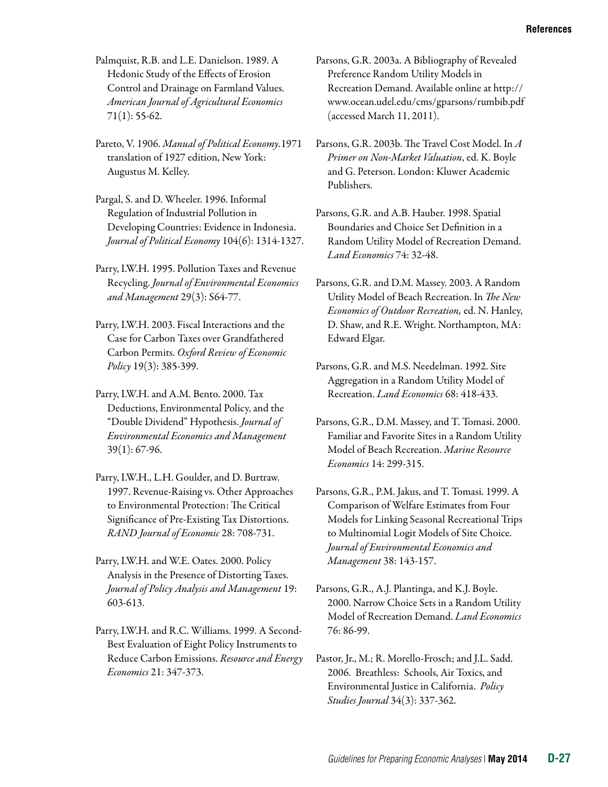Palmquist, R.B. and L.E. Danielson. 1989. A Hedonic Study of the Effects of Erosion Control and Drainage on Farmland Values. *American Journal of Agricultural Economics*   $71(1): 55-62.$ 

Pareto, V. 1906. *Manual of Political Economy.*1971 translation of 1927 edition, New York: Augustus M. Kelley.

Pargal, S. and D. Wheeler. 1996. Informal Regulation of Industrial Pollution in Developing Countries: Evidence in Indonesia. *Journal of Political Economy* 104(6): 1314-1327.

Parry, I.W.H. 1995. Pollution Taxes and Revenue Recycling. *Journal of Environmental Economics and Management* 29(3): S64-77.

Parry, I.W.H. 2003. Fiscal Interactions and the Case for Carbon Taxes over Grandfathered Carbon Permits. *Oxford Review of Economic Policy* 19(3): 385-399.

Parry, I.W.H. and A.M. Bento. 2000. Tax Deductions, Environmental Policy, and the "Double Dividend" Hypothesis. *Journal of Environmental Economics and Management*  39(1): 67-96.

Parry, I.W.H., L.H. Goulder, and D. Burtraw. 1997. Revenue-Raising vs. Other Approaches to Environmental Protection: The Critical Significance of Pre-Existing Tax Distortions. *RAND Journal of Economic* 28: 708-731.

Parry, I.W.H. and W.E. Oates. 2000. Policy Analysis in the Presence of Distorting Taxes. *Journal of Policy Analysis and Management* 19: 603-613.

Parry, I.W.H. and R.C. Williams. 1999. A Second-Best Evaluation of Eight Policy Instruments to Reduce Carbon Emissions. *Resource and Energy Economics* 21: 347-373.

Parsons, G.R. 2003a. A Bibliography of Revealed Preference Random Utility Models in Recreation Demand. Available online at http:// www.ocean.udel.edu/cms/gparsons/rumbib.pdf (accessed March 11, 2011).

Parsons, G.R. 2003b. The Travel Cost Model. In *A Primer on Non-Market Valuation*, ed. K. Boyle and G. Peterson. London: Kluwer Academic Publishers.

Parsons, G.R. and A.B. Hauber. 1998. Spatial Boundaries and Choice Set Definition in a Random Utility Model of Recreation Demand. *Land Economics* 74: 32-48.

Parsons, G.R. and D.M. Massey. 2003. A Random Utility Model of Beach Recreation. In *The New Economics of Outdoor Recreation,* ed. N. Hanley, D. Shaw, and R.E. Wright. Northampton, MA: Edward Elgar.

Parsons, G.R. and M.S. Needelman. 1992. Site Aggregation in a Random Utility Model of Recreation. *Land Economics* 68: 418-433.

Parsons, G.R., D.M. Massey, and T. Tomasi. 2000. Familiar and Favorite Sites in a Random Utility Model of Beach Recreation. *Marine Resource Economics* 14: 299-315.

Parsons, G.R., P.M. Jakus, and T. Tomasi. 1999. A Comparison of Welfare Estimates from Four Models for Linking Seasonal Recreational Trips to Multinomial Logit Models of Site Choice. *Journal of Environmental Economics and Management* 38: 143-157.

Parsons, G.R., A.J. Plantinga, and K.J. Boyle. 2000. Narrow Choice Sets in a Random Utility Model of Recreation Demand. *Land Economics*  76: 86-99.

Pastor, Jr., M.; R. Morello-Frosch; and J.L. Sadd. 2006. Breathless: Schools, Air Toxics, and Environmental Justice in California. *Policy Studies Journal* 34(3): 337-362.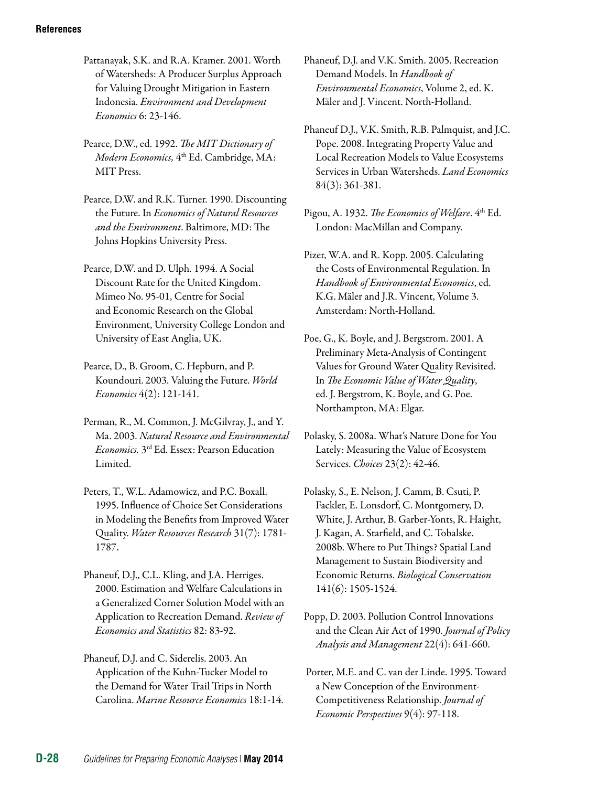- Pattanayak, S.K. and R.A. Kramer. 2001. Worth of Watersheds: A Producer Surplus Approach for Valuing Drought Mitigation in Eastern Indonesia. *Environment and Development Economics* 6: 23-146.
- Pearce, D.W., ed. 1992. *The MIT Dictionary of Modern Economics,* 4th Ed. Cambridge, MA: MIT Press.
- Pearce, D.W. and R.K. Turner. 1990. Discounting the Future. In *Economics of Natural Resources and the Environment*. Baltimore, MD: The Johns Hopkins University Press.
- Pearce, D.W. and D. Ulph. 1994. A Social Discount Rate for the United Kingdom. Mimeo No. 95-01, Centre for Social and Economic Research on the Global Environment, University College London and University of East Anglia, UK.
- Pearce, D., B. Groom, C. Hepburn, and P. Koundouri. 2003. [Valuing the Future](http://ideas.repec.org/a/wej/wldecn/141.html). *[World](http://ideas.repec.org/s/wej/wldecn.html)  [Economics](http://ideas.repec.org/s/wej/wldecn.html)* 4(2): 121-141.
- Perman, R., M. Common, J. McGilvray, J., and Y. Ma. 2003. *Natural Resource and Environmental Economics.* 3rd Ed. Essex: Pearson Education Limited.
- Peters, T., W.L. Adamowicz, and P.C. Boxall. 1995. Influence of Choice Set Considerations in Modeling the Benefits from Improved Water Quality. *Water Resources Research* 31(7): 1781 1787.
- Phaneuf, D.J., C.L. Kling, and J.A. Herriges. 2000. Estimation and Welfare Calculations in a Generalized Corner Solution Model with an Application to Recreation Demand. *Review of Economics and Statistics* 82: 83-92.
- Phaneuf, D.J. and C. Siderelis. 2003. An Application of the Kuhn-Tucker Model to the Demand for Water Trail Trips in North Carolina. *Marine Resource Economics* 18:1-14.
- Phaneuf, D.J. and V.K. Smith. 2005. Recreation Demand Models. In *Handbook of Environmental Economics*, Volume 2, ed. K. Mäler and J. Vincent. North-Holland.
- Phaneuf D.J., V.K. Smith, R.B. Palmquist, and J.C. Pope. 2008. Integrating Property Value and Local Recreation Models to Value Ecosystems Services in Urban Watersheds. *Land Economics*  84(3): 361-381.
- Pigou, A. 1932. *The Economics of Welfare*. 4th Ed. London: MacMillan and Company.
- Pizer, W.A. and R. Kopp. 2005. Calculating the Costs of Environmental Regulation. In *Handbook of Environmental Economics*, ed. K.G. Mäler and J.R. Vincent, Volume 3. Amsterdam: North-Holland.
- Poe, G., K. Boyle, and J. Bergstrom. 2001. A Preliminary Meta-Analysis of Contingent Values for Ground Water Quality Revisited. In *The Economic Value of Water Quality*, ed. J. Bergstrom, K. Boyle, and G. Poe. Northampton, MA: Elgar.
- Polasky, S. 2008a. What's Nature Done for You Lately: Measuring the Value of Ecosystem Services. *Choices* 23(2): 42-46.
- Polasky, S., E. Nelson, J. Camm, B. Csuti, P. Fackler, E. Lonsdorf, C. Montgomery, D. White, J. Arthur, B. Garber-Yonts, R. Haight, J. Kagan, A. Starfield, and C. Tobalske. 2008b. Where to Put Things? Spatial Land Management to Sustain Biodiversity and Economic Returns. *Biological Conservation*  141(6): 1505-1524.
- Popp, D. 2003. Pollution Control Innovations and the Clean Air Act of 1990. *Journal of Policy Analysis and Management* 22(4): 641-660.
- Porter, M.E. and C. van der Linde. 1995. Toward a New Conception of the Environment-Competitiveness Relationship. *Journal of Economic Perspectives* 9(4): 97-118.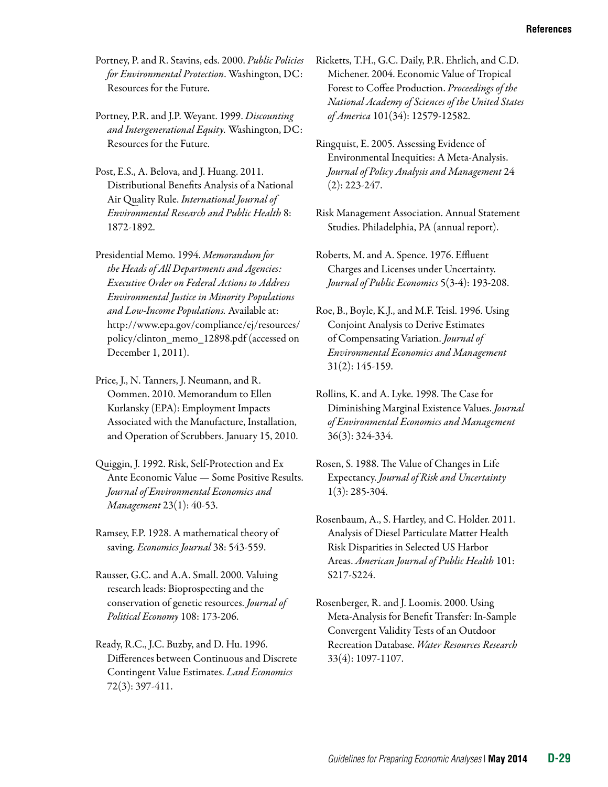- Portney, P. and R. Stavins, eds. 2000. *Public Policies for Environmental Protection*. Washington, DC: Resources for the Future.
- Portney, P.R. and J.P. Weyant. 1999. *Discounting and Intergenerational Equity.* Washington, DC: Resources for the Future.
- Post, E.S., A. Belova, and J. Huang. 2011. Distributional Benefits Analysis of a National Air Quality Rule. *International Journal of Environmental Research and Public Health* 8: 1872-1892.
- Presidential Memo. 1994. *Memorandum for the Heads of All Departments and Agencies: Executive Order on Federal Actions to Address Environmental Justice in Minority Populations and Low-Income Populations.* Available at: http://www.epa.gov/compliance/ej/resources/ policy/clinton\_memo\_12898.pdf (accessed on December 1, 2011).
- Price, J., N. Tanners, J. Neumann, and R. Oommen. 2010. Memorandum to Ellen Kurlansky (EPA): Employment Impacts Associated with the Manufacture, Installation, and Operation of Scrubbers. January 15, 2010.
- Quiggin, J. 1992. Risk, Self-Protection and Ex Ante Economic Value — Some Positive Results. *Journal of Environmental Economics and Management* 23(1): 40-53.
- Ramsey, F.P. 1928. A mathematical theory of saving. *Economics Journal* 38: 543-559.
- Rausser, G.C. and A.A. Small. 2000. Valuing research leads: Bioprospecting and the conservation of genetic resources. *Journal of Political Economy* 108: 173-206.
- Ready, R.C., J.C. Buzby, and D. Hu. 1996. Differences between Continuous and Discrete Contingent Value Estimates. *Land Economics*  72(3): 397-411.

Ricketts, T.H., G.C. Daily, P.R. Ehrlich, and C.D. Michener. 2004. Economic Value of Tropical Forest to Coffee Production. *Proceedings of the National Academy of Sciences of the United States of America* 101(34): 12579-12582.

- Ringquist, E. 2005. Assessing Evidence of Environmental Inequities: A Meta-Analysis. *Journal of Policy Analysis and Management* 24 (2): 223-247.
- Risk Management Association. Annual Statement Studies. Philadelphia, PA (annual report).
- Roberts, M. and A. Spence. 1976. Effluent Charges and Licenses under Uncertainty. *Journal of Public Economics* 5(3-4): 193-208.
- Roe, B., Boyle, K.J., and M.F. Teisl. 1996. Using Conjoint Analysis to Derive Estimates of Compensating Variation. *Journal of Environmental Economics and Management*  31(2): 145-159.
- Rollins, K. and A. Lyke. 1998. The Case for Diminishing Marginal Existence Values. *Journal of Environmental Economics and Management*  36(3): 324-334.
- Rosen, S. 1988. The Value of Changes in Life Expectancy. *Journal of Risk and Uncertainty*  1(3): 285-304.
- Rosenbaum, A., S. Hartley, and C. Holder. 2011. Analysis of Diesel Particulate Matter Health Risk Disparities in Selected US Harbor Areas. *American Journal of Public Health* 101: S217-S224.
- Rosenberger, R. and J. Loomis. 2000. Using Meta-Analysis for Benefit Transfer: In-Sample Convergent Validity Tests of an Outdoor Recreation Database. *Water Resources Research*  33(4): 1097-1107.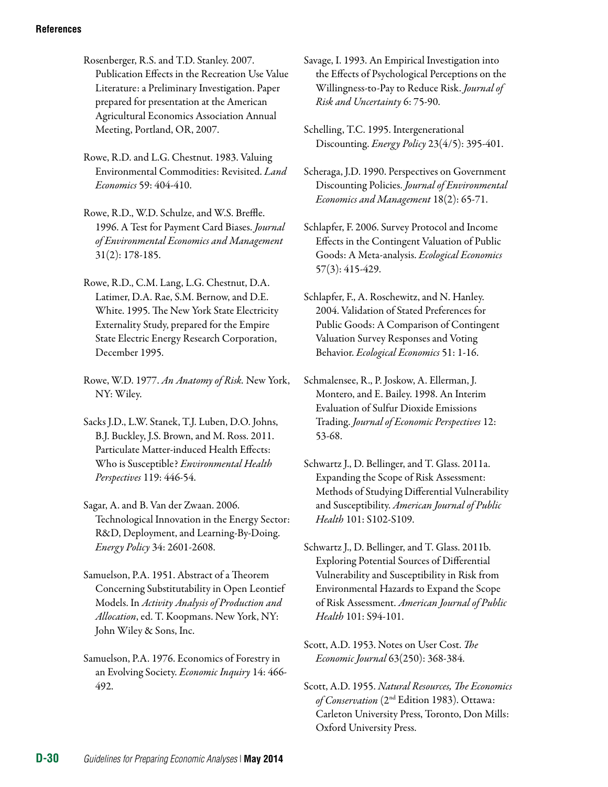- Rosenberger, R.S. and T.D. Stanley. 2007. Publication Effects in the Recreation Use Value Literature: a Preliminary Investigation. Paper prepared for presentation at the American Agricultural Economics Association Annual Meeting, Portland, OR, 2007.
- Rowe, R.D. and L.G. Chestnut. 1983. Valuing Environmental Commodities: Revisited. *Land Economics* 59: 404-410.
- Rowe, R.D., W.D. Schulze, and W.S. Breffle. 1996. A Test for Payment Card Biases. *Journal of Environmental Economics and Management*  31(2): 178-185.
- Rowe, R.D., C.M. Lang, L.G. Chestnut, D.A. Latimer, D.A. Rae, S.M. Bernow, and D.E. White. 1995. The New York State Electricity Externality Study, prepared for the Empire State Electric Energy Research Corporation, December 1995.
- Rowe, W.D. 1977. *An Anatomy of Risk.* New York, NY: Wiley.
- Sacks J.D., L.W. Stanek, T.J. Luben, D.O. Johns, B.J. Buckley, J.S. Brown, and M. Ross. 2011. Particulate Matter-induced Health Effects: Who is Susceptible? *Environmental Health Perspectives* 119: 446-54.
- Sagar, A. and B. Van der Zwaan. 2006. Technological Innovation in the Energy Sector: R&D, Deployment, and Learning-By-Doing. *Energy Policy* 34: 2601-2608.
- Samuelson, P.A. 1951. Abstract of a Theorem Concerning Substitutability in Open Leontief Models. In *Activity Analysis of Production and Allocation*, ed. T. Koopmans. New York, NY: John Wiley & Sons, Inc.
- Samuelson, P.A. 1976. Economics of Forestry in an Evolving Society. *Economic Inquiry* 14: 466 492.
- Savage, I. 1993. An Empirical Investigation into the Effects of Psychological Perceptions on the Willingness-to-Pay to Reduce Risk. *Journal of Risk and Uncertainty* 6: 75-90.
- Schelling, T.C. 1995. Intergenerational Discounting. *Energy Policy* 23(4/5): 395-401.
- Scheraga, J.D. 1990. Perspectives on Government Discounting Policies. *Journal of Environmental Economics and Management* 18(2): 65-71.
- Schlapfer, F. 2006. [Survey Protocol and Income](http://ideas.repec.org/a/eee/ecolec/v57y2006i3p415-429.html)  [Effects in the Contingent Valuation of Public](http://ideas.repec.org/a/eee/ecolec/v57y2006i3p415-429.html)  [Goods: A Meta-analysis](http://ideas.repec.org/a/eee/ecolec/v57y2006i3p415-429.html). *[Ecological Economics](http://ideas.repec.org/s/eee/ecolec.html)*  57(3): 415-429.
- Schlapfer, F., A. Roschewitz, and N. Hanley. 2004. Validation of Stated Preferences for Public Goods: A Comparison of Contingent Valuation Survey Responses and Voting Behavior. *Ecological Economics* 51: 1-16.
- Schmalensee, R., P. Joskow, A. Ellerman, J. Montero, and E. Bailey. 1998. An Interim Evaluation of Sulfur Dioxide Emissions Trading. *Journal of Economic Perspectives* 12: 53-68.
- Schwartz J., D. Bellinger, and T. Glass. 2011a. Expanding the Scope of Risk Assessment: Methods of Studying Differential Vulnerability and Susceptibility. *American Journal of Public Health* 101: S102-S109.
- Schwartz J., D. Bellinger, and T. Glass. 2011b. Exploring Potential Sources of Differential Vulnerability and Susceptibility in Risk from Environmental Hazards to Expand the Scope of Risk Assessment. *American Journal of Public Health* 101: S94-101.
- Scott, A.D. 1953. Notes on User Cost. *The Economic Journal* 63(250): 368-384.
- Scott, A.D. 1955. *Natural Resources, The Economics of Conservation* (2nd Edition 1983). Ottawa: Carleton University Press, Toronto, Don Mills: Oxford University Press.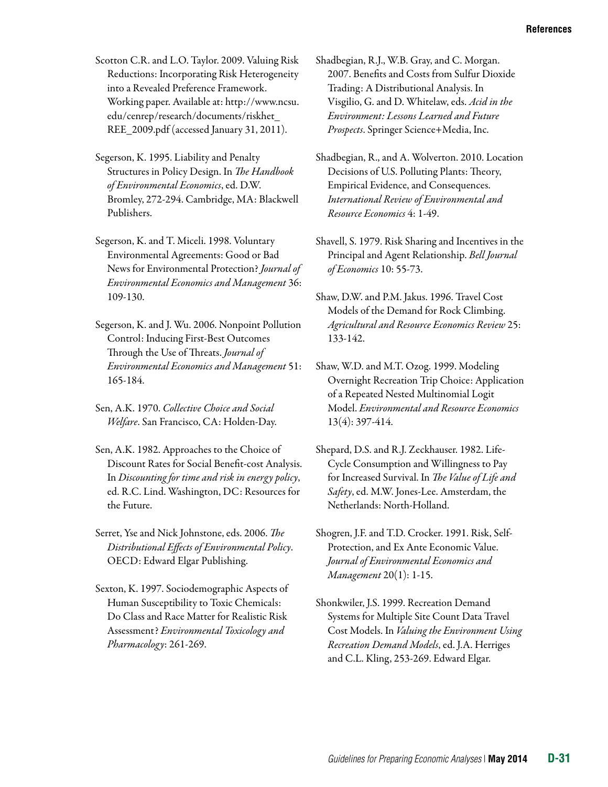Scotton C.R. and L.O. Taylor. 2009. Valuing Risk Reductions: Incorporating Risk Heterogeneity into a Revealed Preference Framework. Working paper. Available at: [http://www.ncsu.](http://www.ncsu.edu/cenrep/research/) [edu/cenrep/research/d](http://www.ncsu.edu/cenrep/research/)ocuments/riskhet\_ REE\_2009.pdf (accessed January 31, 2011).

Segerson, K. 1995. Liability and Penalty Structures in Policy Design. In *The Handbook of Environmental Economics*, ed. D.W. Bromley, 272-294. Cambridge, MA: Blackwell Publishers.

Segerson, K. and T. Miceli. 1998. Voluntary Environmental Agreements: Good or Bad News for Environmental Protection? *Journal of Environmental Economics and Management* 36: 109-130.

Segerson, K. and J. Wu. 2006. Nonpoint Pollution Control: Inducing First-Best Outcomes Through the Use of Threats. *Journal of Environmental Economics and Management* 51: 165-184.

Sen, A.K. 1970. *Collective Choice and Social Welfare*. San Francisco, CA: Holden-Day.

Sen, A.K. 1982. Approaches to the Choice of Discount Rates for Social Benefit-cost Analysis. In *Discounting for time and risk in energy policy*, ed. R.C. Lind. Washington, DC: Resources for the Future.

Serret, Yse and Nick Johnstone, eds. 2006. *The Distributional Effects of Environmental Policy*. OECD: Edward Elgar Publishing.

Sexton, K. 1997. Sociodemographic Aspects of Human Susceptibility to Toxic Chemicals: Do Class and Race Matter for Realistic Risk Assessment? *Environmental Toxicology and Pharmacology*: 261-269.

Shadbegian, R.J., W.B. Gray, and C. Morgan. 2007. Benefits and Costs from Sulfur Dioxide Trading: A Distributional Analysis. In Visgilio, G. and D. Whitelaw, eds. *Acid in the Environment: Lessons Learned and Future Prospects*. Springer Science+Media, Inc.

Shadbegian, R., and A. Wolverton. 2010. Location Decisions of U.S. Polluting Plants: Theory, Empirical Evidence, and Consequences. *International Review of Environmental and Resource Economics* 4: 1-49.

Shavell, S. 1979. Risk Sharing and Incentives in the Principal and Agent Relationship. *Bell Journal of Economics* 10: 55-73.

Shaw, D.W. and P.M. Jakus. 1996. Travel Cost Models of the Demand for Rock Climbing. *Agricultural and Resource Economics Review* 25: 133-142.

Shaw, W.D. and M.T. Ozog. 1999. Modeling Overnight Recreation Trip Choice: Application of a Repeated Nested Multinomial Logit Model. *Environmental and Resource Economics*  13(4): 397-414.

Shepard, D.S. and R.J. Zeckhauser. 1982. Life-Cycle Consumption and Willingness to Pay for Increased Survival. In *The Value of Life and Safety*, ed. M.W. Jones-Lee. Amsterdam, the Netherlands: North-Holland.

Shogren, J.F. and T.D. Crocker. 1991. Risk, Self-Protection, and Ex Ante Economic Value. *Journal of Environmental Economics and Management* 20(1): 1-15.

Shonkwiler, J.S. 1999. Recreation Demand Systems for Multiple Site Count Data Travel Cost Models. In *Valuing the Environment Using Recreation Demand Models*, ed. J.A. Herriges and C.L. Kling, 253-269. Edward Elgar.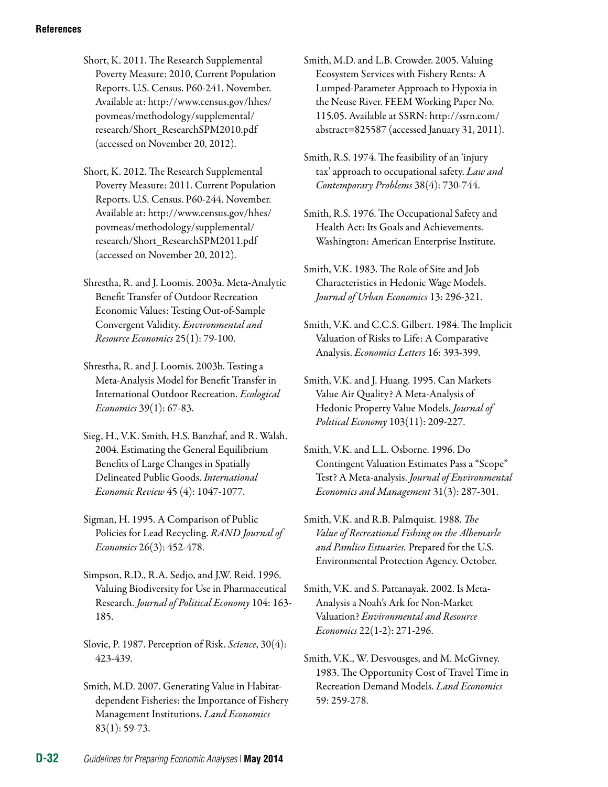Short, K. 2011. The Research Supplemental Poverty Measure: 2010, Current Population Reports. U.S. Census. P60-241. November. Available at: http://www.census.gov/hhes/ povmeas/methodology/supplemental/ research/Short\_ResearchSPM2010.pdf (accessed on November 20, 2012).

Short, K. 2012. The Research Supplemental Poverty Measure: 2011. Current Population Reports. U.S. Census. P60-244. November. Available at: http://www.census.gov/hhes/ povmeas/methodology/supplemental/ research/Short\_ResearchSPM2011.pdf (accessed on November 20, 2012).

Shrestha, R. and J. Loomis. 2003a. Meta-Analytic Benefit Transfer of Outdoor Recreation Economic Values: Testing Out-of-Sample Convergent Validity. *Environmental and Resource Economics* 25(1): 79-100.

Shrestha, R. and J. Loomis. 2003b. Testing a Meta-Analysis Model for Benefit Transfer in International Outdoor Recreation. *Ecological Economics* 39(1): 67-83.

Sieg, H., V.K. Smith, H.S. Banzhaf, and R. Walsh. 2004. Estimating the General Equilibrium Benefits of Large Changes in Spatially Delineated Public Goods. *International Economic Review* 45 (4): 1047-1077.

Sigman, H. 1995. A Comparison of Public Policies for Lead Recycling. *RAND Journal of Economics* 26(3): 452-478.

Simpson, R.D., R.A. Sedjo, and J.W. Reid. 1996. Valuing Biodiversity for Use in Pharmaceutical Research. *Journal of Political Economy* 104: 163 185.

Slovic, P. 1987. Perception of Risk. *Science*, 30(4): 423-439.

Smith, M.D. 2007. Generating Value in Habitatdependent Fisheries: the Importance of Fishery Management Institutions. *Land Economics*  83(1): 59-73.

Smith, M.D. and L.B. Crowder. 2005. Valuing Ecosystem Services with Fishery Rents: A Lumped-Parameter Approach to Hypoxia in the Neuse River. FEEM Working Paper No. 115.05. Available at SSRN: [http://ssrn.com/](http://ssrn.com/abstract=825587) [abstract=825587](http://ssrn.com/abstract=825587) (accessed January 31, 2011).

Smith, R.S. 1974. The feasibility of an 'injury tax' approach to occupational safety. *Law and Contemporary Problems* 38(4): 730-744.

Smith, R.S. 1976. The Occupational Safety and Health Act: Its Goals and Achievements. Washington: American Enterprise Institute.

Smith, V.K. 1983. The Role of Site and Job Characteristics in Hedonic Wage Models. *Journal of Urban Economics* 13: 296-321.

Smith, V.K. and C.C.S. Gilbert. 1984. The Implicit Valuation of Risks to Life: A Comparative Analysis. *Economics Letters* 16: 393-399.

Smith, V.K. and J. Huang. 1995. Can Markets Value Air Quality? A Meta-Analysis of Hedonic Property Value Models. *Journal of Political Economy* 103(11): 209-227.

Smith, V.K. and L.L. Osborne. 1996. Do Contingent Valuation Estimates Pass a "Scope" Test? A Meta-analysis. *Journal of Environmental Economics and Management* 31(3): 287-301.

Smith, V.K. and R.B. Palmquist. 1988. *The Value of Recreational Fishing on the Albemarle and Pamlico Estuaries.* Prepared for the U.S. Environmental Protection Agency. October.

Smith, V.K. and S. Pattanayak. 2002. Is Meta-Analysis a Noah's Ark for Non-Market Valuation? *Environmental and Resource Economics* 22(1-2): 271-296.

Smith, V.K., W. Desvousges, and M. McGivney. 1983. The Opportunity Cost of Travel Time in Recreation Demand Models. *Land Economics*  59: 259-278.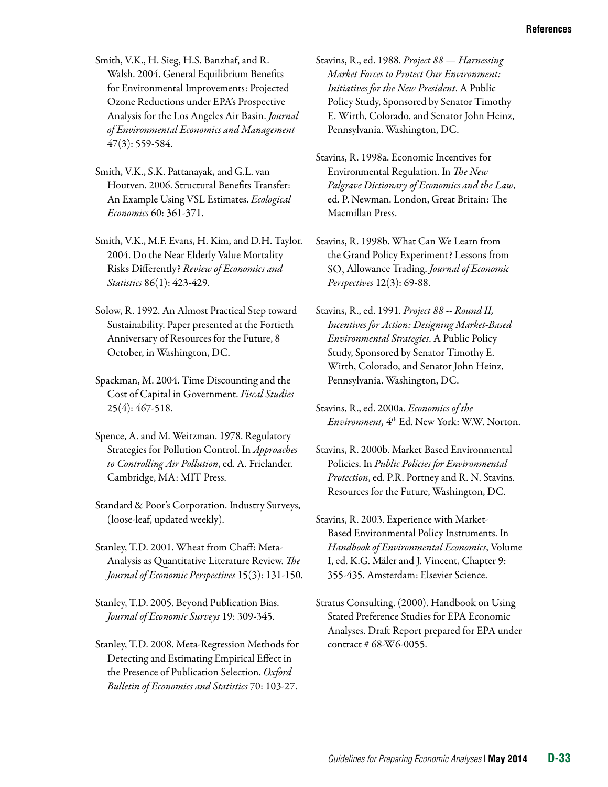- Smith, V.K., H. Sieg, H.S. Banzhaf, and R. Walsh. 2004. General Equilibrium Benefits for Environmental Improvements: Projected Ozone Reductions under EPA's Prospective Analysis for the Los Angeles Air Basin. *Journal of Environmental Economics and Management*  47(3): 559-584.
- Smith, V.K., S.K. Pattanayak, and G.L. van Houtven. 2006. Structural Benefits Transfer: An Example Using VSL Estimates. *Ecological Economics* 60: 361-371.
- Smith, V.K., M.F. Evans, H. Kim, and D.H. Taylor. 2004. Do the Near Elderly Value Mortality Risks Differently? *Review of Economics and Statistics* 86(1): 423-429.
- Solow, R. 1992. An Almost Practical Step toward Sustainability. Paper presented at the Fortieth Anniversary of Resources for the Future, 8 October, in Washington, DC.
- Spackman, M. 2004. Time Discounting and the Cost of Capital in Government. *Fiscal Studies*  25(4): 467-518.
- Spence, A. and M. Weitzman. 1978. Regulatory Strategies for Pollution Control. In *Approaches to Controlling Air Pollution*, ed. A. Frielander. Cambridge, MA: MIT Press.
- Standard & Poor's Corporation. Industry Surveys, (loose-leaf, updated weekly).
- Stanley, T.D. 2001. Wheat from Chaff: Meta-Analysis as Quantitative Literature Review. *The Journal of Economic Perspectives* 15(3): 131-150.
- Stanley, T.D. 2005. Beyond Publication Bias. *Journal of Economic Surveys* 19: 309-345.
- Stanley, T.D. 2008. Meta-Regression Methods for Detecting and Estimating Empirical Effect in the Presence of Publication Selection. *Oxford Bulletin of Economics and Statistics* 70: 103-27.
- Stavins, R., ed. 1988. *Project 88 Harnessing Market Forces to Protect Our Environment: Initiatives for the New President*. A Public Policy Study, Sponsored by Senator Timothy E. Wirth, Colorado, and Senator John Heinz, Pennsylvania. Washington, DC.
- Stavins, R. 1998a. Economic Incentives for Environmental Regulation. In *The New Palgrave Dictionary of Economics and the Law*, ed. P. Newman. London, Great Britain: The Macmillan Press.
- Stavins, R. 1998b. What Can We Learn from the Grand Policy Experiment? Lessons from SO2 Allowance Trading. *Journal of Economic Perspectives* 12(3): 69-88.
- Stavins, R., ed. 1991. *Project 88 -- Round II, Incentives for Action: Designing Market-Based Environmental Strategies*. A Public Policy Study, Sponsored by Senator Timothy E. Wirth, Colorado, and Senator John Heinz, Pennsylvania. Washington, DC.
- Stavins, R., ed. 2000a. *Economics of the Environment,* 4th Ed. New York: W.W. Norton.
- Stavins, R. 2000b. Market Based Environmental Policies. In *Public Policies for Environmental Protection*, ed. P.R. Portney and R. N. Stavins. Resources for the Future, Washington, DC.
- Stavins, R. 2003. Experience with Market-Based Environmental Policy Instruments. In *Handbook of Environmental Economics*, Volume I, ed. K.G. Mäler and J. Vincent, Chapter 9: 355-435. Amsterdam: Elsevier Science.
- Stratus Consulting. (2000). Handbook on Using Stated Preference Studies for EPA Economic Analyses. Draft Report prepared for EPA under contract # 68-W6-0055.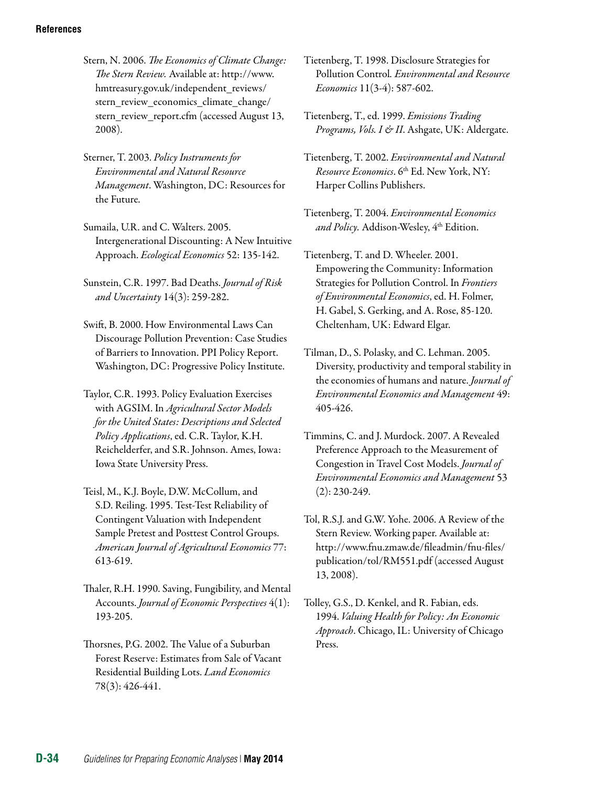- Stern, N. 2006. *The Economics of Climate Change: The Stern Review.* Available at: [http://www.](http://www.hm-treasury.gov.uk/independent_reviews/stern_review_economics_climate_change/stern_review_report.cfm) [hmtreasury.gov.uk/independent\\_reviews/](http://www.hm-treasury.gov.uk/independent_reviews/stern_review_economics_climate_change/stern_review_report.cfm)  stern review economics climate change/ [stern\\_review\\_report.cfm](http://www.hm-treasury.gov.uk/independent_reviews/stern_review_economics_climate_change/stern_review_report.cfm) (accessed August 13, 2008).
- Sterner, T. 2003. *Policy Instruments for Environmental and Natural Resource Management*. Washington, DC: Resources for the Future.
- Sumaila, U.R. and C. Walters. 2005. Intergenerational Discounting: A New Intuitive Approach. *Ecological Economics* 52: 135-142.
- Sunstein, C.R. 1997. Bad Deaths. *Journal of Risk and Uncertainty* 14(3): 259-282.
- Swift, B. 2000. How Environmental Laws Can Discourage Pollution Prevention: Case Studies of Barriers to Innovation. PPI Policy Report. Washington, DC: Progressive Policy Institute.
- Taylor, C.R. 1993. Policy Evaluation Exercises with AGSIM. In *Agricultural Sector Models for the United States: Descriptions and Selected Policy Applications*, ed. C.R. Taylor, K.H. Reichelderfer, and S.R. Johnson. Ames, Iowa: Iowa State University Press.
- Teisl, M., K.J. Boyle, D.W. McCollum, and S.D. Reiling. 1995. Test-Test Reliability of Contingent Valuation with Independent Sample Pretest and Posttest Control Groups. *American Journal of Agricultural Economics* 77: 613-619.
- Thaler, R.H. 1990. Saving, Fungibility, and Mental Accounts. *Journal of Economic Perspectives* 4(1): 193-205.
- Thorsnes, P.G. 2002. The Value of a Suburban Forest Reserve: Estimates from Sale of Vacant Residential Building Lots. *Land Economics*  78(3): 426-441.
- Tietenberg, T. 1998. Disclosure Strategies for Pollution Control*. Environmental and Resource Economics* 11(3-4): 587-602.
- Tietenberg, T., ed. 1999. *Emissions Trading Programs, Vols. I & II*. Ashgate, UK: Aldergate.
- Tietenberg, T. 2002. *Environmental and Natural Resource Economics*. 6th Ed. New York, NY: Harper Collins Publishers.
- Tietenberg, T. 2004. *Environmental Economics and Policy*. Addison-Wesley, 4<sup>th</sup> Edition.
- Tietenberg, T. and D. Wheeler. 2001. Empowering the Community: Information Strategies for Pollution Control. In *Frontiers of Environmental Economics*, ed. H. Folmer, H. Gabel, S. Gerking, and A. Rose, 85-120. Cheltenham, UK: Edward Elgar.
- Tilman, D., S. Polasky, and C. Lehman. 2005. Diversity, productivity and temporal stability in the economies of humans and nature. *Journal of Environmental Economics and Management* 49: 405-426.
- Timmins, C. and J. Murdock. 2007. [A Revealed](http://dx.doi.org/10.1016/j.jeem.2006.08.002)  [Preference Approach to the Measurement of](http://dx.doi.org/10.1016/j.jeem.2006.08.002)  [Congestion in Travel Cost Models](http://dx.doi.org/10.1016/j.jeem.2006.08.002). *Journal of Environmental Economics and Management* 53 (2): 230-249.
- Tol, R.S.J. and G.W. Yohe. 2006. A Review of the Stern Review. Working paper. Available at: [http://www.fnu.zmaw.de/fileadmin/fnu-files/](http://www.fnu.zmaw.de/fileadmin/fnu-files/publication/tol/RM551.pdf) [publication/tol/RM551.pdf](http://www.fnu.zmaw.de/fileadmin/fnu-files/publication/tol/RM551.pdf) (accessed August 13, 2008).
- Tolley, G.S., D. Kenkel, and R. Fabian, eds. 1994. *Valuing Health for Policy: An Economic Approach*. Chicago, IL: University of Chicago Press.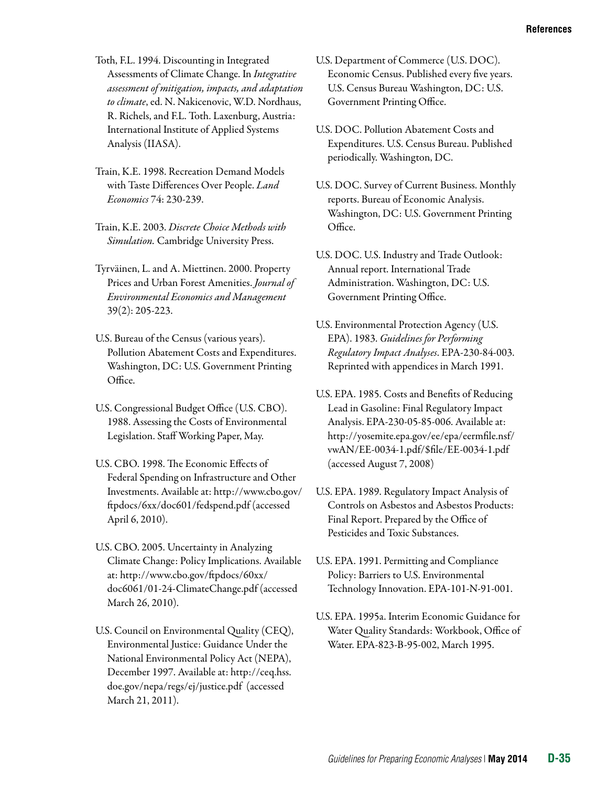Toth, F.L. 1994. Discounting in Integrated Assessments of Climate Change. In *Integrative assessment of mitigation, impacts, and adaptation to climate*, ed. N. Nakicenovic, W.D. Nordhaus, R. Richels, and F.L. Toth. Laxenburg, Austria: International Institute of Applied Systems Analysis (IIASA).

- Train, K.E. 1998. Recreation Demand Models with Taste Differences Over People. *Land Economics* 74: 230-239.
- Train, K.E. 2003. *Discrete Choice Methods with Simulation.* Cambridge University Press.
- Tyrväinen, L. and A. Miettinen. 2000. Property Prices and Urban Forest Amenities. *Journal of Environmental Economics and Management*  39(2): 205-223.
- U.S. Bureau of the Census (various years). Pollution Abatement Costs and Expenditures. Washington, DC: U.S. Government Printing Office.
- U.S. Congressional Budget Office (U.S. CBO). 1988. Assessing the Costs of Environmental Legislation. Staff Working Paper, May.
- U.S. CBO. 1998. The Economic Effects of Federal Spending on Infrastructure and Other Investments. Available at: http://www.cbo.gov/ ftpdocs/6xx/doc601/fedspend.pdf (accessed April 6, 2010).
- U.S. CBO. 2005. Uncertainty in Analyzing Climate Change: Policy Implications. Available at: [http://www.cbo.gov/ftpdocs/60xx/](http://www.cbo.gov/ftpdocs/60xx/doc6061/01-24-ClimateChange.pdf)  [doc6061/01-24-ClimateChange.pdf](http://www.cbo.gov/ftpdocs/60xx/doc6061/01-24-ClimateChange.pdf) (accessed March 26, 2010).
- U.S. Council on Environmental Quality (CEQ), Environmental Justice: Guidance Under the National Environmental Policy Act (NEPA), December 1997. Available at: http://ceq.hss. doe.gov/nepa/regs/ej/justice.pdf (accessed March 21, 2011).
- U.S. Department of Commerce (U.S. DOC). Economic Census. Published every five years. U.S. Census Bureau Washington, DC: U.S. Government Printing Office.
- U.S. DOC. Pollution Abatement Costs and Expenditures. U.S. Census Bureau. Published periodically. Washington, DC.
- U.S. DOC. Survey of Current Business. Monthly reports. Bureau of Economic Analysis. Washington, DC: U.S. Government Printing Office.
- U.S. DOC. U.S. Industry and Trade Outlook: Annual report. International Trade Administration. Washington, DC: U.S. Government Printing Office.
- U.S. Environmental Protection Agency (U.S. EPA). 1983. *Guidelines for Performing Regulatory Impact Analyses*. EPA-230-84-003. Reprinted with appendices in March 1991.
- U.S. EPA. 1985. Costs and Benefits of Reducing Lead in Gasoline: Final Regulatory Impact Analysis. EPA-230-05-85-006. Available at: [http://yosemite.epa.gov/ee/epa/eermfile.nsf/](http://yosemite.epa.gov/ee/epa/eermfile.nsf/vwAN/EE-0034-1.pdf/$file/EE-0034-1.pdf)  [vwAN/EE-0034-1.pdf/\\$file/EE-0034-1.pdf](http://yosemite.epa.gov/ee/epa/eermfile.nsf/vwAN/EE-0034-1.pdf/$file/EE-0034-1.pdf)  (accessed August 7, 2008)
- U.S. EPA. 1989. Regulatory Impact Analysis of Controls on Asbestos and Asbestos Products: Final Report. Prepared by the Office of Pesticides and Toxic Substances.
- U.S. EPA. 1991. Permitting and Compliance Policy: Barriers to U.S. Environmental Technology Innovation. EPA-101-N-91-001.
- U.S. EPA. 1995a. Interim Economic Guidance for Water Quality Standards: Workbook, Office of Water. EPA-823-B-95-002, March 1995.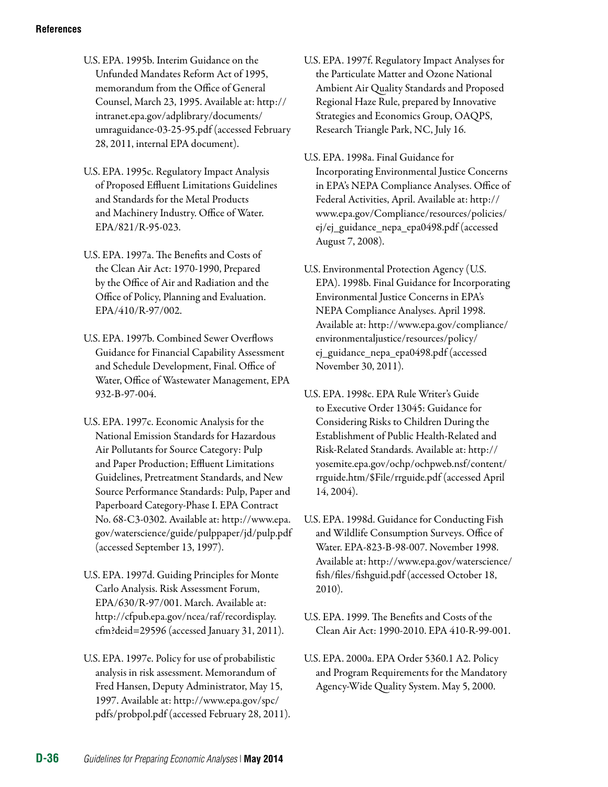- U.S. EPA. 1995b. Interim Guidance on the Unfunded Mandates Reform Act of 1995, memorandum from the Office of General Counsel, March 23, 1995. Available at: http:// intranet.epa.gov/adplibrary/documents/ umraguidance-03-25-95.pdf (accessed February 28, 2011, internal EPA document).
- U.S. EPA. 1995c. Regulatory Impact Analysis of Proposed Effluent Limitations Guidelines and Standards for the Metal Products and Machinery Industry. Office of Water. EPA/821/R-95-023.
- U.S. EPA. 1997a. The Benefits and Costs of the Clean Air Act: 1970-1990, Prepared by the Office of Air and Radiation and the Office of Policy, Planning and Evaluation. EPA/410/R-97/002.
- U.S. EPA. 1997b. Combined Sewer Overflows Guidance for Financial Capability Assessment and Schedule Development, Final. Office of Water, Office of Wastewater Management, EPA 932-B-97-004.
- U.S. EPA. 1997c. Economic Analysis for the National Emission Standards for Hazardous Air Pollutants for Source Category: Pulp and Paper Production; Effluent Limitations Guidelines, Pretreatment Standards, and New Source Performance Standards: Pulp, Paper and Paperboard Category-Phase I. EPA Contract No. 68-C3-0302. Available at: [http://www.epa.](http://www.epa.gov/waterscience/guide/pulppaper/jd/pulp.pdf)  [gov/waterscience/guide/pulppaper/jd/pulp.pdf](http://www.epa.gov/waterscience/guide/pulppaper/jd/pulp.pdf)  (accessed September 13, 1997).
- U.S. EPA. 1997d. Guiding Principles for Monte Carlo Analysis. Risk Assessment Forum, EPA/630/R-97/001. March. Available at: [http://cfpub.epa.gov/ncea/raf/recordisplay.](http://cfpub.epa.gov/ncea/raf/recordisplay.cfm?deid=29596) [cfm?deid=29596](http://cfpub.epa.gov/ncea/raf/recordisplay.cfm?deid=29596) (accessed January 31, 2011).
- U.S. EPA. 1997e. Policy for use of probabilistic analysis in risk assessment. Memorandum of Fred Hansen, Deputy Administrator, May 15, 1997. Available at: http://www.epa.gov/spc/ pdfs/probpol.pdf (accessed February 28, 2011).
- U.S. EPA. 1997f. Regulatory Impact Analyses for the Particulate Matter and Ozone National Ambient Air Quality Standards and Proposed Regional Haze Rule, prepared by Innovative Strategies and Economics Group, OAQPS, Research Triangle Park, NC, July 16.
- U.S. EPA. 1998a. Final Guidance for Incorporating Environmental Justice Concerns in EPA's NEPA Compliance Analyses. Office of Federal Activities, April. Available at: [http://](http://www.epa.gov/Compliance/resources/policies/ej/ej_guidance_nepa_epa0498.pdf) [www.epa.gov/Compliance/resources/policies/](http://www.epa.gov/Compliance/resources/policies/ej/ej_guidance_nepa_epa0498.pdf)  [ej/ej\\_guidance\\_nepa\\_epa0498.pdf](http://www.epa.gov/Compliance/resources/policies/ej/ej_guidance_nepa_epa0498.pdf) (accessed August 7, 2008).
- U.S. Environmental Protection Agency (U.S. EPA). 1998b. Final Guidance for Incorporating Environmental Justice Concerns in EPA's NEPA Compliance Analyses. April 1998. Available at: http://www.epa.gov/compliance/ environmentaljustice/resources/policy/ ej\_guidance\_nepa\_epa0498.pdf (accessed November 30, 2011).
- U.S. EPA. 1998c. EPA Rule Writer's Guide to Executive Order 13045: Guidance for Considering Risks to Children During the Establishment of Public Health-Related and Risk-Related Standards. Available at: [http://](http://yosemite.epa.gov/ochp/ochpweb.nsf/content/rrguide.htm/$File/rrguide.pdf)  [yosemite.epa.gov/ochp/ochpweb.nsf/content/](http://yosemite.epa.gov/ochp/ochpweb.nsf/content/rrguide.htm/$File/rrguide.pdf)  [rrguide.htm/\\$File/rrguide.pdf](http://yosemite.epa.gov/ochp/ochpweb.nsf/content/rrguide.htm/$File/rrguide.pdf) (accessed April 14, 2004).
- U.S. EPA. 1998d. Guidance for Conducting Fish and Wildlife Consumption Surveys. Office of Water. EPA-823-B-98-007. November 1998. Available at: http://www.epa.gov/waterscience/ fish/files/fishguid.pdf (accessed October 18, 2010).
- U.S. EPA. 1999. The Benefits and Costs of the Clean Air Act: 1990-2010. EPA 410-R-99-001.
- U.S. EPA. 2000a. EPA Order 5360.1 A2. Policy and Program Requirements for the Mandatory Agency-Wide Quality System. May 5, 2000.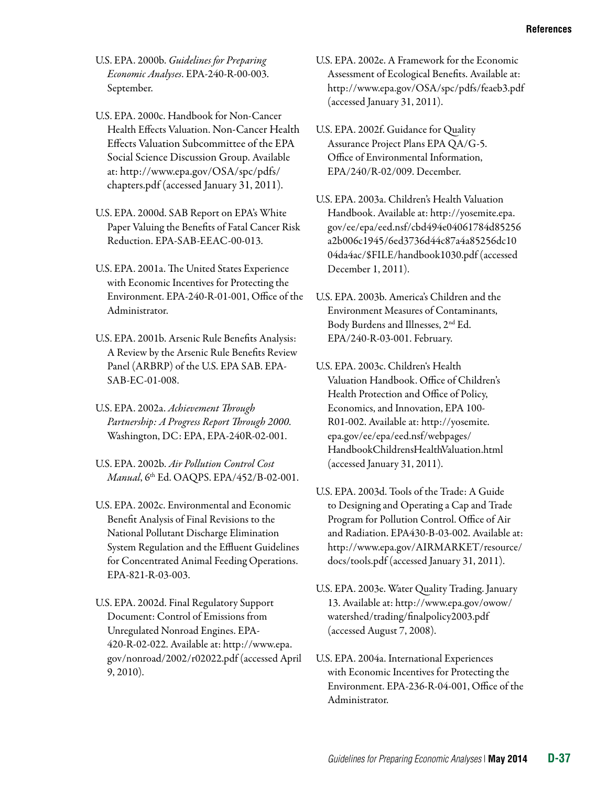- U.S. EPA. 2000b. *Guidelines for Preparing Economic Analyses*. EPA-240-R-00-003. September.
- U.S. EPA. 2000c. Handbook for Non-Cancer Health Effects Valuation. Non-Cancer Health Effects Valuation Subcommittee of the EPA Social Science Discussion Group. Available at: [http://www.epa.gov/OSA/spc/pdfs/](http://www.epa.gov/OSA/spc/pdfs/chapters.pdf)  [chapters.pdf](http://www.epa.gov/OSA/spc/pdfs/chapters.pdf) (accessed January 31, 2011).
- U.S. EPA. 2000d. SAB Report on EPA's White Paper Valuing the Benefits of Fatal Cancer Risk Reduction. EPA-SAB-EEAC-00-013.
- U.S. EPA. 2001a. The United States Experience with Economic Incentives for Protecting the Environment. EPA-240-R-01-001, Office of the Administrator.
- U.S. EPA. 2001b. Arsenic Rule Benefits Analysis: A Review by the Arsenic Rule Benefits Review Panel (ARBRP) of the U.S. EPA SAB. EPA-SAB-EC-01-008.
- U.S. EPA. 2002a. *Achievement Through Partnership: A Progress Report Through 2000*. Washington, DC: EPA, EPA-240R-02-001.
- U.S. EPA. 2002b. *Air Pollution Control Cost Manual*, 6th Ed. OAQPS. EPA/452/B-02-001.
- U.S. EPA. 2002c. Environmental and Economic Benefit Analysis of Final Revisions to the National Pollutant Discharge Elimination System Regulation and the Effluent Guidelines for Concentrated Animal Feeding Operations. EPA-821-R-03-003.
- U.S. EPA. 2002d. Final Regulatory Support Document: Control of Emissions from Unregulated Nonroad Engines. EPA-420-R-02-022. Available at: [http://www.epa.](http://www.epa.gov/nonroad/2002/r02022.pdf) [gov/nonroad/2002/r02022.pdf](http://www.epa.gov/nonroad/2002/r02022.pdf) (accessed April 9, 2010).
- U.S. EPA. 2002e. A Framework for the Economic Assessment of Ecological Benefits. Available at: <http://www.epa.gov/OSA/spc/pdfs/feaeb3.pdf> (accessed January 31, 2011).
- U.S. EPA. 2002f. Guidance for Quality Assurance Project Plans EPA QA/G-5. Office of Environmental Information, EPA/240/R-02/009. December.
- U.S. EPA. 2003a. Children's Health Valuation Handbook. Available at: http://yosemite.epa. gov/ee/epa/eed.nsf/cbd494e04061784d85256 a2b006c1945/6ed3736d44c87a4a85256dc10 04da4ac/\$FILE/handbook1030.pdf (accessed December 1, 2011).
- U.S. EPA. 2003b. America's Children and the Environment Measures of Contaminants, Body Burdens and Illnesses, 2nd Ed. EPA/240-R-03-001. February.
- U.S. EPA. 2003c. Children's Health Valuation Handbook. Office of Children's Health Protection and Office of Policy, Economics, and Innovation, EPA 100 R01-002. Available at: [http://yosemite.](http://yosemite.epa.gov/ee/epa/eed.nsf/webpages/HandbookChildrensHealthValuation.html) [epa.gov/ee/epa/eed.nsf/webpages/](http://yosemite.epa.gov/ee/epa/eed.nsf/webpages/HandbookChildrensHealthValuation.html)  [HandbookChildrensHealthValuation.html](http://yosemite.epa.gov/ee/epa/eed.nsf/webpages/HandbookChildrensHealthValuation.html)  (accessed January 31, 2011).
- U.S. EPA. 2003d. Tools of the Trade: A Guide to Designing and Operating a Cap and Trade Program for Pollution Control. Office of Air and Radiation. EPA430-B-03-002. Available at: [http://www.epa.gov/AIRMARKET/resource/](http://www.epa.gov/AIRMARKET/resource/docs/tools.pdf) [docs/tools.pdf](http://www.epa.gov/AIRMARKET/resource/docs/tools.pdf) (accessed January 31, 2011).
- U.S. EPA. 2003e. Water Quality Trading. January 13. Available at: [http://www.epa.gov/owow/](http://www.epa.gov/owow/watershed/trading/finalpolicy2003.pdf) [watershed/trading/finalpolicy2003.pdf](http://www.epa.gov/owow/watershed/trading/finalpolicy2003.pdf) (accessed August 7, 2008).
- U.S. EPA. 2004a. International Experiences with Economic Incentives for Protecting the Environment. EPA-236-R-04-001, Office of the Administrator.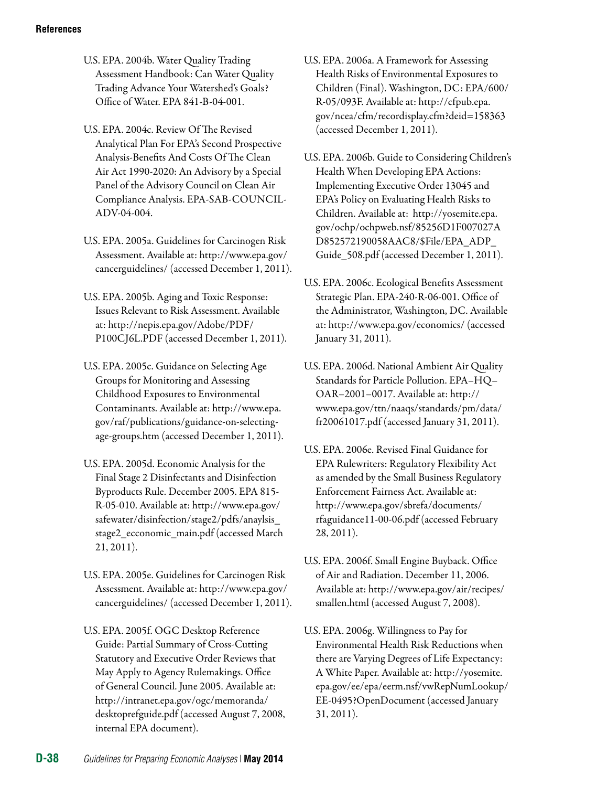U.S. EPA. 2004b. Water Quality Trading Assessment Handbook: Can Water Quality Trading Advance Your Watershed's Goals? Office of Water. EPA 841-B-04-001.

U.S. EPA. 2004c. Review Of The Revised Analytical Plan For EPA's Second Prospective Analysis-Benefits And Costs Of The Clean Air Act 1990-2020: An Advisory by a Special Panel of the Advisory Council on Clean Air Compliance Analysis. EPA-SAB-COUNCIL-ADV-04-004.

U.S. EPA. 2005a. Guidelines for Carcinogen Risk Assessment. Available at: http://www.epa.gov/ cancerguidelines/ (accessed December 1, 2011).

U.S. EPA. 2005b. Aging and Toxic Response: Issues Relevant to Risk Assessment. Available at: http://nepis.epa.gov/Adobe/PDF/ P100CJ6L.PDF (accessed December 1, 2011).

U.S. EPA. 2005c. Guidance on Selecting Age Groups for Monitoring and Assessing Childhood Exposures to Environmental Contaminants. Available at: http://www.epa. gov/raf/publications/guidance-on-selectingage-groups.htm (accessed December 1, 2011).

- U.S. EPA. 2005d. Economic Analysis for the Final Stage 2 Disinfectants and Disinfection Byproducts Rule. December 2005. EPA 815 R-05-010. Available at: http://www.epa.gov/ safewater/disinfection/stage2/pdfs/anaylsis\_ stage2\_ecconomic\_main.pdf (accessed March 21, 2011).
- U.S. EPA. 2005e. Guidelines for Carcinogen Risk Assessment. Available at: http://www.epa.gov/ cancerguidelines/ (accessed December 1, 2011).
- U.S. EPA. 2005f. OGC Desktop Reference Guide: Partial Summary of Cross-Cutting Statutory and Executive Order Reviews that May Apply to Agency Rulemakings. Office of General Council. June 2005. Available at: http://intranet.epa.gov/ogc/memoranda/ desktoprefguide.pdf (accessed August 7, 2008, internal EPA document).
- U.S. EPA. 2006a. A Framework for Assessing Health Risks of Environmental Exposures to Children (Final). Washington, DC: EPA/600/ R-05/093F. Available at: http://cfpub.epa. gov/ncea/cfm/recordisplay.cfm?deid=158363 (accessed December 1, 2011).
- U.S. EPA. 2006b. Guide to Considering Children's Health When Developing EPA Actions: Implementing Executive Order 13045 and EPA's Policy on Evaluating Health Risks to Children. Available at: http://yosemite.epa. gov/ochp/ochpweb.nsf/85256D1F007027A D852572190058AAC8/\$File/EPA\_ADP\_ Guide\_508.pdf (accessed December 1, 2011).
- U.S. EPA. 2006c. Ecological Benefits Assessment Strategic Plan. EPA-240-R-06-001. Office of the Administrator, Washington, DC. Available at: <http://www.epa.gov/economics/> (accessed January 31, 2011).
- U.S. EPA. 2006d. National Ambient Air Quality Standards for Particle Pollution. EPA–HQ– OAR–2001–0017. Available at: [http://](http://www.epa.gov/ttn/naaqs/standards/pm/data/fr20061017.pdf) [www.epa.gov/ttn/naaqs/standards/pm/data/](http://www.epa.gov/ttn/naaqs/standards/pm/data/fr20061017.pdf)  [fr20061017.pdf](http://www.epa.gov/ttn/naaqs/standards/pm/data/fr20061017.pdf) (accessed January 31, 2011).
- U.S. EPA. 2006e. Revised Final Guidance for EPA Rulewriters: Regulatory Flexibility Act as amended by the Small Business Regulatory Enforcement Fairness Act. Available at: http://www.epa.gov/sbrefa/documents/ rfaguidance11-00-06.pdf (accessed February 28, 2011).
- U.S. EPA. 2006f. Small Engine Buyback. Office of Air and Radiation. December 11, 2006. Available at: [http://www.epa.gov/air/recipes/](http://www.epa.gov/air/recipes/smallen.html) [smallen.html](http://www.epa.gov/air/recipes/smallen.html) (accessed August 7, 2008).
- U.S. EPA. 2006g. Willingness to Pay for Environmental Health Risk Reductions when there are Varying Degrees of Life Expectancy: A White Paper. Available at: [http://yosemite.](http://yosemite.epa.gov/ee/epa/eerm.nsf/vwRepNumLookup/EE-0495?OpenDocument) [epa.gov/ee/epa/eerm.nsf/vwRepNumLookup/](http://yosemite.epa.gov/ee/epa/eerm.nsf/vwRepNumLookup/EE-0495?OpenDocument) [EE-0495?OpenDocument](http://yosemite.epa.gov/ee/epa/eerm.nsf/vwRepNumLookup/EE-0495?OpenDocument) (accessed January 31, 2011).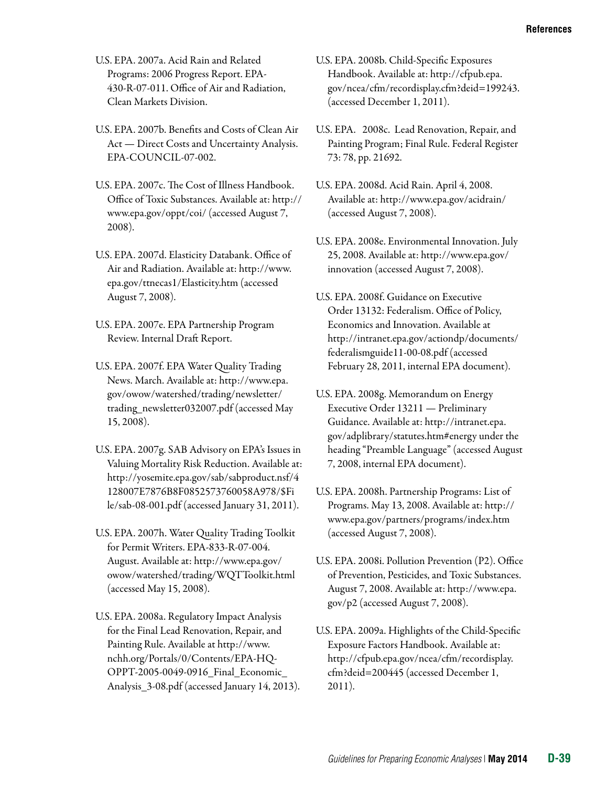U.S. EPA. 2007a. Acid Rain and Related Programs: 2006 Progress Report. EPA-430-R-07-011. Office of Air and Radiation, Clean Markets Division.

U.S. EPA. 2007b. Benefits and Costs of Clean Air Act — Direct Costs and Uncertainty Analysis. EPA-COUNCIL-07-002.

- U.S. EPA. 2007c. The Cost of Illness Handbook. Office of Toxic Substances. Available at: [http://](http://www.epa.gov/oppt/coi/) [www.epa.gov/oppt/coi/](http://www.epa.gov/oppt/coi/) (accessed August 7, 2008).
- U.S. EPA. 2007d. Elasticity Databank. Office of Air and Radiation. Available at: [http://www.](http://www.epa.gov/ttnecas1/Elasticity.htm)  [epa.gov/ttnecas1/Elasticity.htm](http://www.epa.gov/ttnecas1/Elasticity.htm) (accessed August 7, 2008).
- U.S. EPA. 2007e. EPA Partnership Program Review. Internal Draft Report.
- U.S. EPA. 2007f. EPA Water Quality Trading News. March. Available at: [http://www.epa.](http://www.epa.gov/owow/watershed/trading/newsletter/trading_newsletter032007.pdf) [gov/owow/watershed/trading/newsletter/](http://www.epa.gov/owow/watershed/trading/newsletter/trading_newsletter032007.pdf) [trading\\_newsletter032007.pdf](http://www.epa.gov/owow/watershed/trading/newsletter/trading_newsletter032007.pdf) (accessed May 15, 2008).
- U.S. EPA. 2007g. SAB Advisory on EPA's Issues in Valuing Mortality Risk Reduction. Available at: [http://yosemite.epa.gov/sab/sabproduct.nsf/4](http://yosemite.epa.gov/sab/sabproduct.nsf/4128007E7876B8F0852573760058A978/$File/sab-08-001.pdf) [128007E7876B8F0852573760058A978/\\$Fi](http://yosemite.epa.gov/sab/sabproduct.nsf/4128007E7876B8F0852573760058A978/$File/sab-08-001.pdf) [le/sab-08-001.pdf](http://yosemite.epa.gov/sab/sabproduct.nsf/4128007E7876B8F0852573760058A978/$File/sab-08-001.pdf) (accessed January 31, 2011).
- U.S. EPA. 2007h. Water Quality Trading Toolkit for Permit Writers. EPA-833-R-07-004. August. Available at: [http://www.epa.gov/](http://www.epa.gov/owow/watershed/trading/WQTToolkit.html) [owow/watershed/trading/WQTToolkit.html](http://www.epa.gov/owow/watershed/trading/WQTToolkit.html) (accessed May 15, 2008).
- U.S. EPA. 2008a. Regulatory Impact Analysis for the Final Lead Renovation, Repair, and Painting Rule. Available at http://www. nchh.org/Portals/0/Contents/EPA-HQ-OPPT-2005-0049-0916\_Final\_Economic\_ Analysis\_3-08.pdf (accessed January 14, 2013).
- U.S. EPA. 2008b. Child-Specific Exposures Handbook. Available at: http://cfpub.epa. gov/ncea/cfm/recordisplay.cfm?deid=199243. (accessed December 1, 2011).
- U.S. EPA. 2008c. Lead Renovation, Repair, and Painting Program; Final Rule. Federal Register 73: 78, pp. 21692.
- U.S. EPA. 2008d. Acid Rain. April 4, 2008. Available at:<http://www.epa.gov/acidrain/> (accessed August 7, 2008).
- U.S. EPA. 2008e. Environmental Innovation. July 25, 2008. Available at: [http://www.epa.gov/](http://www.epa.gov/innovation)  [innovation](http://www.epa.gov/innovation) (accessed August 7, 2008).
- U.S. EPA. 2008f. Guidance on Executive Order 13132: Federalism. Office of Policy, Economics and Innovation. Available at http://intranet.epa.gov/actiondp/documents/ federalismguide11-00-08.pdf (accessed February 28, 2011, internal EPA document).
- U.S. EPA. 2008g. Memorandum on Energy Executive Order 13211 — Preliminary Guidance. Available at: http://intranet.epa. gov/adplibrary/statutes.htm#energy under the heading "Preamble Language" (accessed August 7, 2008, internal EPA document).
- U.S. EPA. 2008h. Partnership Programs: List of Programs. May 13, 2008. Available at: [http://](http://www.epa.gov/partners/programs/index.htm) [www.epa.gov/partners/programs/index.htm](http://www.epa.gov/partners/programs/index.htm)  (accessed August 7, 2008).
- U.S. EPA. 2008i. Pollution Prevention (P2). Office of Prevention, Pesticides, and Toxic Substances. August 7, 2008. Available at: [http://www.epa.](http://www.epa.gov/p2) [gov/p2](http://www.epa.gov/p2) (accessed August 7, 2008).
- U.S. EPA. 2009a. Highlights of the Child-Specific Exposure Factors Handbook. Available at: http://cfpub.epa.gov/ncea/cfm/recordisplay. cfm?deid=200445 (accessed December 1, 2011).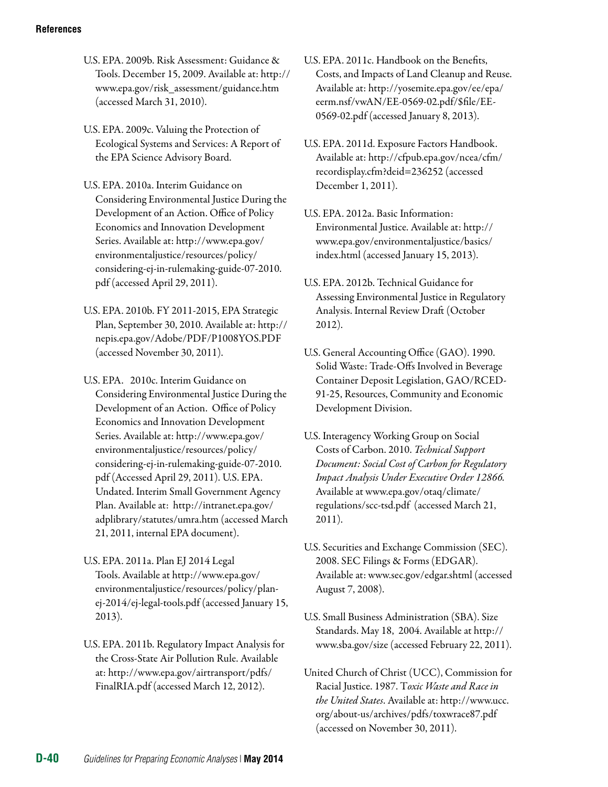- U.S. EPA. 2009b. Risk Assessment: Guidance & Tools. December 15, 2009. Available at: [http://](http://www.epa.gov/risk_assessment/guidance.htm)  [www.epa.gov/risk\\_assessment/guidance.htm](http://www.epa.gov/risk_assessment/guidance.htm) (accessed March 31, 2010).
- U.S. EPA. 2009c. Valuing the Protection of Ecological Systems and Services: A Report of the EPA Science Advisory Board.
- U.S. EPA. 2010a. Interim Guidance on Considering Environmental Justice During the Development of an Action. Office of Policy Economics and Innovation Development Series. Available at: http://www.epa.gov/ environmentaljustice/resources/policy/ considering-ej-in-rulemaking-guide-07-2010. pdf (accessed April 29, 2011).
- U.S. EPA. 2010b. FY 2011-2015, EPA Strategic Plan, September 30, 2010. Available at: http:// nepis.epa.gov/Adobe/PDF/P1008YOS.PDF (accessed November 30, 2011).
- U.S. EPA. 2010c. Interim Guidance on Considering Environmental Justice During the Development of an Action. Office of Policy Economics and Innovation Development Series. Available at: http://www.epa.gov/ environmentaljustice/resources/policy/ considering-ej-in-rulemaking-guide-07-2010. pdf (Accessed April 29, 2011). U.S. EPA. Undated. Interim Small Government Agency Plan. Available at: http://intranet.epa.gov/ adplibrary/statutes/umra.htm (accessed March 21, 2011, internal EPA document).
- U.S. EPA. 2011a. Plan EJ 2014 Legal Tools. Available at http://www.epa.gov/ environmentaljustice/resources/policy/planej-2014/ej-legal-tools.pdf (accessed January 15, 2013).
- U.S. EPA. 2011b. Regulatory Impact Analysis for the Cross-State Air Pollution Rule. Available at: http://www.epa.gov/airtransport/pdfs/ FinalRIA.pdf (accessed March 12, 2012).
- U.S. EPA. 2011c. Handbook on the Benefits, Costs, and Impacts of Land Cleanup and Reuse. Available at: http://yosemite.epa.gov/ee/epa/ eerm.nsf/vwAN/EE-0569-02.pdf/\$file/EE-0569-02.pdf (accessed January 8, 2013).
- U.S. EPA. 2011d. Exposure Factors Handbook. Available at: http://cfpub.epa.gov/ncea/cfm/ recordisplay.cfm?deid=236252 (accessed December 1, 2011).
- U.S. EPA. 2012a. Basic Information: Environmental Justice. Available at: http:// www.epa.gov/environmentaljustice/basics/ index.html (accessed January 15, 2013).
- U.S. EPA. 2012b. Technical Guidance for Assessing Environmental Justice in Regulatory Analysis. Internal Review Draft (October 2012).
- U.S. General Accounting Office (GAO). 1990. Solid Waste: Trade-Offs Involved in Beverage Container Deposit Legislation, GAO/RCED-91-25, Resources, Community and Economic Development Division.
- U.S. Interagency Working Group on Social Costs of Carbon. 2010. *Technical Support Document: Social Cost of Carbon for Regulatory Impact Analysis Under Executive Order 12866.*  Available at www.epa.gov/otaq/climate/ regulations/scc-tsd.pdf (accessed March 21, 2011).
- U.S. Securities and Exchange Commission (SEC). 2008. SEC Filings & Forms (EDGAR). Available at: [www.sec.gov/edgar.shtml](http://www.sec.gov/edgar.shtml) (accessed August 7, 2008).
- U.S. Small Business Administration (SBA). Size Standards. May 18, 2004. Available at [http://](http://www.sba.gov/size) [www.sba.gov/size](http://www.sba.gov/size) (accessed February 22, 2011).
- United Church of Christ (UCC), Commission for Racial Justice. 1987. T*oxic Waste and Race in the United States*. Available at: http://www.ucc. org/about-us/archives/pdfs/toxwrace87.pdf (accessed on November 30, 2011).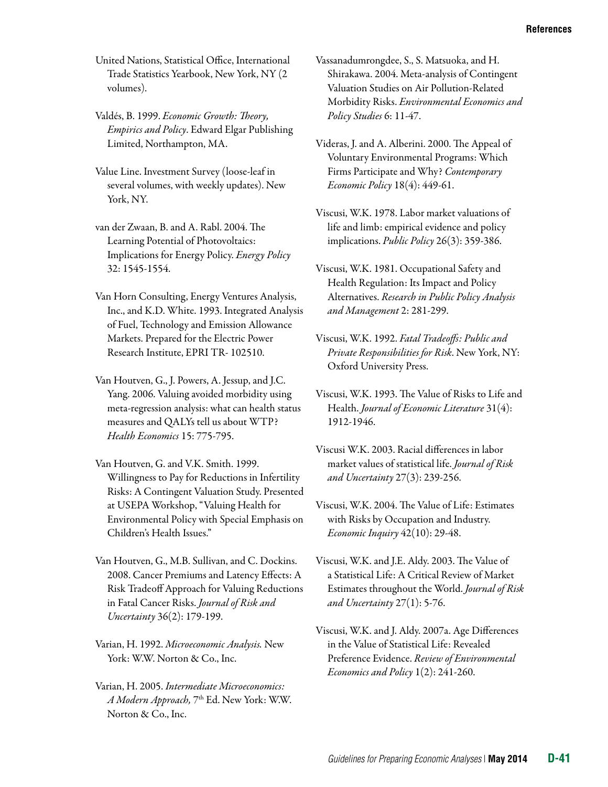United Nations, Statistical Office, International Trade Statistics Yearbook, New York, NY (2 volumes).

- Valdés, B. 1999. *Economic Growth: Theory, Empirics and Policy*. Edward Elgar Publishing Limited, Northampton, MA.
- Value Line. Investment Survey (loose-leaf in several volumes, with weekly updates). New York, NY.
- van der Zwaan, B. and A. Rabl. 2004. The Learning Potential of Photovoltaics: Implications for Energy Policy. *Energy Policy*  32: 1545-1554.
- Van Horn Consulting, Energy Ventures Analysis, Inc., and K.D. White. 1993. Integrated Analysis of Fuel, Technology and Emission Allowance Markets. Prepared for the Electric Power Research Institute, EPRI TR- 102510.
- Van Houtven, G., J. Powers, A. Jessup, and J.C. Yang. 2006. Valuing avoided morbidity using meta-regression analysis: what can health status measures and QALYs tell us about WTP? *Health Economics* 15: 775-795.
- Van Houtven, G. and V.K. Smith. 1999. Willingness to Pay for Reductions in Infertility Risks: A Contingent Valuation Study. Presented at USEPA Workshop, "Valuing Health for Environmental Policy with Special Emphasis on Children's Health Issues."
- Van Houtven, G., M.B. Sullivan, and C. Dockins. 2008. Cancer Premiums and Latency Effects: A Risk Tradeoff Approach for Valuing Reductions in Fatal Cancer Risks. *Journal of Risk and Uncertainty* 36(2): 179-199.
- Varian, H. 1992. *Microeconomic Analysis.* New York: W.W. Norton & Co., Inc.
- Varian, H. 2005. *Intermediate Microeconomics: A Modern Approach,* 7th Ed. New York: W.W. Norton & Co., Inc.
- Vassanadumrongdee, S., S. Matsuoka, and H. Shirakawa. 2004. Meta-analysis of Contingent Valuation Studies on Air Pollution-Related Morbidity Risks. *Environmental Economics and Policy Studies* 6: 11-47.
- Videras, J. and A. Alberini. 2000. The Appeal of Voluntary Environmental Programs: Which Firms Participate and Why? *Contemporary Economic Policy* 18(4): 449-61.
- Viscusi, W.K. 1978. Labor market valuations of life and limb: empirical evidence and policy implications. *Public Policy* 26(3): 359-386.
- Viscusi, W.K. 1981. Occupational Safety and Health Regulation: Its Impact and Policy Alternatives. *Research in Public Policy Analysis and Management* 2: 281-299.
- Viscusi, W.K. 1992. *Fatal Tradeoffs: Public and Private Responsibilities for Risk*. New York, NY: Oxford University Press.
- Viscusi, W.K. 1993. The Value of Risks to Life and Health. *Journal of Economic Literature* 31(4): 1912-1946.
- Viscusi W.K. 2003. Racial differences in labor market values of statistical life. *Journal of Risk and Uncertainty* 27(3): 239-256.
- Viscusi, W.K. 2004. The Value of Life: Estimates with Risks by Occupation and Industry. *Economic Inquiry* 42(10): 29-48.
- Viscusi, W.K. and J.E. Aldy. 2003. The Value of a Statistical Life: A Critical Review of Market Estimates throughout the World. *Journal of Risk and Uncertainty* 27(1): 5-76.
- Viscusi, W.K. and J. Aldy. 2007a. Age Differences in the Value of Statistical Life: Revealed Preference Evidence. *Review of Environmental Economics and Policy* 1(2): 241-260.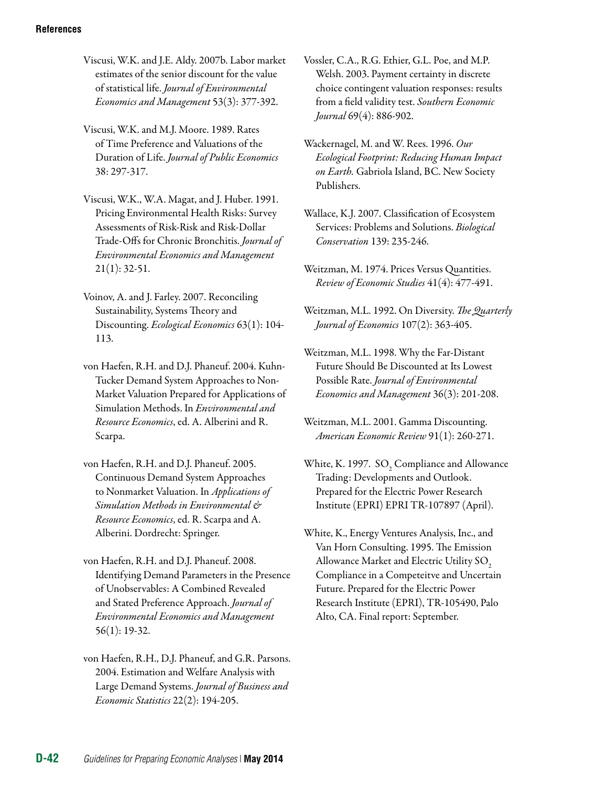- Viscusi, W.K. and J.E. Aldy. 2007b. Labor market estimates of the senior discount for the value of statistical life. *Journal of Environmental Economics and Management* 53(3): 377-392.
- Viscusi, W.K. and M.J. Moore. 1989. Rates of Time Preference and Valuations of the Duration of Life. *Journal of Public Economics*  38: 297-317.
- Viscusi, W.K., W.A. Magat, and J. Huber. 1991. Pricing Environmental Health Risks: Survey Assessments of Risk-Risk and Risk-Dollar Trade-Offs for Chronic Bronchitis. *Journal of Environmental Economics and Management*  21(1): 32-51.
- Voinov, A. and J. Farley. 2007. Reconciling Sustainability, Systems Theory and Discounting. *Ecological Economics* 63(1): 104 113.
- von Haefen, R.H. and D.J. Phaneuf. 2004. Kuhn-Tucker Demand System Approaches to Non-Market Valuation Prepared for Applications of Simulation Methods. In *Environmental and Resource Economics*, ed. A. Alberini and R. Scarpa.
- von Haefen, R.H. and D.J. Phaneuf. 2005. Continuous Demand System Approaches to Nonmarket Valuation. In *Applications of Simulation Methods in Environmental & Resource Economics*, ed. R. Scarpa and A. Alberini. Dordrecht: Springer.
- von Haefen, R.H. and D.J. Phaneuf. 2008. Identifying Demand Parameters in the Presence of Unobservables: A Combined Revealed and Stated Preference Approach. *Journal of Environmental Economics and Management*  56(1): 19-32.
- von Haefen, R.H., D.J. Phaneuf, and G.R. Parsons. 2004. Estimation and Welfare Analysis with Large Demand Systems. *Journal of Business and Economic Statistics* 22(2): 194-205.

Vossler, C.A., R.G. Ethier, G.L. Poe, and M.P. Welsh. 2003. Payment certainty in discrete choice contingent valuation responses: results from a field validity test. *Southern Economic Journal* 69(4): 886-902.

- Wackernagel, M. and W. Rees. 1996. *Our Ecological Footprint: Reducing Human Impact on Earth.* Gabriola Island, BC. New Society Publishers.
- Wallace, K.J. 2007. Classification of Ecosystem Services: Problems and Solutions. *Biological Conservation* 139: 235-246.
- Weitzman, M. 1974. Prices Versus Quantities. *Review of Economic Studies* 41(4): 477-491.
- Weitzman, M.L. 1992. On Diversity. *The Quarterly Journal of Economics* 107(2): 363-405.
- Weitzman, M.L. 1998. Why the Far-Distant Future Should Be Discounted at Its Lowest Possible Rate. *Journal of Environmental Economics and Management* 36(3): 201-208.
- Weitzman, M.L. 2001. Gamma Discounting. *American Economic Review* 91(1): 260-271.
- White, K. 1997.  $\, \mathrm{SO}_2 \, \mathrm{Compliance}$  and Allowance Trading: Developments and Outlook. Prepared for the Electric Power Research Institute (EPRI) EPRI TR-107897 (April).
- White, K., Energy Ventures Analysis, Inc., and Van Horn Consulting. 1995. The Emission Allowance Market and Electric Utility  $\text{SO}_2$ Compliance in a Competeitve and Uncertain Future. Prepared for the Electric Power Research Institute (EPRI), TR-105490, Palo Alto, CA. Final report: September.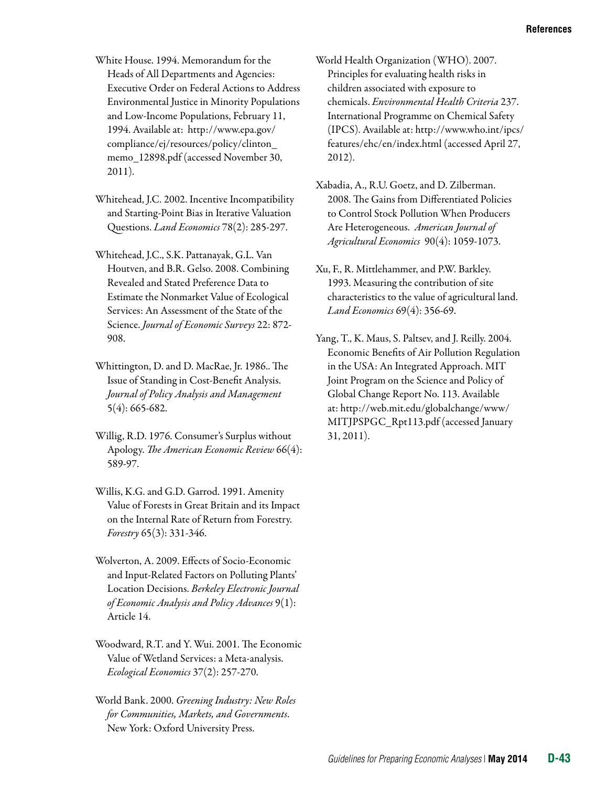- White House. 1994. Memorandum for the Heads of All Departments and Agencies: Executive Order on Federal Actions to Address Environmental Justice in Minority Populations and Low-Income Populations, February 11, 1994. Available at: http://www.epa.gov/ compliance/ej/resources/policy/clinton\_ memo\_12898.pdf (accessed November 30, 2011).
- Whitehead, J.C. 2002. Incentive Incompatibility and Starting-Point Bias in Iterative Valuation Questions. *Land Economics* 78(2): 285-297.
- Whitehead, J.C., S.K. Pattanayak, G.L. Van Houtven, and B.R. Gelso. 2008. Combining Revealed and Stated Preference Data to Estimate the Nonmarket Value of Ecological Services: An Assessment of the State of the Science. *Journal of Economic Surveys* 22: 872 908.
- Whittington, D. and D. MacRae, Jr. 1986.. The Issue of Standing in Cost-Benefit Analysis. *Journal of Policy Analysis and Management*  5(4): 665-682.
- Willig, R.D. 1976. Consumer's Surplus without Apology. *The American Economic Review* 66(4): 589-97.
- Willis, K.G. and G.D. Garrod. 1991. Amenity Value of Forests in Great Britain and its Impact on the Internal Rate of Return from Forestry. *Forestry* 65(3): 331-346.
- Wolverton, A. 2009. Effects of Socio-Economic and Input-Related Factors on Polluting Plants' Location Decisions. *Berkeley Electronic Journal of Economic Analysis and Policy Advances* 9(1): Article 14.
- Woodward, R.T. and Y. Wui. 2001. [The Economic](http://ideas.repec.org/a/eee/ecolec/v37y2001i2p257-270.html)  [Value of Wetland Services: a Meta-analysis](http://ideas.repec.org/a/eee/ecolec/v37y2001i2p257-270.html). *[Ecological Economics](http://ideas.repec.org/s/eee/ecolec.html)* 37(2): 257-270.
- World Bank. 2000. *Greening Industry: New Roles for Communities, Markets, and Governments*. New York: Oxford University Press.

World Health Organization (WHO). 2007. Principles for evaluating health risks in children associated with exposure to chemicals. *Environmental Health Criteria* 237. International Programme on Chemical Safety (IPCS). Available at: http://www.who.int/ipcs/ features/ehc/en/index.html (accessed April 27, 2012).

- Xabadia, A., R.U. Goetz, and D. Zilberman. 2008. The Gains from Differentiated Policies to Control Stock Pollution When Producers Are Heterogeneous. *American Journal of Agricultural Economics* 90(4): 1059-1073.
- Xu, F., R. Mittlehammer, and P.W. Barkley. 1993. Measuring the contribution of site characteristics to the value of agricultural land. *Land Economics* 69(4): 356-69.
- Yang, T., K. Maus, S. Paltsev, and J. Reilly. 2004. Economic Benefits of Air Pollution Regulation in the USA: An Integrated Approach. MIT Joint Program on the Science and Policy of Global Change Report No. 113. Available at: [http://web.mit.edu/globalchange/www/](http://web.mit.edu/globalchange/www/MITJPSPGC_Rpt113.pdf) [MITJPSPGC\\_Rpt113.pdf](http://web.mit.edu/globalchange/www/MITJPSPGC_Rpt113.pdf) (accessed January 31, 2011).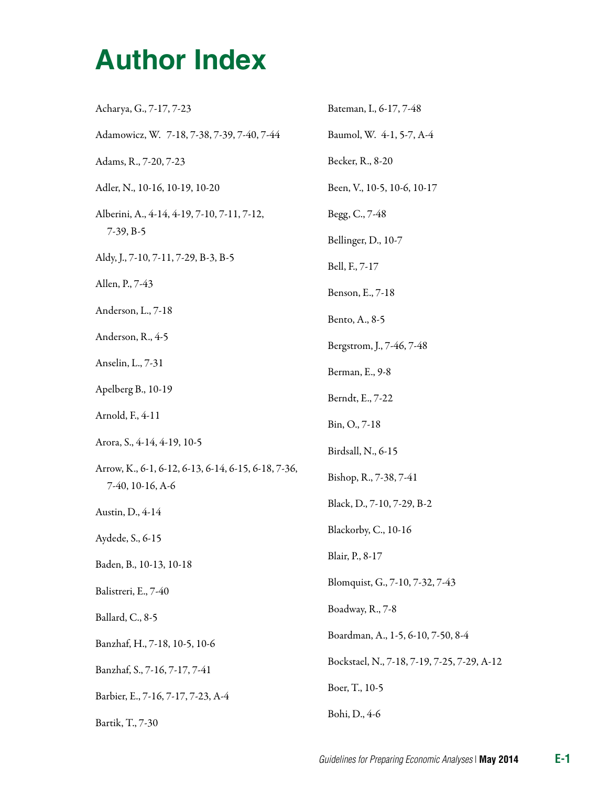| Acharya, G., 7-17, 7-23                                                 | Bateman, I., 6-17, 7-48                     |
|-------------------------------------------------------------------------|---------------------------------------------|
| Adamowicz, W. 7-18, 7-38, 7-39, 7-40, 7-44                              | Baumol, W. 4-1, 5-7, A-4                    |
| Adams, R., 7-20, 7-23                                                   | Becker, R., 8-20                            |
| Adler, N., 10-16, 10-19, 10-20                                          | Been, V., 10-5, 10-6, 10-17                 |
| Alberini, A., 4-14, 4-19, 7-10, 7-11, 7-12,<br>$7-39, B-5$              | Begg, C., 7-48                              |
|                                                                         | Bellinger, D., 10-7                         |
| Aldy, J., 7-10, 7-11, 7-29, B-3, B-5                                    | Bell, F., 7-17                              |
| Allen, P., 7-43                                                         | Benson, E., 7-18                            |
| Anderson, L., 7-18                                                      | Bento, A., 8-5                              |
| Anderson, R., 4-5                                                       | Bergstrom, J., 7-46, 7-48                   |
| Anselin, L., 7-31                                                       | Berman, E., 9-8                             |
| Apelberg B., 10-19                                                      | Berndt, E., 7-22                            |
| Arnold, F., 4-11                                                        | Bin, O., 7-18                               |
| Arora, S., 4-14, 4-19, 10-5                                             | Birdsall, N., 6-15                          |
| Arrow, K., 6-1, 6-12, 6-13, 6-14, 6-15, 6-18, 7-36,<br>7-40, 10-16, A-6 | Bishop, R., 7-38, 7-41                      |
| Austin, D., 4-14                                                        | Black, D., 7-10, 7-29, B-2                  |
| Aydede, S., 6-15                                                        | Blackorby, C., 10-16                        |
| Baden, B., 10-13, 10-18                                                 | Blair, P., 8-17                             |
| Balistreri, E., 7-40                                                    | Blomquist, G., 7-10, 7-32, 7-43             |
| Ballard, C., 8-5                                                        | Boadway, R., 7-8                            |
| Banzhaf, H., 7-18, 10-5, 10-6                                           | Boardman, A., 1-5, 6-10, 7-50, 8-4          |
| Banzhaf, S., 7-16, 7-17, 7-41                                           | Bockstael, N., 7-18, 7-19, 7-25, 7-29, A-12 |
| Barbier, E., 7-16, 7-17, 7-23, A-4                                      | Boer, T., 10-5                              |
| Bartik, T., 7-30                                                        | Bohi, D., 4-6                               |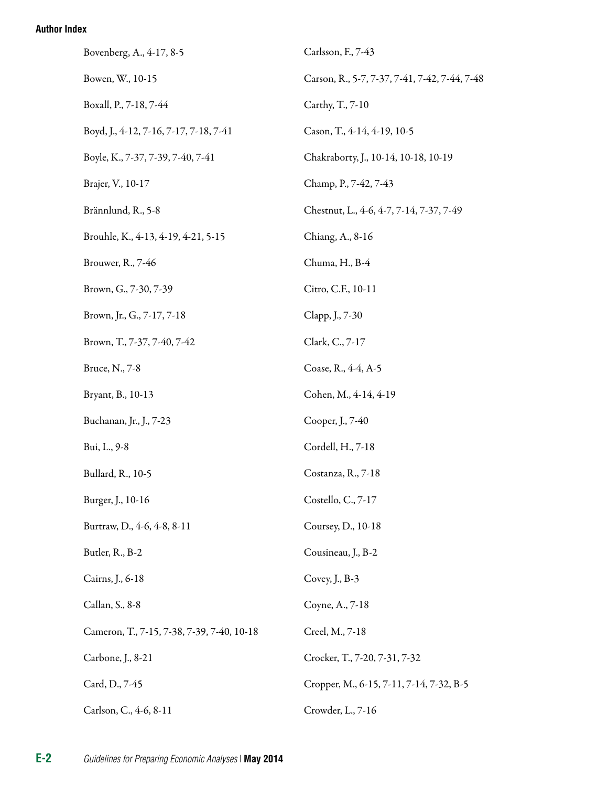| Bovenberg, A., 4-17, 8-5                   | Carlsson, F., 7-43                            |
|--------------------------------------------|-----------------------------------------------|
| Bowen, W., 10-15                           | Carson, R., 5-7, 7-37, 7-41, 7-42, 7-44, 7-48 |
| Boxall, P., 7-18, 7-44                     | Carthy, T., 7-10                              |
| Boyd, J., 4-12, 7-16, 7-17, 7-18, 7-41     | Cason, T., 4-14, 4-19, 10-5                   |
| Boyle, K., 7-37, 7-39, 7-40, 7-41          | Chakraborty, J., 10-14, 10-18, 10-19          |
| Brajer, V., 10-17                          | Champ, P., 7-42, 7-43                         |
| Brännlund, R., 5-8                         | Chestnut, L., 4-6, 4-7, 7-14, 7-37, 7-49      |
| Brouhle, K., 4-13, 4-19, 4-21, 5-15        | Chiang, A., 8-16                              |
| Brouwer, R., 7-46                          | Chuma, H., B-4                                |
| Brown, G., 7-30, 7-39                      | Citro, C.F., 10-11                            |
| Brown, Jr., G., 7-17, 7-18                 | Clapp, J., 7-30                               |
| Brown, T., 7-37, 7-40, 7-42                | Clark, C., 7-17                               |
| Bruce, N., 7-8                             | Coase, R., 4-4, A-5                           |
| Bryant, B., 10-13                          | Cohen, M., 4-14, 4-19                         |
| Buchanan, Jr., J., 7-23                    | Cooper, J., 7-40                              |
| Bui, L., 9-8                               | Cordell, H., 7-18                             |
| Bullard, R., 10-5                          | Costanza, R., 7-18                            |
| Burger, J., 10-16                          | Costello, C., 7-17                            |
| Burtraw, D., 4-6, 4-8, 8-11                | Coursey, D., 10-18                            |
| Butler, R., B-2                            | Cousineau, J., B-2                            |
| Cairns, J., 6-18                           | Covey, J., B-3                                |
| Callan, S., 8-8                            | Coyne, A., 7-18                               |
| Cameron, T., 7-15, 7-38, 7-39, 7-40, 10-18 | Creel, M., 7-18                               |
| Carbone, J., 8-21                          | Crocker, T., 7-20, 7-31, 7-32                 |
| Card, D., 7-45                             | Cropper, M., 6-15, 7-11, 7-14, 7-32, B-5      |
| Carlson, C., 4-6, 8-11                     | Crowder, L., 7-16                             |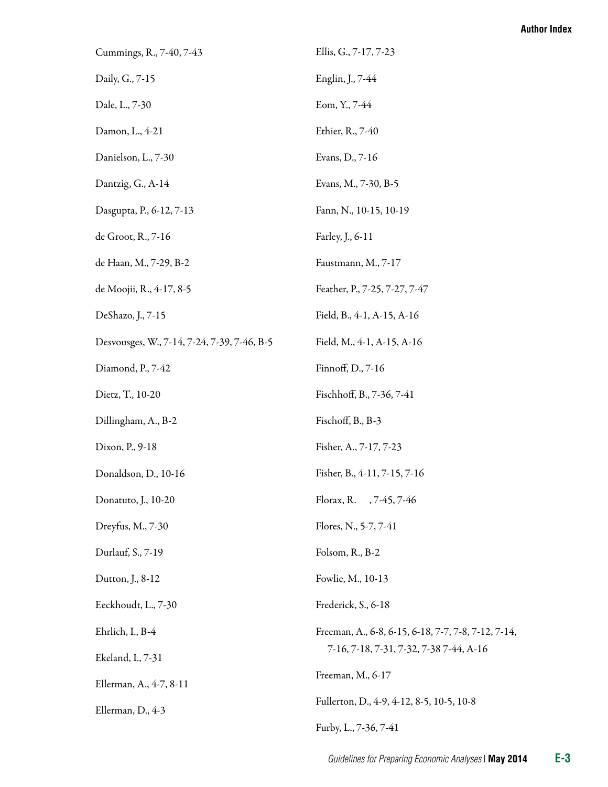| Cummings, R., 7-40, 7-43                    | Ellis, G., 7-17, 7-23                               |
|---------------------------------------------|-----------------------------------------------------|
| Daily, G., 7-15                             | Englin, J., 7-44                                    |
| Dale, L., 7-30                              | Eom, Y., 7-44                                       |
| Damon, L., 4-21                             | Ethier, R., 7-40                                    |
| Danielson, L., 7-30                         | Evans, D., 7-16                                     |
| Dantzig, G., A-14                           | Evans, M., 7-30, B-5                                |
| Dasgupta, P., 6-12, 7-13                    | Fann, N., 10-15, 10-19                              |
| de Groot, R., 7-16                          | Farley, J., 6-11                                    |
| de Haan, M., 7-29, B-2                      | Faustmann, M., 7-17                                 |
| de Moojii, R., 4-17, 8-5                    | Feather, P., 7-25, 7-27, 7-47                       |
| DeShazo, J., 7-15                           | Field, B., 4-1, A-15, A-16                          |
| Desvousges, W., 7-14, 7-24, 7-39, 7-46, B-5 | Field, M., 4-1, A-15, A-16                          |
| Diamond, P., 7-42                           | Finnoff, D., 7-16                                   |
| Dietz, T., 10-20                            | Fischhoff, B., 7-36, 7-41                           |
| Dillingham, A., B-2                         | Fischoff, B., B-3                                   |
| Dixon, P., 9-18                             | Fisher, A., 7-17, 7-23                              |
| Donaldson, D., 10-16                        | Fisher, B., 4-11, 7-15, 7-16                        |
| Donatuto, J., 10-20                         | Florax, R. , 7-45, 7-46                             |
| Dreyfus, M., 7-30                           | Flores, N., 5-7, 7-41                               |
| Durlauf, S., 7-19                           | Folsom, R., B-2                                     |
| Dutton, J., 8-12                            | Fowlie, M., 10-13                                   |
| Eeckhoudt, L., 7-30                         | Frederick, S., 6-18                                 |
| Ehrlich, I., B-4                            | Freeman, A., 6-8, 6-15, 6-18, 7-7, 7-8, 7-12, 7-14, |
| Ekeland, I., 7-31                           | 7-16, 7-18, 7-31, 7-32, 7-38 7-44, A-16             |
| Ellerman, A., 4-7, 8-11                     | Freeman, M., 6-17                                   |
| Ellerman, D., 4-3                           | Fullerton, D., 4-9, 4-12, 8-5, 10-5, 10-8           |
|                                             | Furby, L., 7-36, 7-41                               |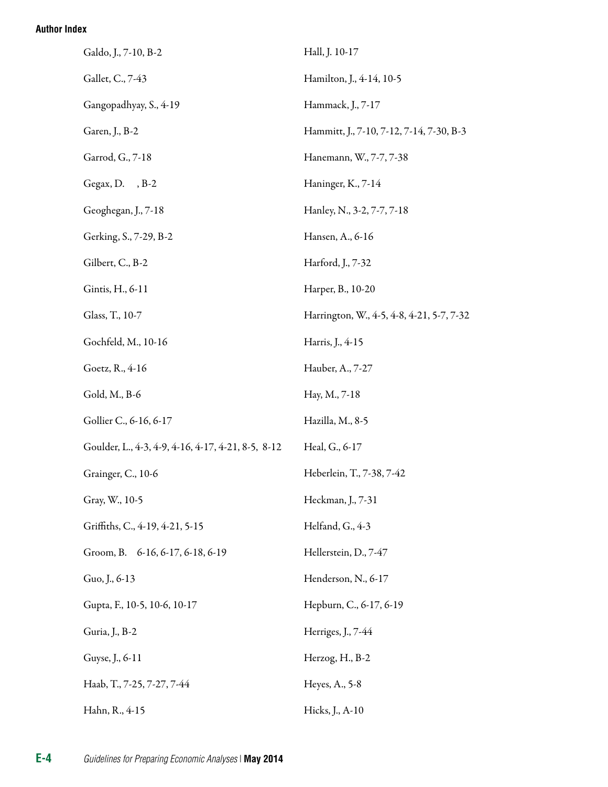| Galdo, J., 7-10, B-2                               | Hall, J. 10-17                            |
|----------------------------------------------------|-------------------------------------------|
| Gallet, C., 7-43                                   | Hamilton, J., 4-14, 10-5                  |
| Gangopadhyay, S., 4-19                             | Hammack, J., 7-17                         |
| Garen, J., B-2                                     | Hammitt, J., 7-10, 7-12, 7-14, 7-30, B-3  |
| Garrod, G., 7-18                                   | Hanemann, W., 7-7, 7-38                   |
| Gegax, D., B-2                                     | Haninger, K., 7-14                        |
| Geoghegan, J., 7-18                                | Hanley, N., 3-2, 7-7, 7-18                |
| Gerking, S., 7-29, B-2                             | Hansen, A., 6-16                          |
| Gilbert, C., B-2                                   | Harford, J., 7-32                         |
| Gintis, H., 6-11                                   | Harper, B., 10-20                         |
| Glass, T., 10-7                                    | Harrington, W., 4-5, 4-8, 4-21, 5-7, 7-32 |
| Gochfeld, M., 10-16                                | Harris, J., 4-15                          |
| Goetz, R., 4-16                                    | Hauber, A., 7-27                          |
| Gold, M., B-6                                      | Hay, M., 7-18                             |
| Gollier C., 6-16, 6-17                             | Hazilla, M., 8-5                          |
| Goulder, L., 4-3, 4-9, 4-16, 4-17, 4-21, 8-5, 8-12 | Heal, G., 6-17                            |
| Grainger, C., 10-6                                 | Heberlein, T., 7-38, 7-42                 |
| Gray, W., 10-5                                     | Heckman, J., 7-31                         |
| Griffiths, C., 4-19, 4-21, 5-15                    | Helfand, G., 4-3                          |
| Groom, B. 6-16, 6-17, 6-18, 6-19                   | Hellerstein, D., 7-47                     |
| Guo, J., 6-13                                      | Henderson, N., 6-17                       |
| Gupta, F., 10-5, 10-6, 10-17                       | Hepburn, C., 6-17, 6-19                   |
| Guria, J., B-2                                     | Herriges, J., 7-44                        |
| Guyse, J., 6-11                                    | Herzog, H., B-2                           |
| Haab, T., 7-25, 7-27, 7-44                         | Heyes, A., 5-8                            |
| Hahn, R., 4-15                                     | Hicks, J., A-10                           |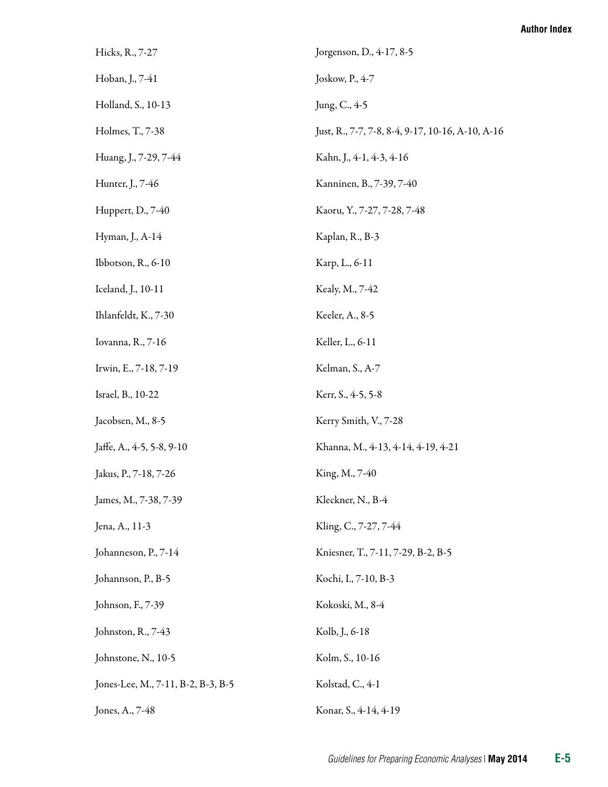| Hicks, R., 7-27                    | Jorgenson, D., 4-17, 8-5                         |
|------------------------------------|--------------------------------------------------|
| Hoban, J., 7-41                    | Joskow, P., 4-7                                  |
| Holland, S., 10-13                 | Jung, C., 4-5                                    |
| Holmes, T., 7-38                   | Just, R., 7-7, 7-8, 8-4, 9-17, 10-16, A-10, A-16 |
| Huang, J., 7-29, 7-44              | Kahn, J., 4-1, 4-3, 4-16                         |
| Hunter, J., 7-46                   | Kanninen, B., 7-39, 7-40                         |
| Huppert, D., 7-40                  | Kaoru, Y., 7-27, 7-28, 7-48                      |
| Hyman, J., A-14                    | Kaplan, R., B-3                                  |
| Ibbotson, R., 6-10                 | Karp, L., 6-11                                   |
| Iceland, J., 10-11                 | Kealy, M., 7-42                                  |
| Ihlanfeldt, K., 7-30               | Keeler, A., 8-5                                  |
| Iovanna, R., 7-16                  | Keller, L., 6-11                                 |
| Irwin, E., 7-18, 7-19              | Kelman, S., A-7                                  |
| Israel, B., 10-22                  | Kerr, S., 4-5, 5-8                               |
| Jacobsen, M., 8-5                  | Kerry Smith, V., 7-28                            |
| Jaffe, A., 4-5, 5-8, 9-10          | Khanna, M., 4-13, 4-14, 4-19, 4-21               |
| Jakus, P., 7-18, 7-26              | King, M., 7-40                                   |
| James, M., 7-38, 7-39              | Kleckner, N., B-4                                |
| Jena, A., 11-3                     | Kling, C., 7-27, 7-44                            |
| Johanneson, P., 7-14               | Kniesner, T., 7-11, 7-29, B-2, B-5               |
| Johannson, P., B-5                 | Kochi, I., 7-10, B-3                             |
| Johnson, F., 7-39                  | Kokoski, M., 8-4                                 |
| Johnston, R., 7-43                 | Kolb, J., 6-18                                   |
| Johnstone, N., 10-5                | Kolm, S., 10-16                                  |
| Jones-Lee, M., 7-11, B-2, B-3, B-5 | Kolstad, C., 4-1                                 |
| Jones, A., 7-48                    | Konar, S., 4-14, 4-19                            |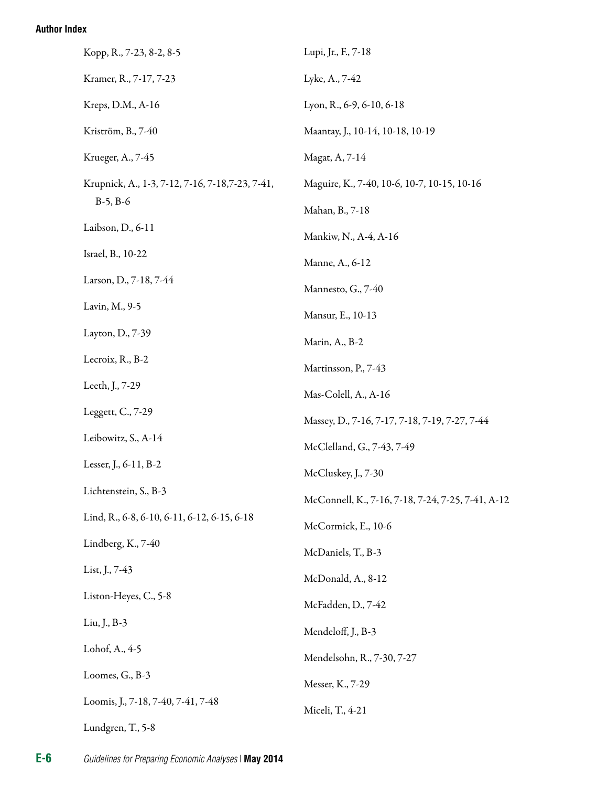| Kopp, R., 7-23, 8-2, 8-5                         | Lupi, Jr., F., 7-18                               |
|--------------------------------------------------|---------------------------------------------------|
| Kramer, R., 7-17, 7-23                           | Lyke, A., 7-42                                    |
| Kreps, D.M., A-16                                | Lyon, R., 6-9, 6-10, 6-18                         |
| Kriström, B., 7-40                               | Maantay, J., 10-14, 10-18, 10-19                  |
| Krueger, A., 7-45                                | Magat, A, 7-14                                    |
| Krupnick, A., 1-3, 7-12, 7-16, 7-18, 7-23, 7-41, | Maguire, K., 7-40, 10-6, 10-7, 10-15, 10-16       |
| $B-5, B-6$                                       | Mahan, B., 7-18                                   |
| Laibson, D., 6-11                                | Mankiw, N., A-4, A-16                             |
| Israel, B., 10-22                                | Manne, A., 6-12                                   |
| Larson, D., 7-18, 7-44                           | Mannesto, G., 7-40                                |
| Lavin, M., 9-5                                   | Mansur, E., 10-13                                 |
| Layton, D., 7-39                                 | Marin, A., B-2                                    |
| Lecroix, R., B-2                                 | Martinsson, P., 7-43                              |
| Leeth, J., 7-29                                  | Mas-Colell, A., A-16                              |
| Leggett, C., 7-29                                | Massey, D., 7-16, 7-17, 7-18, 7-19, 7-27, 7-44    |
| Leibowitz, S., A-14                              | McClelland, G., 7-43, 7-49                        |
| Lesser, J., 6-11, B-2                            | McCluskey, J., 7-30                               |
| Lichtenstein, S., B-3                            | McConnell, K., 7-16, 7-18, 7-24, 7-25, 7-41, A-12 |
| Lind, R., 6-8, 6-10, 6-11, 6-12, 6-15, 6-18      | McCormick, E., 10-6                               |
| Lindberg, K., 7-40                               | McDaniels, T., B-3                                |
| List, J., 7-43                                   | McDonald, A., 8-12                                |
| Liston-Heyes, C., 5-8                            | McFadden, D., 7-42                                |
| Liu, J., B-3                                     | Mendeloff, J., B-3                                |
| Lohof, A., 4-5                                   | Mendelsohn, R., 7-30, 7-27                        |
| Loomes, G., B-3                                  | Messer, K., 7-29                                  |
| Loomis, J., 7-18, 7-40, 7-41, 7-48               | Miceli, T., 4-21                                  |
| Lundgren, T., 5-8                                |                                                   |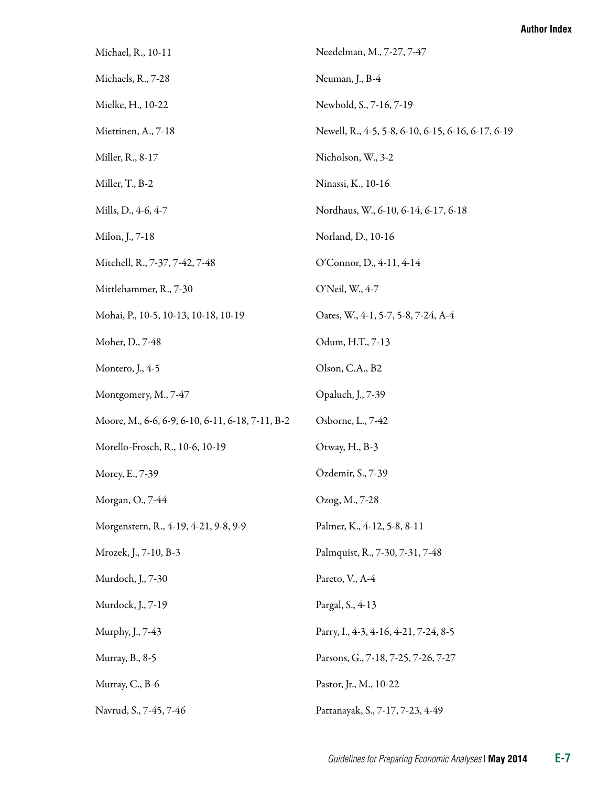| Michael, R., 10-11                               | Needelman, M., 7-27, 7-47                          |
|--------------------------------------------------|----------------------------------------------------|
| Michaels, R., 7-28                               | Neuman, J., B-4                                    |
| Mielke, H., 10-22                                | Newbold, S., 7-16, 7-19                            |
| Miettinen, A., 7-18                              | Newell, R., 4-5, 5-8, 6-10, 6-15, 6-16, 6-17, 6-19 |
| Miller, R., 8-17                                 | Nicholson, W., 3-2                                 |
| Miller, T., B-2                                  | Ninassi, K., 10-16                                 |
| Mills, D., 4-6, 4-7                              | Nordhaus, W., 6-10, 6-14, 6-17, 6-18               |
| Milon, J., 7-18                                  | Norland, D., 10-16                                 |
| Mitchell, R., 7-37, 7-42, 7-48                   | O'Connor, D., 4-11, 4-14                           |
| Mittlehammer, R., 7-30                           | O'Neil, W., 4-7                                    |
| Mohai, P., 10-5, 10-13, 10-18, 10-19             | Oates, W., 4-1, 5-7, 5-8, 7-24, A-4                |
| Moher, D., 7-48                                  | Odum, H.T., 7-13                                   |
| Montero, J., 4-5                                 | Olson, C.A., B2                                    |
| Montgomery, M., 7-47                             | Opaluch, J., 7-39                                  |
| Moore, M., 6-6, 6-9, 6-10, 6-11, 6-18, 7-11, B-2 | Osborne, L., 7-42                                  |
| Morello-Frosch, R., 10-6, 10-19                  | Otway, H., B-3                                     |
| Morey, E., 7-39                                  | Özdemir, S., 7-39                                  |
| Morgan, O., 7-44                                 | Ozog, M., 7-28                                     |
| Morgenstern, R., 4-19, 4-21, 9-8, 9-9            | Palmer, K., 4-12, 5-8, 8-11                        |
| Mrozek, J., 7-10, B-3                            | Palmquist, R., 7-30, 7-31, 7-48                    |
| Murdoch, J., 7-30                                | Pareto, V., A-4                                    |
| Murdock, J., 7-19                                | Pargal, S., 4-13                                   |
| Murphy, J., 7-43                                 | Parry, I., 4-3, 4-16, 4-21, 7-24, 8-5              |
| Murray, B., 8-5                                  | Parsons, G., 7-18, 7-25, 7-26, 7-27                |
| Murray, C., B-6                                  | Pastor, Jr., M., 10-22                             |
| Navrud, S., 7-45, 7-46                           | Pattanayak, S., 7-17, 7-23, 4-49                   |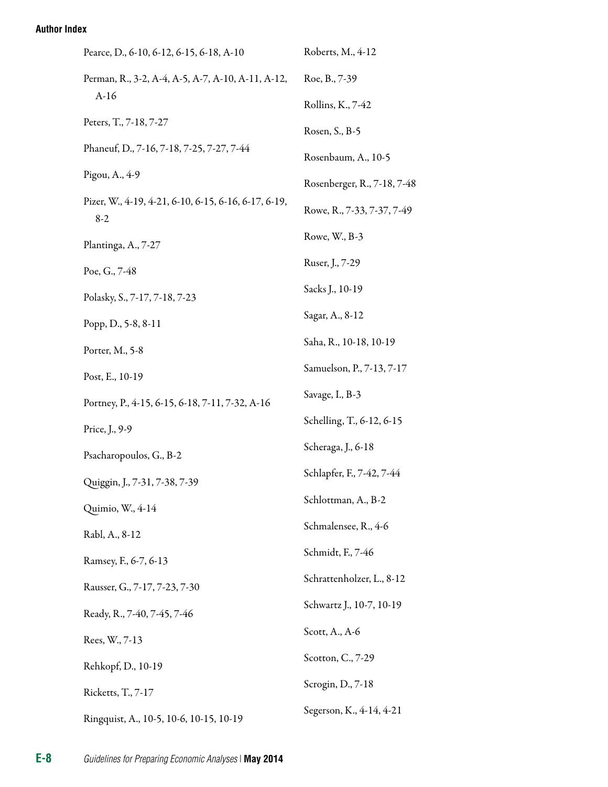| Pearce, D., 6-10, 6-12, 6-15, 6-18, A-10                      | Roberts, M., 4-12                  |  |
|---------------------------------------------------------------|------------------------------------|--|
| Perman, R., 3-2, A-4, A-5, A-7, A-10, A-11, A-12,<br>$A-16$   | Roe, B., 7-39                      |  |
|                                                               | Rollins, K., 7-42                  |  |
| Peters, T., 7-18, 7-27                                        | Rosen, S., B-5                     |  |
| Phaneuf, D., 7-16, 7-18, 7-25, 7-27, 7-44                     | Rosenbaum, A., 10-5                |  |
| Pigou, A., 4-9                                                | Rosenberger, R., 7-18, 7-48        |  |
| Pizer, W., 4-19, 4-21, 6-10, 6-15, 6-16, 6-17, 6-19,<br>$8-2$ | Rowe, R., 7-33, 7-37, 7-49         |  |
| Plantinga, A., 7-27                                           | Rowe, W., B-3                      |  |
| Poe, G., 7-48                                                 | Ruser, J., 7-29                    |  |
| Polasky, S., 7-17, 7-18, 7-23                                 | Sacks J., 10-19                    |  |
| Popp, D., 5-8, 8-11                                           | Sagar, A., 8-12                    |  |
| Porter, M., 5-8                                               | Saha, R., 10-18, 10-19             |  |
| Post, E., 10-19                                               | Samuelson, P., 7-13, 7-17          |  |
| Portney, P., 4-15, 6-15, 6-18, 7-11, 7-32, A-16               | Savage, I., B-3                    |  |
| Price, J., 9-9                                                | Schelling, T., 6-12, 6-15          |  |
| Psacharopoulos, G., B-2                                       | Scheraga, J., 6-18                 |  |
| Quiggin, J., 7-31, 7-38, 7-39                                 | Schlapfer, F., 7-42, 7-44          |  |
| Quimio, W., 4-14                                              | Schlottman, A., B-2                |  |
| Rabl, A., 8-12                                                | Schmalensee, R., 4-6               |  |
| Ramsey, F., 6-7, 6-13                                         | Schmidt, F., 7-46                  |  |
| Rausser, G., 7-17, 7-23, 7-30                                 | Schrattenholzer, L., 8-12          |  |
| Ready, R., 7-40, 7-45, 7-46                                   | Schwartz J., 10-7, 10-19           |  |
| Rees, W., 7-13                                                | Scott, $A_{\cdot}$ , $A_{\cdot}$ 6 |  |
| Rehkopf, D., 10-19                                            | Scotton, C., 7-29                  |  |
| Ricketts, T., 7-17                                            | Scrogin, D., 7-18                  |  |
| Ringquist, A., 10-5, 10-6, 10-15, 10-19                       | Segerson, K., 4-14, 4-21           |  |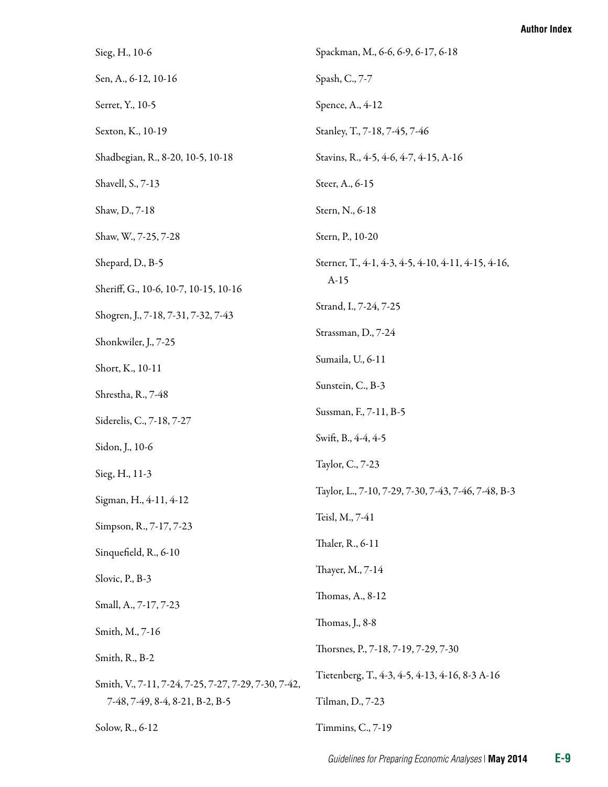| Sieg, H., 10-6                                       | Spackman, M., 6-6, 6-9, 6-17, 6-18                  |
|------------------------------------------------------|-----------------------------------------------------|
| Sen, A., 6-12, 10-16                                 | Spash, C., 7-7                                      |
| Serret, Y., 10-5                                     | Spence, A., 4-12                                    |
| Sexton, K., 10-19                                    | Stanley, T., 7-18, 7-45, 7-46                       |
| Shadbegian, R., 8-20, 10-5, 10-18                    | Stavins, R., 4-5, 4-6, 4-7, 4-15, A-16              |
| Shavell, S., 7-13                                    | Steer, A., 6-15                                     |
| Shaw, D., 7-18                                       | Stern, N., 6-18                                     |
| Shaw, W., 7-25, 7-28                                 | Stern, P., 10-20                                    |
| Shepard, D., B-5                                     | Sterner, T., 4-1, 4-3, 4-5, 4-10, 4-11, 4-15, 4-16, |
| Sheriff, G., 10-6, 10-7, 10-15, 10-16                | $A-15$                                              |
| Shogren, J., 7-18, 7-31, 7-32, 7-43                  | Strand, I., 7-24, 7-25                              |
| Shonkwiler, J., 7-25                                 | Strassman, D., 7-24                                 |
| Short, K., 10-11                                     | Sumaila, U., 6-11                                   |
| Shrestha, R., 7-48                                   | Sunstein, C., B-3                                   |
| Siderelis, C., 7-18, 7-27                            | Sussman, F., 7-11, B-5                              |
| Sidon, J., 10-6                                      | Swift, B., 4-4, 4-5                                 |
| Sieg, H., 11-3                                       | Taylor, C., 7-23                                    |
| Sigman, H., 4-11, 4-12                               | Taylor, L., 7-10, 7-29, 7-30, 7-43, 7-46, 7-48, B-3 |
| Simpson, R., 7-17, 7-23                              | Teisl, M., 7-41                                     |
| Sinquefield, R., 6-10                                | Thaler, R., 6-11                                    |
| Slovic, P., B-3                                      | Thayer, M., 7-14                                    |
| Small, A., 7-17, 7-23                                | Thomas, A., 8-12                                    |
| Smith, M., 7-16                                      | Thomas, J., 8-8                                     |
| Smith, R., B-2                                       | Thorsnes, P., 7-18, 7-19, 7-29, 7-30                |
| Smith, V., 7-11, 7-24, 7-25, 7-27, 7-29, 7-30, 7-42, | Tietenberg, T., 4-3, 4-5, 4-13, 4-16, 8-3 A-16      |
| 7-48, 7-49, 8-4, 8-21, B-2, B-5                      | Tilman, D., 7-23                                    |
| Solow, R., 6-12                                      | Timmins, C., 7-19                                   |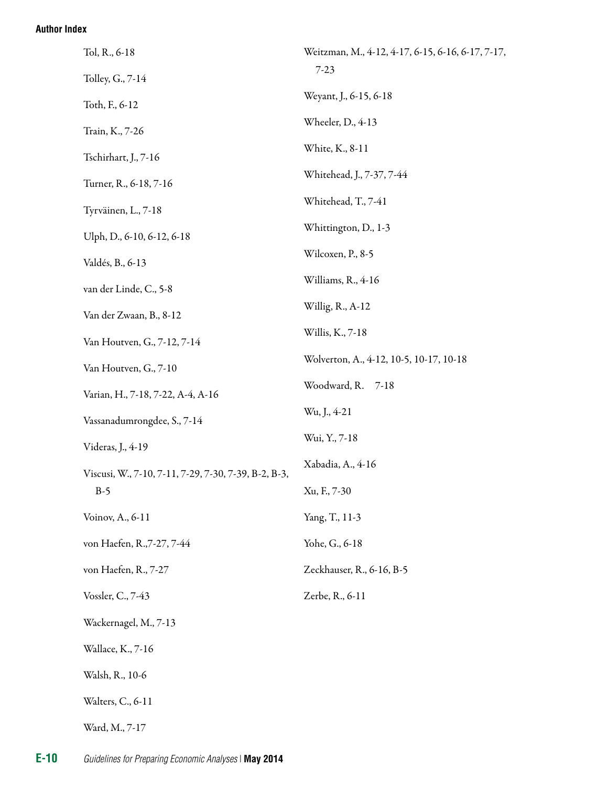| Tol, R., 6-18                                        | Weitzman, M., 4-12, 4-17, 6-15, 6-16, 6-17, 7-17, |
|------------------------------------------------------|---------------------------------------------------|
| Tolley, G., 7-14                                     | $7 - 23$                                          |
| Toth, F., 6-12                                       | Weyant, J., 6-15, 6-18                            |
| Train, K., 7-26                                      | Wheeler, D., 4-13                                 |
| Tschirhart, J., 7-16                                 | White, K., 8-11                                   |
| Turner, R., 6-18, 7-16                               | Whitehead, J., 7-37, 7-44                         |
| Tyrväinen, L., 7-18                                  | Whitehead, T., 7-41                               |
| Ulph, D., 6-10, 6-12, 6-18                           | Whittington, D., 1-3                              |
| Valdés, B., 6-13                                     | Wilcoxen, P., 8-5                                 |
| van der Linde, C., 5-8                               | Williams, R., 4-16                                |
| Van der Zwaan, B., 8-12                              | Willig, R., A-12                                  |
| Van Houtven, G., 7-12, 7-14                          | Willis, K., 7-18                                  |
| Van Houtven, G., 7-10                                | Wolverton, A., 4-12, 10-5, 10-17, 10-18           |
| Varian, H., 7-18, 7-22, A-4, A-16                    | Woodward, R.<br>$7-18$                            |
| Vassanadumrongdee, S., 7-14                          | Wu, J., 4-21                                      |
| Videras, J., 4-19                                    | Wui, Y., 7-18                                     |
| Viscusi, W., 7-10, 7-11, 7-29, 7-30, 7-39, B-2, B-3, | Xabadia, A., 4-16                                 |
| $B-5$                                                | Xu, F., 7-30                                      |
| Voinov, A., 6-11                                     | Yang, T., 11-3                                    |
| von Haefen, R., 7-27, 7-44                           | Yohe, G., 6-18                                    |
| von Haefen, R., 7-27                                 | Zeckhauser, R., 6-16, B-5                         |
| Vossler, C., 7-43                                    | Zerbe, R., 6-11                                   |
| Wackernagel, M., 7-13                                |                                                   |
| Wallace, K., 7-16                                    |                                                   |
| Walsh, R., 10-6                                      |                                                   |
| Walters, C., 6-11                                    |                                                   |
| Ward, M., 7-17                                       |                                                   |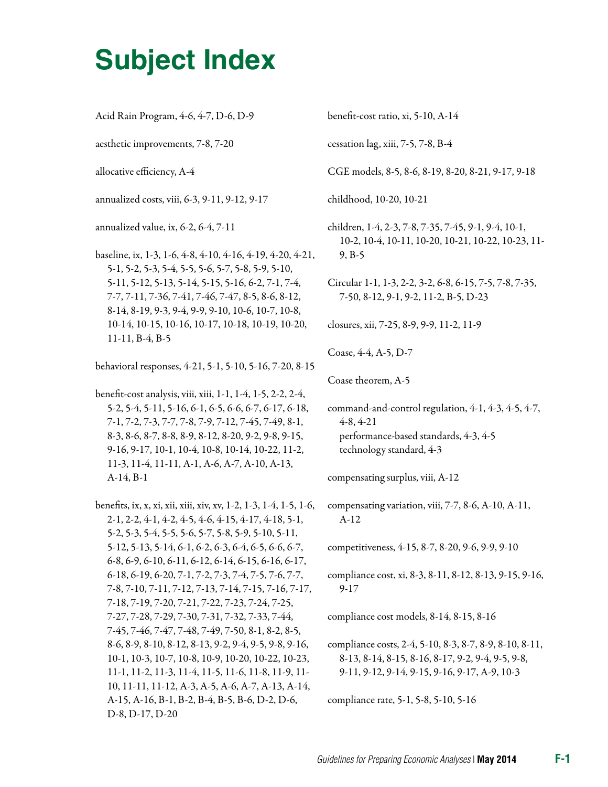# **Subject Index**

| Acid Rain Program, 4-6, 4-7, D-6, D-9 |  |  |  |  |
|---------------------------------------|--|--|--|--|
|---------------------------------------|--|--|--|--|

aesthetic improvements, 7-8, 7-20

allocative efficiency, A-4

annualized costs, viii, 6-3, 9-11, 9-12, 9-17

annualized value, ix, 6-2, 6-4, 7-11

baseline, ix, 1-3, 1-6, 4-8, 4-10, 4-16, 4-19, 4-20, 4-21, 5-1, 5-2, 5-3, 5-4, 5-5, 5-6, 5-7, 5-8, 5-9, 5-10, 5-11, 5-12, 5-13, 5-14, 5-15, 5-16, 6-2, 7-1, 7-4, 7-7, 7-11, 7-36, 7-41, 7-46, 7-47, 8-5, 8-6, 8-12, 8-14, 8-19, 9-3, 9-4, 9-9, 9-10, 10-6, 10-7, 10-8, 10-14, 10-15, 10-16, 10-17, 10-18, 10-19, 10-20, 11-11, B-4, B-5

behavioral responses, 4-21, 5-1, 5-10, 5-16, 7-20, 8-15

benefit-cost analysis, viii, xiii, 1-1, 1-4, 1-5, 2-2, 2-4, 5-2, 5-4, 5-11, 5-16, 6-1, 6-5, 6-6, 6-7, 6-17, 6-18, 7-1, 7-2, 7-3, 7-7, 7-8, 7-9, 7-12, 7-45, 7-49, 8-1, 8-3, 8-6, 8-7, 8-8, 8-9, 8-12, 8-20, 9-2, 9-8, 9-15, 9-16, 9-17, 10-1, 10-4, 10-8, 10-14, 10-22, 11-2, 11-3, 11-4, 11-11, A-1, A-6, A-7, A-10, A-13, A-14, B-1

benefits, ix, x, xi, xii, xiii, xiv, xv, 1-2, 1-3, 1-4, 1-5, 1-6, 2-1, 2-2, 4-1, 4-2, 4-5, 4-6, 4-15, 4-17, 4-18, 5-1, 5-2, 5-3, 5-4, 5-5, 5-6, 5-7, 5-8, 5-9, 5-10, 5-11, 5-12, 5-13, 5-14, 6-1, 6-2, 6-3, 6-4, 6-5, 6-6, 6-7, 6-8, 6-9, 6-10, 6-11, 6-12, 6-14, 6-15, 6-16, 6-17, 6-18, 6-19, 6-20, 7-1, 7-2, 7-3, 7-4, 7-5, 7-6, 7-7, 7-8, 7-10, 7-11, 7-12, 7-13, 7-14, 7-15, 7-16, 7-17, 7-18, 7-19, 7-20, 7-21, 7-22, 7-23, 7-24, 7-25, 7-27, 7-28, 7-29, 7-30, 7-31, 7-32, 7-33, 7-44, 7-45, 7-46, 7-47, 7-48, 7-49, 7-50, 8-1, 8-2, 8-5, 8-6, 8-9, 8-10, 8-12, 8-13, 9-2, 9-4, 9-5, 9-8, 9-16, 10-1, 10-3, 10-7, 10-8, 10-9, 10-20, 10-22, 10-23, 11-1, 11-2, 11-3, 11-4, 11-5, 11-6, 11-8, 11-9, 11 10, 11-11, 11-12, A-3, A-5, A-6, A-7, A-13, A-14, A-15, A-16, B-1, B-2, B-4, B-5, B-6, D-2, D-6, D-8, D-17, D-20

benefit-cost ratio, xi, 5-10, A-14

cessation lag, xiii, 7-5, 7-8, B-4

CGE models, 8-5, 8-6, 8-19, 8-20, 8-21, 9-17, 9-18

childhood, 10-20, 10-21

children, 1-4, 2-3, 7-8, 7-35, 7-45, 9-1, 9-4, 10-1, 10-2, 10-4, 10-11, 10-20, 10-21, 10-22, 10-23, 11 9, B-5

Circular 1-1, 1-3, 2-2, 3-2, 6-8, 6-15, 7-5, 7-8, 7-35, 7-50, 8-12, 9-1, 9-2, 11-2, B-5, D-23

closures, xii, 7-25, 8-9, 9-9, 11-2, 11-9

Coase, 4-4, A-5, D-7

Coase theorem, A-5

command-and-control regulation, 4-1, 4-3, 4-5, 4-7, 4-8, 4-21 performance-based standards, 4-3, 4-5 technology standard, 4-3

compensating surplus, viii, A-12

compensating variation, viii, 7-7, 8-6, A-10, A-11, A-12

competitiveness, 4-15, 8-7, 8-20, 9-6, 9-9, 9-10

compliance cost, xi, 8-3, 8-11, 8-12, 8-13, 9-15, 9-16, 9-17

compliance cost models, 8-14, 8-15, 8-16

compliance costs, 2-4, 5-10, 8-3, 8-7, 8-9, 8-10, 8-11, 8-13, 8-14, 8-15, 8-16, 8-17, 9-2, 9-4, 9-5, 9-8, 9-11, 9-12, 9-14, 9-15, 9-16, 9-17, A-9, 10-3

compliance rate, 5-1, 5-8, 5-10, 5-16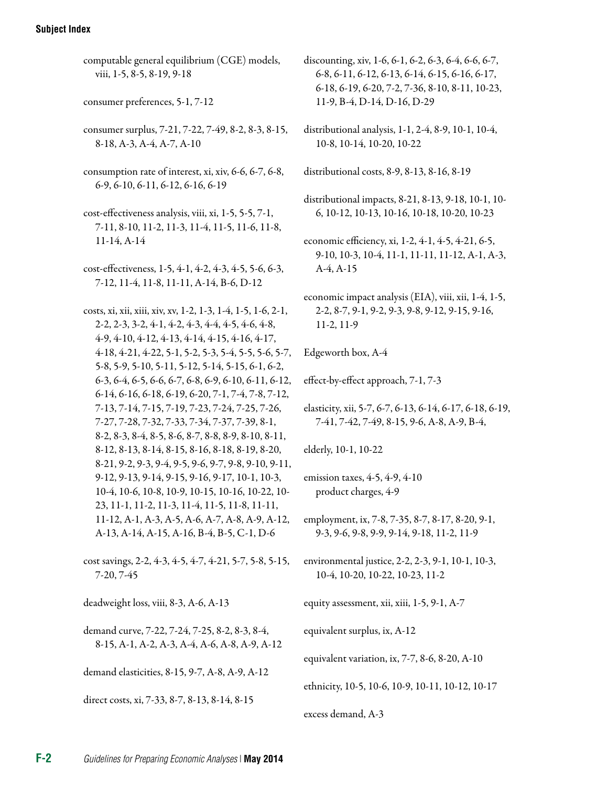#### **Subject Index**

- computable general equilibrium (CGE) models, viii, 1-5, 8-5, 8-19, 9-18
- consumer preferences, 5-1, 7-12
- consumer surplus, 7-21, 7-22, 7-49, 8-2, 8-3, 8-15, 8-18, A-3, A-4, A-7, A-10
- consumption rate of interest, xi, xiv, 6-6, 6-7, 6-8, 6-9, 6-10, 6-11, 6-12, 6-16, 6-19
- cost-effectiveness analysis, viii, xi, 1-5, 5-5, 7-1, 7-11, 8-10, 11-2, 11-3, 11-4, 11-5, 11-6, 11-8, 11-14, A-14
- cost-effectiveness, 1-5, 4-1, 4-2, 4-3, 4-5, 5-6, 6-3, 7-12, 11-4, 11-8, 11-11, A-14, B-6, D-12
- costs, xi, xii, xiii, xiv, xv, 1-2, 1-3, 1-4, 1-5, 1-6, 2-1, 2-2, 2-3, 3-2, 4-1, 4-2, 4-3, 4-4, 4-5, 4-6, 4-8, 4-9, 4-10, 4-12, 4-13, 4-14, 4-15, 4-16, 4-17, 4-18, 4-21, 4-22, 5-1, 5-2, 5-3, 5-4, 5-5, 5-6, 5-7, 5-8, 5-9, 5-10, 5-11, 5-12, 5-14, 5-15, 6-1, 6-2, 6-3, 6-4, 6-5, 6-6, 6-7, 6-8, 6-9, 6-10, 6-11, 6-12, 6-14, 6-16, 6-18, 6-19, 6-20, 7-1, 7-4, 7-8, 7-12, 7-13, 7-14, 7-15, 7-19, 7-23, 7-24, 7-25, 7-26, 7-27, 7-28, 7-32, 7-33, 7-34, 7-37, 7-39, 8-1, 8-2, 8-3, 8-4, 8-5, 8-6, 8-7, 8-8, 8-9, 8-10, 8-11, 8-12, 8-13, 8-14, 8-15, 8-16, 8-18, 8-19, 8-20, 8-21, 9-2, 9-3, 9-4, 9-5, 9-6, 9-7, 9-8, 9-10, 9-11, 9-12, 9-13, 9-14, 9-15, 9-16, 9-17, 10-1, 10-3, 10-4, 10-6, 10-8, 10-9, 10-15, 10-16, 10-22, 10 23, 11-1, 11-2, 11-3, 11-4, 11-5, 11-8, 11-11, 11-12, A-1, A-3, A-5, A-6, A-7, A-8, A-9, A-12, A-13, A-14, A-15, A-16, B-4, B-5, C-1, D-6
- cost savings, 2-2, 4-3, 4-5, 4-7, 4-21, 5-7, 5-8, 5-15, 7-20, 7-45

deadweight loss, viii, 8-3, A-6, A-13

demand curve, 7-22, 7-24, 7-25, 8-2, 8-3, 8-4, 8-15, A-1, A-2, A-3, A-4, A-6, A-8, A-9, A-12

demand elasticities, 8-15, 9-7, A-8, A-9, A-12

direct costs, xi, 7-33, 8-7, 8-13, 8-14, 8-15

- discounting, xiv, 1-6, 6-1, 6-2, 6-3, 6-4, 6-6, 6-7, 6-8, 6-11, 6-12, 6-13, 6-14, 6-15, 6-16, 6-17, 6-18, 6-19, 6-20, 7-2, 7-36, 8-10, 8-11, 10-23, 11-9, B-4, D-14, D-16, D-29
- distributional analysis, 1-1, 2-4, 8-9, 10-1, 10-4, 10-8, 10-14, 10-20, 10-22

distributional costs, 8-9, 8-13, 8-16, 8-19

- distributional impacts, 8-21, 8-13, 9-18, 10-1, 10 6, 10-12, 10-13, 10-16, 10-18, 10-20, 10-23
- economic efficiency, xi, 1-2, 4-1, 4-5, 4-21, 6-5, 9-10, 10-3, 10-4, 11-1, 11-11, 11-12, A-1, A-3, A-4, A-15
- economic impact analysis (EIA), viii, xii, 1-4, 1-5, 2-2, 8-7, 9-1, 9-2, 9-3, 9-8, 9-12, 9-15, 9-16, 11-2, 11-9
- Edgeworth box, A-4
- effect-by-effect approach, 7-1, 7-3
- elasticity, xii, 5-7, 6-7, 6-13, 6-14, 6-17, 6-18, 6-19, 7-41, 7-42, 7-49, 8-15, 9-6, A-8, A-9, B-4,

elderly, 10-1, 10-22

- emission taxes, 4-5, 4-9, 4-10 product charges, 4-9
- employment, ix, 7-8, 7-35, 8-7, 8-17, 8-20, 9-1, 9-3, 9-6, 9-8, 9-9, 9-14, 9-18, 11-2, 11-9
- environmental justice, 2-2, 2-3, 9-1, 10-1, 10-3, 10-4, 10-20, 10-22, 10-23, 11-2

equity assessment, xii, xiii, 1-5, 9-1, A-7

equivalent surplus, ix, A-12

equivalent variation, ix, 7-7, 8-6, 8-20, A-10

ethnicity, 10-5, 10-6, 10-9, 10-11, 10-12, 10-17

excess demand, A-3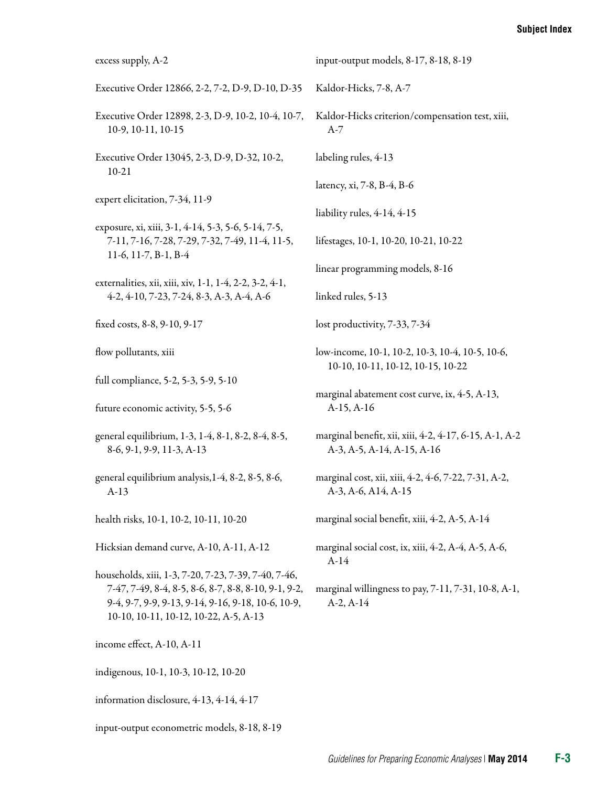| excess supply, A-2                                                                                                                                                                                          | input-output models, 8-17, 8-18, 8-19                                                |
|-------------------------------------------------------------------------------------------------------------------------------------------------------------------------------------------------------------|--------------------------------------------------------------------------------------|
| Executive Order 12866, 2-2, 7-2, D-9, D-10, D-35                                                                                                                                                            | Kaldor-Hicks, 7-8, A-7                                                               |
| Executive Order 12898, 2-3, D-9, 10-2, 10-4, 10-7,<br>10-9, 10-11, 10-15                                                                                                                                    | Kaldor-Hicks criterion/compensation test, xiii,<br>$A-7$                             |
| Executive Order 13045, 2-3, D-9, D-32, 10-2,<br>$10-21$                                                                                                                                                     | labeling rules, 4-13                                                                 |
|                                                                                                                                                                                                             | latency, xi, 7-8, B-4, B-6                                                           |
| expert elicitation, 7-34, 11-9                                                                                                                                                                              | liability rules, 4-14, 4-15                                                          |
| exposure, xi, xiii, 3-1, 4-14, 5-3, 5-6, 5-14, 7-5,<br>7-11, 7-16, 7-28, 7-29, 7-32, 7-49, 11-4, 11-5,<br>11-6, 11-7, B-1, B-4                                                                              | lifestages, 10-1, 10-20, 10-21, 10-22                                                |
| externalities, xii, xiii, xiv, 1-1, 1-4, 2-2, 3-2, 4-1,                                                                                                                                                     | linear programming models, 8-16                                                      |
| 4-2, 4-10, 7-23, 7-24, 8-3, A-3, A-4, A-6                                                                                                                                                                   | linked rules, 5-13                                                                   |
| fixed costs, 8-8, 9-10, 9-17                                                                                                                                                                                | lost productivity, 7-33, 7-34                                                        |
| flow pollutants, xiii                                                                                                                                                                                       | low-income, 10-1, 10-2, 10-3, 10-4, 10-5, 10-6,<br>10-10, 10-11, 10-12, 10-15, 10-22 |
| full compliance, 5-2, 5-3, 5-9, 5-10                                                                                                                                                                        |                                                                                      |
| future economic activity, 5-5, 5-6                                                                                                                                                                          | marginal abatement cost curve, ix, 4-5, A-13,<br>$A-15, A-16$                        |
| general equilibrium, 1-3, 1-4, 8-1, 8-2, 8-4, 8-5,<br>8-6, 9-1, 9-9, 11-3, A-13                                                                                                                             | marginal benefit, xii, xiii, 4-2, 4-17, 6-15, A-1, A-2<br>A-3, A-5, A-14, A-15, A-16 |
| general equilibrium analysis, 1-4, 8-2, 8-5, 8-6,<br>$A-13$                                                                                                                                                 | marginal cost, xii, xiii, 4-2, 4-6, 7-22, 7-31, A-2,<br>A-3, A-6, A14, A-15          |
| health risks, 10-1, 10-2, 10-11, 10-20                                                                                                                                                                      | marginal social benefit, xiii, 4-2, A-5, A-14                                        |
| Hicksian demand curve, A-10, A-11, A-12                                                                                                                                                                     | marginal social cost, ix, xiii, 4-2, A-4, A-5, A-6,<br>$A-14$                        |
| households, xiii, 1-3, 7-20, 7-23, 7-39, 7-40, 7-46,<br>7-47, 7-49, 8-4, 8-5, 8-6, 8-7, 8-8, 8-10, 9-1, 9-2,<br>9-4, 9-7, 9-9, 9-13, 9-14, 9-16, 9-18, 10-6, 10-9,<br>10-10, 10-11, 10-12, 10-22, A-5, A-13 | marginal willingness to pay, 7-11, 7-31, 10-8, A-1,<br>$A-2, A-14$                   |
| income effect, A-10, A-11                                                                                                                                                                                   |                                                                                      |
| indigenous, 10-1, 10-3, 10-12, 10-20                                                                                                                                                                        |                                                                                      |
| information disclosure, 4-13, 4-14, 4-17                                                                                                                                                                    |                                                                                      |
| input-output econometric models, 8-18, 8-19                                                                                                                                                                 |                                                                                      |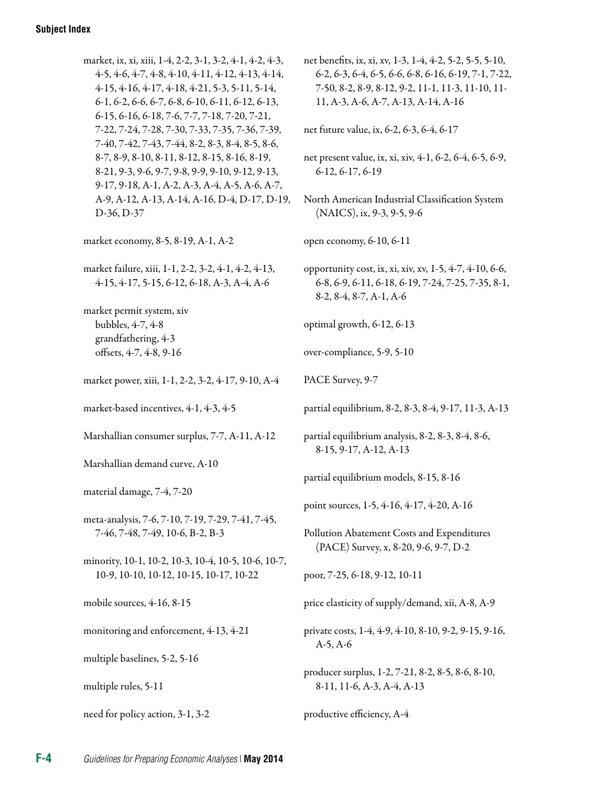| market, ix, xi, xiii, 1-4, 2-2, 3-1, 3-2, 4-1, 4-2, 4-3,<br>4-5, 4-6, 4-7, 4-8, 4-10, 4-11, 4-12, 4-13, 4-14,<br>4-15, 4-16, 4-17, 4-18, 4-21, 5-3, 5-11, 5-14,<br>6-1, 6-2, 6-6, 6-7, 6-8, 6-10, 6-11, 6-12, 6-13,<br>6-15, 6-16, 6-18, 7-6, 7-7, 7-18, 7-20, 7-21, | net benefits, ix, xi, xv, 1-3, 1-4, 4-2, 5-2, 5-5, 5-10,<br>6-2, 6-3, 6-4, 6-5, 6-6, 6-8, 6-16, 6-19, 7-1, 7-22,<br>7-50, 8-2, 8-9, 8-12, 9-2, 11-1, 11-3, 11-10, 11-<br>11, A-3, A-6, A-7, A-13, A-14, A-16 |
|----------------------------------------------------------------------------------------------------------------------------------------------------------------------------------------------------------------------------------------------------------------------|--------------------------------------------------------------------------------------------------------------------------------------------------------------------------------------------------------------|
| 7-22, 7-24, 7-28, 7-30, 7-33, 7-35, 7-36, 7-39,<br>7-40, 7-42, 7-43, 7-44, 8-2, 8-3, 8-4, 8-5, 8-6,                                                                                                                                                                  | net future value, ix, 6-2, 6-3, 6-4, 6-17                                                                                                                                                                    |
| 8-7, 8-9, 8-10, 8-11, 8-12, 8-15, 8-16, 8-19,<br>8-21, 9-3, 9-6, 9-7, 9-8, 9-9, 9-10, 9-12, 9-13,<br>9-17, 9-18, A-1, A-2, A-3, A-4, A-5, A-6, A-7,                                                                                                                  | net present value, ix, xi, xiv, 4-1, 6-2, 6-4, 6-5, 6-9,<br>6-12, 6-17, 6-19                                                                                                                                 |
| A-9, A-12, A-13, A-14, A-16, D-4, D-17, D-19,<br>D-36, D-37                                                                                                                                                                                                          | North American Industrial Classification System<br>(NAICS), ix, 9-3, 9-5, 9-6                                                                                                                                |
| market economy, 8-5, 8-19, A-1, A-2                                                                                                                                                                                                                                  | open economy, 6-10, 6-11                                                                                                                                                                                     |
| market failure, xiii, 1-1, 2-2, 3-2, 4-1, 4-2, 4-13,<br>4-15, 4-17, 5-15, 6-12, 6-18, A-3, A-4, A-6                                                                                                                                                                  | opportunity cost, ix, xi, xiv, xv, 1-5, 4-7, 4-10, 6-6,<br>6-8, 6-9, 6-11, 6-18, 6-19, 7-24, 7-25, 7-35, 8-1,<br>$8-2, 8-4, 8-7, A-1, A-6$                                                                   |
| market permit system, xiv<br>bubbles, 4-7, 4-8                                                                                                                                                                                                                       | optimal growth, 6-12, 6-13                                                                                                                                                                                   |
| grandfathering, 4-3<br>offsets, 4-7, 4-8, 9-16                                                                                                                                                                                                                       | over-compliance, 5-9, 5-10                                                                                                                                                                                   |
| market power, xiii, 1-1, 2-2, 3-2, 4-17, 9-10, A-4                                                                                                                                                                                                                   | PACE Survey, 9-7                                                                                                                                                                                             |
| market-based incentives, 4-1, 4-3, 4-5                                                                                                                                                                                                                               | partial equilibrium, 8-2, 8-3, 8-4, 9-17, 11-3, A-13                                                                                                                                                         |
| Marshallian consumer surplus, 7-7, A-11, A-12                                                                                                                                                                                                                        | partial equilibrium analysis, 8-2, 8-3, 8-4, 8-6,<br>8-15, 9-17, A-12, A-13                                                                                                                                  |
| Marshallian demand curve, A-10                                                                                                                                                                                                                                       | partial equilibrium models, 8-15, 8-16                                                                                                                                                                       |
| material damage, 7-4, 7-20                                                                                                                                                                                                                                           | point sources, 1-5, 4-16, 4-17, 4-20, A-16                                                                                                                                                                   |
| meta-analysis, 7-6, 7-10, 7-19, 7-29, 7-41, 7-45,<br>7-46, 7-48, 7-49, 10-6, B-2, B-3                                                                                                                                                                                | Pollution Abatement Costs and Expenditures<br>(PACE) Survey, x, 8-20, 9-6, 9-7, D-2                                                                                                                          |
| minority, 10-1, 10-2, 10-3, 10-4, 10-5, 10-6, 10-7,<br>10-9, 10-10, 10-12, 10-15, 10-17, 10-22                                                                                                                                                                       | poor, 7-25, 6-18, 9-12, 10-11                                                                                                                                                                                |
| mobile sources, 4-16, 8-15                                                                                                                                                                                                                                           | price elasticity of supply/demand, xii, A-8, A-9                                                                                                                                                             |
| monitoring and enforcement, 4-13, 4-21                                                                                                                                                                                                                               | private costs, 1-4, 4-9, 4-10, 8-10, 9-2, 9-15, 9-16,<br>$A-5, A-6$                                                                                                                                          |
| multiple baselines, 5-2, 5-16                                                                                                                                                                                                                                        | producer surplus, 1-2, 7-21, 8-2, 8-5, 8-6, 8-10,                                                                                                                                                            |
| multiple rules, 5-11                                                                                                                                                                                                                                                 | 8-11, 11-6, A-3, A-4, A-13                                                                                                                                                                                   |
| need for policy action, 3-1, 3-2                                                                                                                                                                                                                                     | productive efficiency, A-4                                                                                                                                                                                   |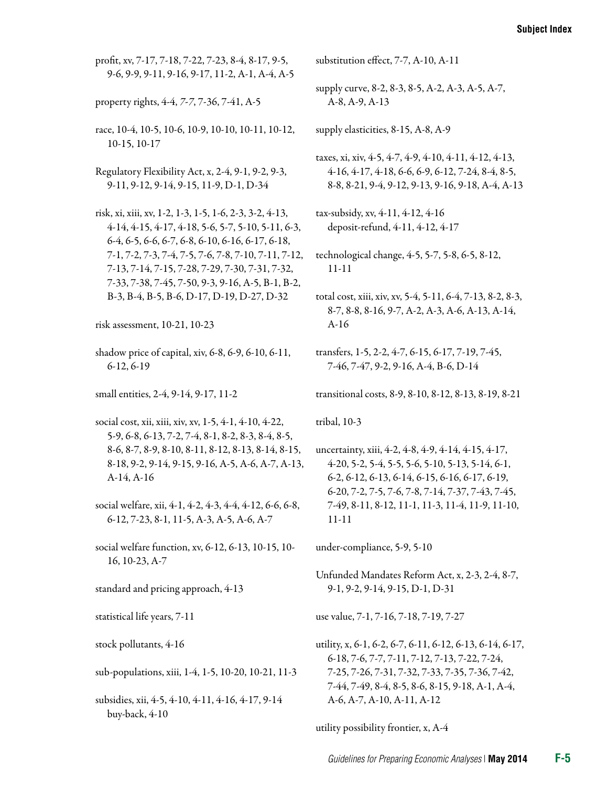profit, xv, 7-17, 7-18, 7-22, 7-23, 8-4, 8-17, 9-5, 9-6, 9-9, 9-11, 9-16, 9-17, 11-2, A-1, A-4, A-5

property rights, 4-4, *7-7*, 7-36, 7-41, A-5

race, 10-4, 10-5, 10-6, 10-9, 10-10, 10-11, 10-12, 10-15, 10-17

Regulatory Flexibility Act, x, 2-4, 9-1, 9-2, 9-3, 9-11, 9-12, 9-14, 9-15, 11-9, D-1, D-34

risk, xi, xiii, xv, 1-2, 1-3, 1-5, 1-6, 2-3, 3-2, 4-13, 4-14, 4-15, 4-17, 4-18, 5-6, 5-7, 5-10, 5-11, 6-3, 6-4, 6-5, 6-6, 6-7, 6-8, 6-10, 6-16, 6-17, 6-18, 7-1, 7-2, 7-3, 7-4, 7-5, 7-6, 7-8, 7-10, 7-11, 7-12, 7-13, 7-14, 7-15, 7-28, 7-29, 7-30, 7-31, 7-32, 7-33, 7-38, 7-45, 7-50, 9-3, 9-16, A-5, B-1, B-2, B-3, B-4, B-5, B-6, D-17, D-19, D-27, D-32

shadow price of capital, xiv, 6-8, 6-9, 6-10, 6-11, 6-12, 6-19

small entities, 2-4, 9-14, 9-17, 11-2

- social cost, xii, xiii, xiv, xv, 1-5, 4-1, 4-10, 4-22, 5-9, 6-8, 6-13, 7-2, 7-4, 8-1, 8-2, 8-3, 8-4, 8-5, 8-6, 8-7, 8-9, 8-10, 8-11, 8-12, 8-13, 8-14, 8-15, 8-18, 9-2, 9-14, 9-15, 9-16, A-5, A-6, A-7, A-13, A-14, A-16
- social welfare, xii, 4-1, 4-2, 4-3, 4-4, 4-12, 6-6, 6-8, 6-12, 7-23, 8-1, 11-5, A-3, A-5, A-6, A-7
- social welfare function, xv, 6-12, 6-13, 10-15, 10 16, 10-23, A-7
- standard and pricing approach, 4-13
- statistical life years, 7-11
- stock pollutants, 4-16

sub-populations, xiii, 1-4, 1-5, 10-20, 10-21, 11-3

subsidies, xii, 4-5, 4-10, 4-11, 4-16, 4-17, 9-14 buy-back, 4-10

substitution effect, 7-7, A-10, A-11

supply curve, 8-2, 8-3, 8-5, A-2, A-3, A-5, A-7, A-8, A-9, A-13

supply elasticities, 8-15, A-8, A-9

- taxes, xi, xiv, 4-5, 4-7, 4-9, 4-10, 4-11, 4-12, 4-13, 4-16, 4-17, 4-18, 6-6, 6-9, 6-12, 7-24, 8-4, 8-5, 8-8, 8-21, 9-4, 9-12, 9-13, 9-16, 9-18, A-4, A-13
- tax-subsidy, xv, 4-11, 4-12, 4-16 deposit-refund, 4-11, 4-12, 4-17
- technological change, 4-5, 5-7, 5-8, 6-5, 8-12, 11-11
- total cost, xiii, xiv, xv, 5-4, 5-11, 6-4, 7-13, 8-2, 8-3, 8-7, 8-8, 8-16, 9-7, A-2, A-3, A-6, A-13, A-14, A-16
- transfers, 1-5, 2-2, 4-7, 6-15, 6-17, 7-19, 7-45, 7-46, 7-47, 9-2, 9-16, A-4, B-6, D-14
- transitional costs, 8-9, 8-10, 8-12, 8-13, 8-19, 8-21

tribal, 10-3

uncertainty, xiii, 4-2, 4-8, 4-9, 4-14, 4-15, 4-17, 4-20, 5-2, 5-4, 5-5, 5-6, 5-10, 5-13, 5-14, 6-1, 6-2, 6-12, 6-13, 6-14, 6-15, 6-16, 6-17, 6-19, 6-20, 7-2, 7-5, 7-6, 7-8, 7-14, 7-37, 7-43, 7-45, 7-49, 8-11, 8-12, 11-1, 11-3, 11-4, 11-9, 11-10, 11-11

under-compliance, 5-9, 5-10

Unfunded Mandates Reform Act, x, 2-3, 2-4, 8-7, 9-1, 9-2, 9-14, 9-15, D-1, D-31

use value, 7-1, 7-16, 7-18, 7-19, 7-27

utility, x, 6-1, 6-2, 6-7, 6-11, 6-12, 6-13, 6-14, 6-17, 6-18, 7-6, 7-7, 7-11, 7-12, 7-13, 7-22, 7-24, 7-25, 7-26, 7-31, 7-32, 7-33, 7-35, 7-36, 7-42, 7-44, 7-49, 8-4, 8-5, 8-6, 8-15, 9-18, A-1, A-4, A-6, A-7, A-10, A-11, A-12

utility possibility frontier, x, A-4

risk assessment, 10-21, 10-23